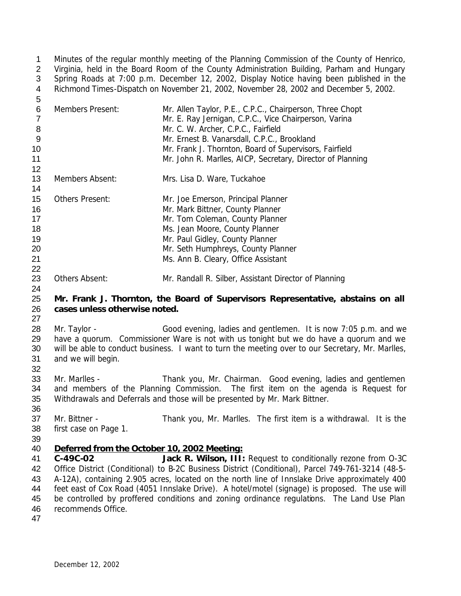Minutes of the regular monthly meeting of the Planning Commission of the County of Henrico, Virginia, held in the Board Room of the County Administration Building, Parham and Hungary Spring Roads at 7:00 p.m. December 12, 2002, Display Notice having been published in the Richmond Times-Dispatch on November 21, 2002, November 28, 2002 and December 5, 2002.

| ັ  |                         |                                                                                                                   |
|----|-------------------------|-------------------------------------------------------------------------------------------------------------------|
| 6  | <b>Members Present:</b> | Mr. Allen Taylor, P.E., C.P.C., Chairperson, Three Chopt<br>Mr. E. Ray Jernigan, C.P.C., Vice Chairperson, Varina |
| 8  |                         | Mr. C. W. Archer, C.P.C., Fairfield                                                                               |
| 9  |                         | Mr. Ernest B. Vanarsdall, C.P.C., Brookland                                                                       |
| 10 |                         | Mr. Frank J. Thornton, Board of Supervisors, Fairfield                                                            |
| 11 |                         | Mr. John R. Marlles, AICP, Secretary, Director of Planning                                                        |
| 12 |                         |                                                                                                                   |
| 13 | Members Absent:         | Mrs. Lisa D. Ware, Tuckahoe                                                                                       |
| 14 |                         |                                                                                                                   |
| 15 | <b>Others Present:</b>  | Mr. Joe Emerson, Principal Planner                                                                                |
| 16 |                         | Mr. Mark Bittner, County Planner                                                                                  |
| 17 |                         | Mr. Tom Coleman, County Planner                                                                                   |
| 18 |                         | Ms. Jean Moore, County Planner                                                                                    |
| 19 |                         | Mr. Paul Gidley, County Planner                                                                                   |
| 20 |                         | Mr. Seth Humphreys, County Planner                                                                                |
| 21 |                         | Ms. Ann B. Cleary, Office Assistant                                                                               |
| 22 |                         |                                                                                                                   |

#### Others Absent: Mr. Randall R. Silber, Assistant Director of Planning

#### **Mr. Frank J. Thornton, the Board of Supervisors Representative, abstains on all cases unless otherwise noted.**

- Mr. Taylor Good evening, ladies and gentlemen. It is now 7:05 p.m. and we have a quorum. Commissioner Ware is not with us tonight but we do have a quorum and we will be able to conduct business. I want to turn the meeting over to our Secretary, Mr. Marlles, and we will begin.
- Mr. Marlles Thank you, Mr. Chairman. Good evening, ladies and gentlemen and members of the Planning Commission. The first item on the agenda is Request for Withdrawals and Deferrals and those will be presented by Mr. Mark Bittner.
- Mr. Bittner Thank you, Mr. Marlles. The first item is a withdrawal. It is the first case on Page 1.
- 

#### *Deferred from the October 10, 2002 Meeting:*

 **C-49C-02 Jack R. Wilson, III:** Request to conditionally rezone from O-3C Office District (Conditional) to B-2C Business District (Conditional), Parcel 749-761-3214 (48-5- A-12A), containing 2.905 acres, located on the north line of Innslake Drive approximately 400 feet east of Cox Road (4051 Innslake Drive). A hotel/motel (signage) is proposed. The use will be controlled by proffered conditions and zoning ordinance regulations. The Land Use Plan recommends Office.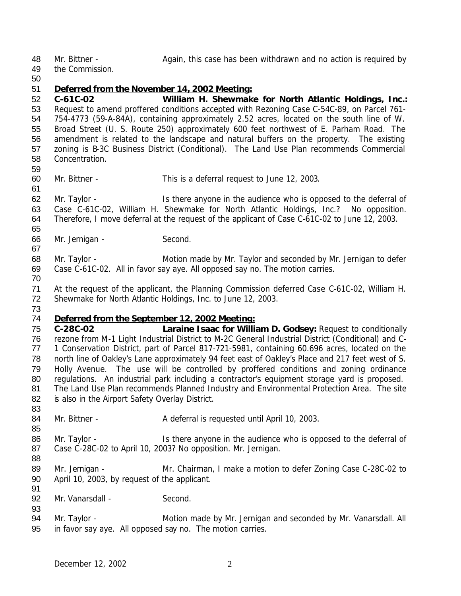48 Mr. Bittner - Again, this case has been withdrawn and no action is required by

the Commission.

# 

#### *Deferred from the November 14, 2002 Meeting:*

 **C-61C-02 William H. Shewmake for North Atlantic Holdings, Inc.:** Request to amend proffered conditions accepted with Rezoning Case C-54C-89, on Parcel 761- 754-4773 (59-A-84A), containing approximately 2.52 acres, located on the south line of W. Broad Street (U. S. Route 250) approximately 600 feet northwest of E. Parham Road. The amendment is related to the landscape and natural buffers on the property. The existing zoning is B-3C Business District (Conditional). The Land Use Plan recommends Commercial Concentration.

Mr. Bittner - This is a deferral request to June 12, 2003.

 Mr. Taylor - Is there anyone in the audience who is opposed to the deferral of Case C-61C-02, William H. Shewmake for North Atlantic Holdings, Inc.? No opposition. Therefore, I move deferral at the request of the applicant of Case C-61C-02 to June 12, 2003.

Mr. Jernigan - Second.

 Mr. Taylor - Motion made by Mr. Taylor and seconded by Mr. Jernigan to defer Case C-61C-02. All in favor say aye. All opposed say no. The motion carries.

 At the request of the applicant, the Planning Commission deferred Case C-61C-02, William H. Shewmake for North Atlantic Holdings, Inc. to June 12, 2003.

#### *Deferred from the September 12, 2002 Meeting:*

 **C-28C-02 Laraine Isaac for William D. Godsey:** Request to conditionally rezone from M-1 Light Industrial District to M-2C General Industrial District (Conditional) and C- 1 Conservation District, part of Parcel 817-721-5981, containing 60.696 acres, located on the north line of Oakley's Lane approximately 94 feet east of Oakley's Place and 217 feet west of S. Holly Avenue. The use will be controlled by proffered conditions and zoning ordinance regulations. An industrial park including a contractor's equipment storage yard is proposed. The Land Use Plan recommends Planned Industry and Environmental Protection Area. The site 82 is also in the Airport Safety Overlay District.

84 Mr. Bittner - A deferral is requested until April 10, 2003.

86 Mr. Taylor - Is there anyone in the audience who is opposed to the deferral of Case C-28C-02 to April 10, 2003? No opposition. Mr. Jernigan. 

 Mr. Jernigan - Mr. Chairman, I make a motion to defer Zoning Case C-28C-02 to April 10, 2003, by request of the applicant. 

92 Mr. Vanarsdall - Second.

 Mr. Taylor - Motion made by Mr. Jernigan and seconded by Mr. Vanarsdall. All in favor say aye. All opposed say no. The motion carries.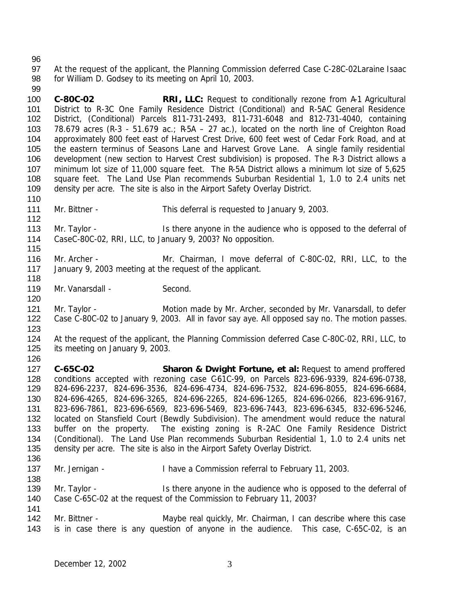#### 

 At the request of the applicant, the Planning Commission deferred Case C-28C-02Laraine Isaac for William D. Godsey to its meeting on April 10, 2003.

 **C-80C-02 RRI, LLC:** Request to conditionally rezone from A-1 Agricultural District to R-3C One Family Residence District (Conditional) and R-5AC General Residence District, (Conditional) Parcels 811-731-2493, 811-731-6048 and 812-731-4040, containing 103 78.679 acres (R-3 - 51.679 ac.; R-5A – 27 ac.), located on the north line of Creighton Road approximately 800 feet east of Harvest Crest Drive, 600 feet west of Cedar Fork Road, and at the eastern terminus of Seasons Lane and Harvest Grove Lane. A single family residential development (new section to Harvest Crest subdivision) is proposed. The R-3 District allows a minimum lot size of 11,000 square feet. The R-5A District allows a minimum lot size of 5,625 square feet. The Land Use Plan recommends Suburban Residential 1, 1.0 to 2.4 units net density per acre. The site is also in the Airport Safety Overlay District.

Mr. Bittner - This deferral is requested to January 9, 2003.

 Mr. Taylor - Is there anyone in the audience who is opposed to the deferral of CaseC-80C-02, RRI, LLC, to January 9, 2003? No opposition.

 Mr. Archer - Mr. Chairman, I move deferral of C-80C-02, RRI, LLC, to the January 9, 2003 meeting at the request of the applicant.

119 Mr. Vanarsdall - Second.

121 Mr. Taylor - Motion made by Mr. Archer, seconded by Mr. Vanarsdall, to defer Case C-80C-02 to January 9, 2003. All in favor say aye. All opposed say no. The motion passes. 

 At the request of the applicant, the Planning Commission deferred Case C-80C-02, RRI, LLC, to its meeting on January 9, 2003.

 **C-65C-02 Sharon & Dwight Fortune, et al:** Request to amend proffered conditions accepted with rezoning case C-61C-99, on Parcels 823-696-9339, 824-696-0738, 824-696-2237, 824-696-3536, 824-696-4734, 824-696-7532, 824-696-8055, 824-696-6684, 824-696-4265, 824-696-3265, 824-696-2265, 824-696-1265, 824-696-0266, 823-696-9167, 823-696-7861, 823-696-6569, 823-696-5469, 823-696-7443, 823-696-6345, 832-696-5246, located on Stansfield Court (Bewdly Subdivision). The amendment would reduce the natural buffer on the property. The existing zoning is R-2AC One Family Residence District (Conditional). The Land Use Plan recommends Suburban Residential 1, 1.0 to 2.4 units net density per acre. The site is also in the Airport Safety Overlay District. 

137 Mr. Jernigan - I have a Commission referral to February 11, 2003.

139 Mr. Taylor - Is there anyone in the audience who is opposed to the deferral of Case C-65C-02 at the request of the Commission to February 11, 2003? 

142 Mr. Bittner - The Maybe real quickly, Mr. Chairman, I can describe where this case is in case there is any question of anyone in the audience. This case, C-65C-02, is an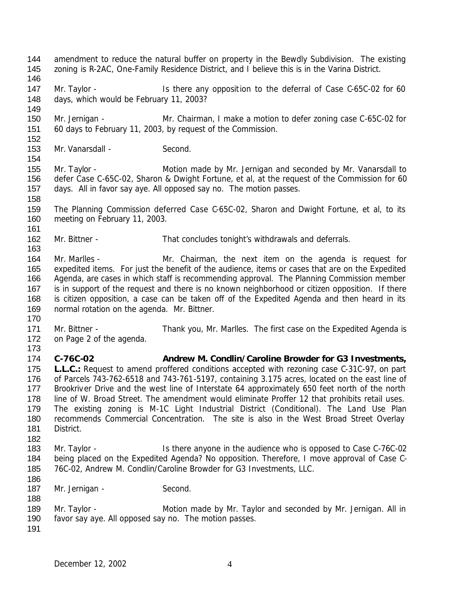December 12, 2002 4 Mr. Jernigan - Mr. Chairman, I make a motion to defer zoning case C-65C-02 for 60 days to February 11, 2003, by request of the Commission. 153 Mr. Vanarsdall - Second. 155 Mr. Taylor - **Motion made by Mr. Jernigan and seconded by Mr. Vanarsdall to**  defer Case C-65C-02, Sharon & Dwight Fortune, et al, at the request of the Commission for 60 days. All in favor say aye. All opposed say no. The motion passes. The Planning Commission deferred Case C-65C-02, Sharon and Dwight Fortune, et al, to its meeting on February 11, 2003. Mr. Bittner - That concludes tonight's withdrawals and deferrals. 164 Mr. Marlles - The Mr. Chairman, the next item on the agenda is request for expedited items. For just the benefit of the audience, items or cases that are on the Expedited Agenda, are cases in which staff is recommending approval. The Planning Commission member is in support of the request and there is no known neighborhood or citizen opposition. If there is citizen opposition, a case can be taken off of the Expedited Agenda and then heard in its normal rotation on the agenda. Mr. Bittner. Mr. Bittner - Thank you, Mr. Marlles. The first case on the Expedited Agenda is on Page 2 of the agenda. **C-76C-02 Andrew M. Condlin/Caroline Browder for G3 Investments, L.L.C.:** Request to amend proffered conditions accepted with rezoning case C-31C-97, on part of Parcels 743-762-6518 and 743-761-5197, containing 3.175 acres, located on the east line of Brookriver Drive and the west line of Interstate 64 approximately 650 feet north of the north 178 line of W. Broad Street. The amendment would eliminate Proffer 12 that prohibits retail uses. The existing zoning is M-1C Light Industrial District (Conditional). The Land Use Plan recommends Commercial Concentration. The site is also in the West Broad Street Overlay District. 183 Mr. Taylor - Is there anyone in the audience who is opposed to Case C-76C-02 being placed on the Expedited Agenda? No opposition. Therefore, I move approval of Case C- 76C-02, Andrew M. Condlin/Caroline Browder for G3 Investments, LLC. 187 Mr. Jernigan - Second. 189 Mr. Taylor - **Motion made by Mr. Taylor and seconded by Mr. Jernigan. All in**  favor say aye. All opposed say no. The motion passes. 

144 amendment to reduce the natural buffer on property in the Bewdly Subdivision. The existing

147 Mr. Taylor - Is there any opposition to the deferral of Case C-65C-02 for 60

zoning is R-2AC, One-Family Residence District, and I believe this is in the Varina District.

days, which would be February 11, 2003?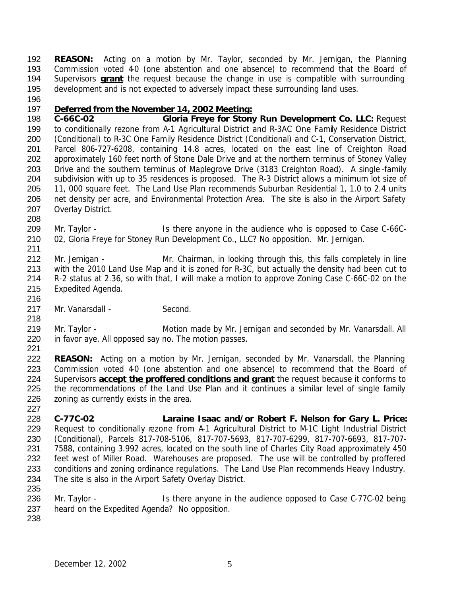**REASON:** Acting on a motion by Mr. Taylor, seconded by Mr. Jernigan, the Planning 193 Commission voted 40 (one abstention and one absence) to recommend that the Board of Supervisors **grant** the request because the change in use is compatible with surrounding development and is not expected to adversely impact these surrounding land uses.

## *Deferred from the November 14, 2002 Meeting:*

 **C-66C-02 Gloria Freye for Stony Run Development Co. LLC:** Request to conditionally rezone from A-1 Agricultural District and R-3AC One Family Residence District 200 (Conditional) to R-3C One Family Residence District (Conditional) and C-1, Conservation District, Parcel 806-727-6208, containing 14.8 acres, located on the east line of Creighton Road approximately 160 feet north of Stone Dale Drive and at the northern terminus of Stoney Valley Drive and the southern terminus of Maplegrove Drive (3183 Creighton Road). A single -family subdivision with up to 35 residences is proposed. The R-3 District allows a minimum lot size of 11, 000 square feet. The Land Use Plan recommends Suburban Residential 1, 1.0 to 2.4 units 206 net density per acre, and Environmental Protection Area. The site is also in the Airport Safety Overlay District.

 Mr. Taylor - Is there anyone in the audience who is opposed to Case C-66C-02, Gloria Freye for Stoney Run Development Co., LLC? No opposition. Mr. Jernigan.

212 Mr. Jernigan - Mr. Chairman, in looking through this, this falls completely in line with the 2010 Land Use Map and it is zoned for R-3C, but actually the density had been cut to R-2 status at 2.36, so with that, I will make a motion to approve Zoning Case C-66C-02 on the Expedited Agenda.

217 Mr. Vanarsdall - Second.

219 Mr. Taylor - Motion made by Mr. Jernigan and seconded by Mr. Vanarsdall. All in favor aye. All opposed say no. The motion passes. 

 **REASON:** Acting on a motion by Mr. Jernigan, seconded by Mr. Vanarsdall, the Planning 223 Commission voted 40 (one abstention and one absence) to recommend that the Board of Supervisors **accept the proffered conditions and grant** the request because it conforms to the recommendations of the Land Use Plan and it continues a similar level of single family 226 zoning as currently exists in the area.

 **C-77C-02 Laraine Isaac and/or Robert F. Nelson for Gary L. Price:** 229 Request to conditionally rezone from A-1 Agricultural District to M-1C Light Industrial District (Conditional), Parcels 817-708-5106, 817-707-5693, 817-707-6299, 817-707-6693, 817-707- 7588, containing 3.992 acres, located on the south line of Charles City Road approximately 450 feet west of Miller Road. Warehouses are proposed. The use will be controlled by proffered 233 conditions and zoning ordinance regulations. The Land Use Plan recommends Heavy Industry. The site is also in the Airport Safety Overlay District.

 Mr. Taylor - Is there anyone in the audience opposed to Case C-77C-02 being heard on the Expedited Agenda? No opposition.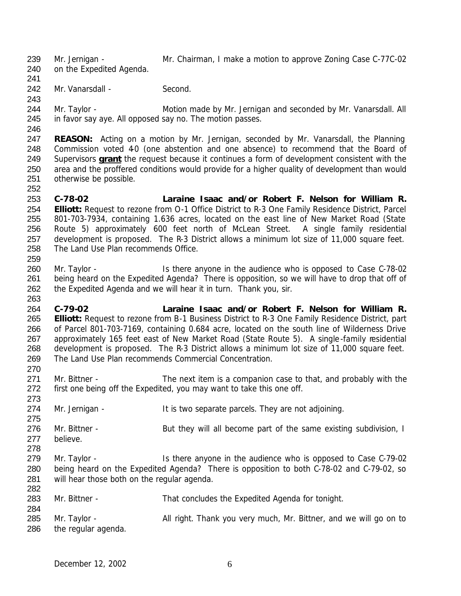Mr. Jernigan - Mr. Chairman, I make a motion to approve Zoning Case C-77C-02

on the Expedited Agenda.

- 
- 242 Mr. Vanarsdall Second.
- 
- 
- 

244 Mr. Taylor - Motion made by Mr. Jernigan and seconded by Mr. Vanarsdall. All in favor say aye. All opposed say no. The motion passes.

 **REASON:** Acting on a motion by Mr. Jernigan, seconded by Mr. Vanarsdall, the Planning 248 Commission voted 40 (one abstention and one absence) to recommend that the Board of Supervisors **grant** the request because it continues a form of development consistent with the area and the proffered conditions would provide for a higher quality of development than would otherwise be possible.

 **C-78-02 Laraine Isaac and/or Robert F. Nelson for William R. Elliott:** Request to rezone from O-1 Office District to R-3 One Family Residence District, Parcel 801-703-7934, containing 1.636 acres, located on the east line of New Market Road (State Route 5) approximately 600 feet north of McLean Street. A single family residential development is proposed. The R-3 District allows a minimum lot size of 11,000 square feet. The Land Use Plan recommends Office. 

- 260 Mr. Taylor Is there anyone in the audience who is opposed to Case C-78-02 being heard on the Expedited Agenda? There is opposition, so we will have to drop that off of the Expedited Agenda and we will hear it in turn. Thank you, sir.
- **C-79-02 Laraine Isaac and/or Robert F. Nelson for William R. Elliott:** Request to rezone from B-1 Business District to R-3 One Family Residence District, part of Parcel 801-703-7169, containing 0.684 acre, located on the south line of Wilderness Drive approximately 165 feet east of New Market Road (State Route 5). A single-family residential development is proposed. The R-3 District allows a minimum lot size of 11,000 square feet. The Land Use Plan recommends Commercial Concentration.
- Mr. Bittner The next item is a companion case to that, and probably with the first one being off the Expedited, you may want to take this one off.
- 274 Mr. Jernigan - It is two separate parcels. They are not adjoining.
- 276 Mr. Bittner But they will all become part of the same existing subdivision, I believe.
- 279 Mr. Taylor Is there anyone in the audience who is opposed to Case C-79-02 being heard on the Expedited Agenda? There is opposition to both C-78-02 and C-79-02, so will hear those both on the regular agenda.

| ∠∪∠ |                     |                                                                   |
|-----|---------------------|-------------------------------------------------------------------|
| 283 | Mr. Bittner -       | That concludes the Expedited Agenda for tonight.                  |
| 284 |                     |                                                                   |
| 285 | Mr. Taylor -        | All right. Thank you very much, Mr. Bittner, and we will go on to |
| 286 | the regular agenda. |                                                                   |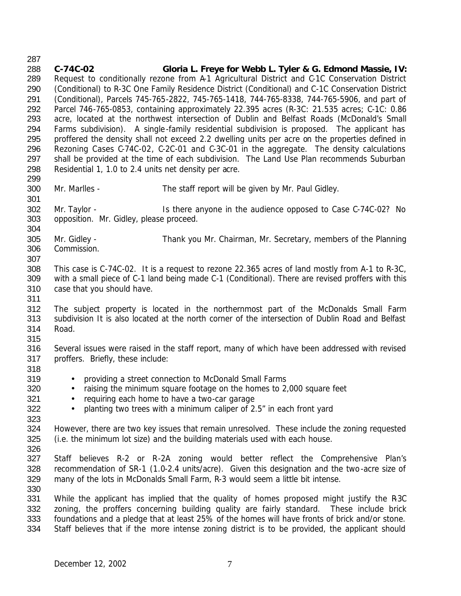- **C-74C-02 Gloria L. Freye for Webb L. Tyler & G. Edmond Massie, IV:** Request to conditionally rezone from A-1 Agricultural District and C-1C Conservation District (Conditional) to R-3C One Family Residence District (Conditional) and C-1C Conservation District (Conditional), Parcels 745-765-2822, 745-765-1418, 744-765-8338, 744-765-5906, and part of Parcel 746-765-0853, containing approximately 22.395 acres (R-3C: 21.535 acres; C-1C: 0.86 acre, located at the northwest intersection of Dublin and Belfast Roads (McDonald's Small Farms subdivision). A single-family residential subdivision is proposed. The applicant has proffered the density shall not exceed 2.2 dwelling units per acre on the properties defined in Rezoning Cases C-74C-02, C-2C-01 and C-3C-01 in the aggregate. The density calculations 297 shall be provided at the time of each subdivision. The Land Use Plan recommends Suburban Residential 1, 1.0 to 2.4 units net density per acre. Mr. Marlles - The staff report will be given by Mr. Paul Gidley. 302 Mr. Taylor - Is there anyone in the audience opposed to Case C-74C-02? No opposition. Mr. Gidley, please proceed. Mr. Gidley - Thank you Mr. Chairman, Mr. Secretary, members of the Planning Commission. This case is C-74C-02. It is a request to rezone 22.365 acres of land mostly from A-1 to R-3C, with a small piece of C-1 land being made C-1 (Conditional). There are revised proffers with this case that you should have. The subject property is located in the northernmost part of the McDonalds Small Farm subdivision It is also located at the north corner of the intersection of Dublin Road and Belfast Road. Several issues were raised in the staff report, many of which have been addressed with revised proffers. Briefly, these include: • providing a street connection to McDonald Small Farms • raising the minimum square footage on the homes to 2,000 square feet 321 • requiring each home to have a two-car garage 322 • planting two trees with a minimum caliper of 2.5" in each front yard However, there are two key issues that remain unresolved. These include the zoning requested (i.e. the minimum lot size) and the building materials used with each house. Staff believes R-2 or R-2A zoning would better reflect the Comprehensive Plan's recommendation of SR-1 (1.0-2.4 units/acre). Given this designation and the two-acre size of many of the lots in McDonalds Small Farm, R-3 would seem a little bit intense. 331 While the applicant has implied that the quality of homes proposed might justify the R3C 332 zoning, the proffers concerning building quality are fairly standard. These include brick foundations and a pledge that at least 25% of the homes will have fronts of brick and/or stone.
- Staff believes that if the more intense zoning district is to be provided, the applicant should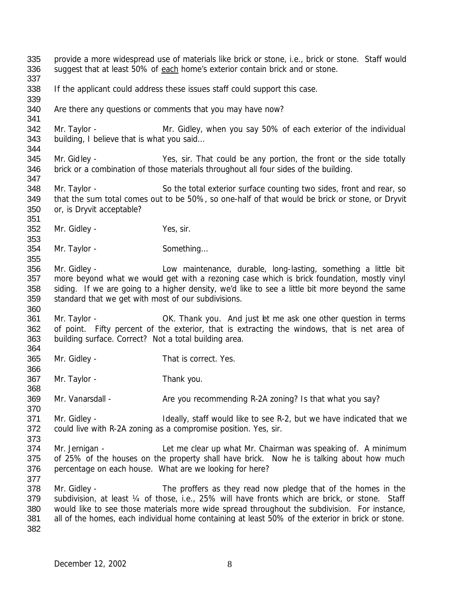provide a more widespread use of materials like brick or stone, i.e., brick or stone. Staff would suggest that at least 50% of each home's exterior contain brick and or stone. If the applicant could address these issues staff could support this case. Are there any questions or comments that you may have now? 342 Mr. Taylor - Mr. Gidley, when you say 50% of each exterior of the individual building, I believe that is what you said… Mr. Gidley - Yes, sir. That could be any portion, the front or the side totally brick or a combination of those materials throughout all four sides of the building. Mr. Taylor - So the total exterior surface counting two sides, front and rear, so that the sum total comes out to be 50%, so one-half of that would be brick or stone, or Dryvit or, is Dryvit acceptable? Mr. Gidley - Yes, sir. 354 Mr. Taylor - Something... Mr. Gidley - Low maintenance, durable, long-lasting, something a little bit more beyond what we would get with a rezoning case which is brick foundation, mostly vinyl siding. If we are going to a higher density, we'd like to see a little bit more beyond the same standard that we get with most of our subdivisions. 361 Mr. Taylor - **OK.** Thank you. And just let me ask one other question in terms of point. Fifty percent of the exterior, that is extracting the windows, that is net area of building surface. Correct? Not a total building area. Mr. Gidley - That is correct. Yes. Mr. Taylor - Thank you. 369 Mr. Vanarsdall - Are you recommending R-2A zoning? Is that what you say? Mr. Gidley - Ideally, staff would like to see R-2, but we have indicated that we could live with R-2A zoning as a compromise position. Yes, sir. Mr. Jernigan - Let me clear up what Mr. Chairman was speaking of. A minimum of 25% of the houses on the property shall have brick. Now he is talking about how much percentage on each house. What are we looking for here? Mr. Gidley - The proffers as they read now pledge that of the homes in the 379 subdivision, at least 1/4 of those, i.e., 25% will have fronts which are brick, or stone. Staff would like to see those materials more wide spread throughout the subdivision. For instance, all of the homes, each individual home containing at least 50% of the exterior in brick or stone.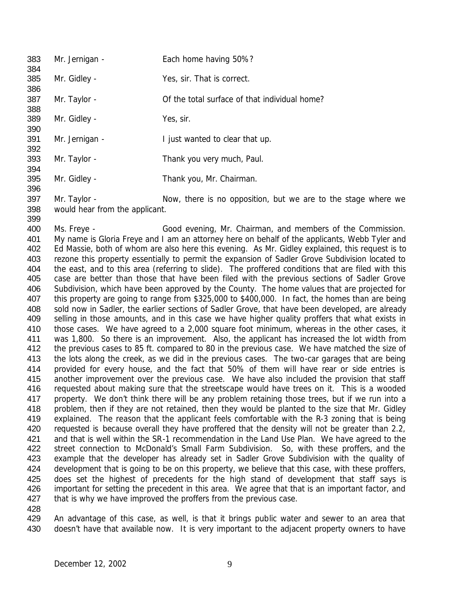Mr. Jernigan - Each home having 50%? Mr. Gidley - Yes, sir. That is correct. 387 Mr. Taylor - Cof the total surface of that individual home? Mr. Gidley - Yes, sir. 391 Mr. Jernigan - I just wanted to clear that up. Mr. Taylor - Thank you very much, Paul. Mr. Gidley - Thank you, Mr. Chairman. 

397 Mr. Taylor - Now, there is no opposition, but we are to the stage where we would hear from the applicant. 

 Ms. Freye - Good evening, Mr. Chairman, and members of the Commission. My name is Gloria Freye and I am an attorney here on behalf of the applicants, Webb Tyler and Ed Massie, both of whom are also here this evening. As Mr. Gidley explained, this request is to rezone this property essentially to permit the expansion of Sadler Grove Subdivision located to the east, and to this area (referring to slide). The proffered conditions that are filed with this case are better than those that have been filed with the previous sections of Sadler Grove Subdivision, which have been approved by the County. The home values that are projected for this property are going to range from \$325,000 to \$400,000. In fact, the homes than are being sold now in Sadler, the earlier sections of Sadler Grove, that have been developed, are already 409 selling in those amounts, and in this case we have higher quality proffers that what exists in those cases. We have agreed to a 2,000 square foot minimum, whereas in the other cases, it was 1,800. So there is an improvement. Also, the applicant has increased the lot width from the previous cases to 85 ft. compared to 80 in the previous case. We have matched the size of the lots along the creek, as we did in the previous cases. The two-car garages that are being provided for every house, and the fact that 50% of them will have rear or side entries is another improvement over the previous case. We have also included the provision that staff requested about making sure that the streetscape would have trees on it. This is a wooded property. We don't think there will be any problem retaining those trees, but if we run into a problem, then if they are not retained, then they would be planted to the size that Mr. Gidley explained. The reason that the applicant feels comfortable with the R-3 zoning that is being 420 requested is because overall they have proffered that the density will not be greater than 2.2, and that is well within the SR-1 recommendation in the Land Use Plan. We have agreed to the 422 street connection to McDonald's Small Farm Subdivision. So, with these proffers, and the example that the developer has already set in Sadler Grove Subdivision with the quality of 424 development that is going to be on this property, we believe that this case, with these proffers, does set the highest of precedents for the high stand of development that staff says is important for setting the precedent in this area. We agree that that is an important factor, and 427 that is why we have improved the proffers from the previous case. 

 An advantage of this case, as well, is that it brings public water and sewer to an area that doesn't have that available now. It is very important to the adjacent property owners to have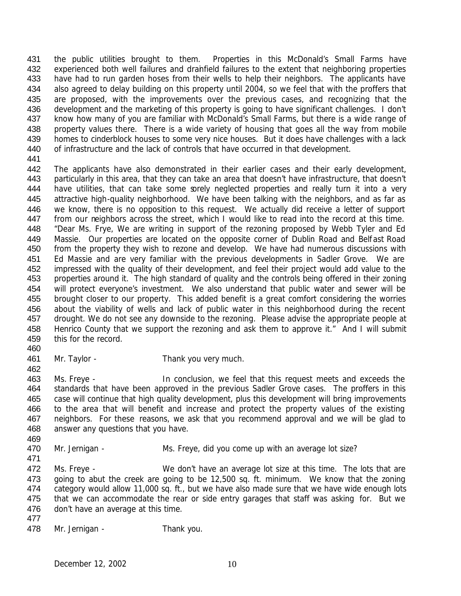the public utilities brought to them. Properties in this McDonald's Small Farms have experienced both well failures and drainfield failures to the extent that neighboring properties 433 have had to run garden hoses from their wells to help their neighbors. The applicants have also agreed to delay building on this property until 2004, so we feel that with the proffers that are proposed, with the improvements over the previous cases, and recognizing that the development and the marketing of this property is going to have significant challenges. I don't know how many of you are familiar with McDonald's Small Farms, but there is a wide range of 438 property values there. There is a wide variety of housing that goes all the way from mobile homes to cinderblock houses to some very nice houses. But it does have challenges with a lack of infrastructure and the lack of controls that have occurred in that development. 

- The applicants have also demonstrated in their earlier cases and their early development, particularly in this area, that they can take an area that doesn't have infrastructure, that doesn't 444 have utilities, that can take some sorely neglected properties and really turn it into a very attractive high-quality neighborhood. We have been talking with the neighbors, and as far as we know, there is no opposition to this request. We actually did receive a letter of support 447 from our neighbors across the street, which I would like to read into the record at this time. "Dear Ms. Frye, We are writing in support of the rezoning proposed by Webb Tyler and Ed Massie. Our properties are located on the opposite corner of Dublin Road and Belfast Road from the property they wish to rezone and develop. We have had numerous discussions with Ed Massie and are very familiar with the previous developments in Sadler Grove. We are impressed with the quality of their development, and feel their project would add value to the properties around it. The high standard of quality and the controls being offered in their zoning will protect everyone's investment. We also understand that public water and sewer will be brought closer to our property. This added benefit is a great comfort considering the worries about the viability of wells and lack of public water in this neighborhood during the recent drought. We do not see any downside to the rezoning. Please advise the appropriate people at 458 Henrico County that we support the rezoning and ask them to approve it." And I will submit this for the record.
- 

- Mr. Taylor Thank you very much.
- Ms. Freye In conclusion, we feel that this request meets and exceeds the 464 standards that have been approved in the previous Sadler Grove cases. The proffers in this case will continue that high quality development, plus this development will bring improvements to the area that will benefit and increase and protect the property values of the existing neighbors. For these reasons, we ask that you recommend approval and we will be glad to answer any questions that you have.
- 

- 470 Mr. Jernigan Ms. Freye, did you come up with an average lot size?
- 472 Ms. Freye We don't have an average lot size at this time. The lots that are going to abut the creek are going to be 12,500 sq. ft. minimum. We know that the zoning category would allow 11,000 sq. ft., but we have also made sure that we have wide enough lots that we can accommodate the rear or side entry garages that staff was asking for. But we don't have an average at this time.
- 478 Mr. Jernigan Thank you.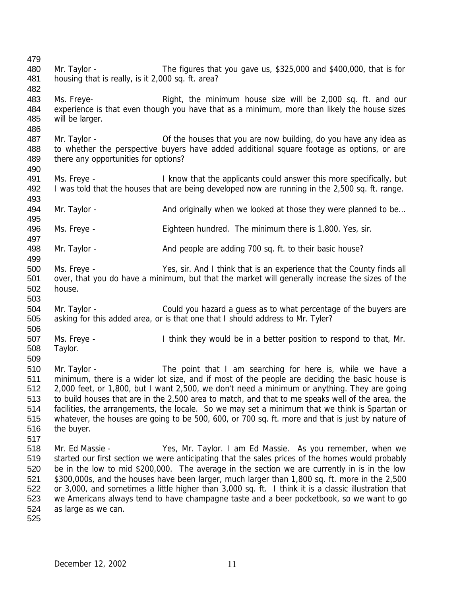Mr. Taylor - The figures that you gave us, \$325,000 and \$400,000, that is for housing that is really, is it 2,000 sq. ft. area? Ms. Freye- Right, the minimum house size will be 2,000 sq. ft. and our experience is that even though you have that as a minimum, more than likely the house sizes will be larger. 487 Mr. Taylor - **Of the houses that you are now building**, do you have any idea as to whether the perspective buyers have added additional square footage as options, or are 489 there any opportunities for options? Ms. Freye - I know that the applicants could answer this more specifically, but I was told that the houses that are being developed now are running in the 2,500 sq. ft. range. 494 Mr. Taylor - And originally when we looked at those they were planned to be... Ms. Freye - Eighteen hundred. The minimum there is 1,800. Yes, sir. Mr. Taylor - And people are adding 700 sq. ft. to their basic house? Ms. Freye - Yes, sir. And I think that is an experience that the County finds all over, that you do have a minimum, but that the market will generally increase the sizes of the house. Mr. Taylor - Could you hazard a guess as to what percentage of the buyers are asking for this added area, or is that one that I should address to Mr. Tyler? Ms. Freye - I think they would be in a better position to respond to that, Mr. Taylor. Mr. Taylor - The point that I am searching for here is, while we have a minimum, there is a wider lot size, and if most of the people are deciding the basic house is 2,000 feet, or 1,800, but I want 2,500, we don't need a minimum or anything. They are going to build houses that are in the 2,500 area to match, and that to me speaks well of the area, the facilities, the arrangements, the locale. So we may set a minimum that we think is Spartan or whatever, the houses are going to be 500, 600, or 700 sq. ft. more and that is just by nature of the buyer. Mr. Ed Massie - Yes, Mr. Taylor. I am Ed Massie. As you remember, when we started our first section we were anticipating that the sales prices of the homes would probably be in the low to mid \$200,000. The average in the section we are currently in is in the low \$300,000s, and the houses have been larger, much larger than 1,800 sq. ft. more in the 2,500 or 3,000, and sometimes a little higher than 3,000 sq. ft. I think it is a classic illustration that we Americans always tend to have champagne taste and a beer pocketbook, so we want to go as large as we can.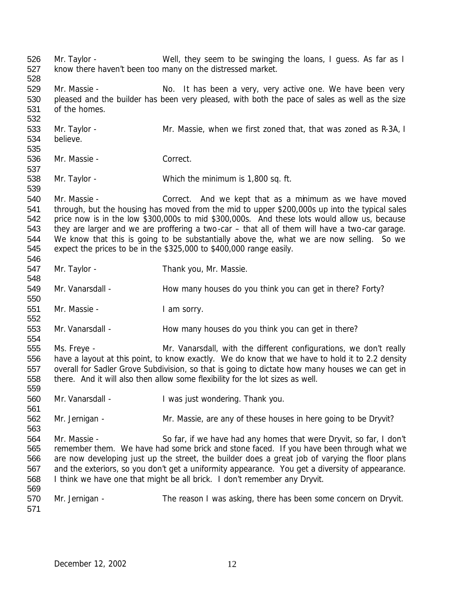Mr. Taylor - Well, they seem to be swinging the loans, I guess. As far as I know there haven't been too many on the distressed market. 529 Mr. Massie - No. It has been a very, very active one. We have been very pleased and the builder has been very pleased, with both the pace of sales as well as the size of the homes. 533 Mr. Taylor - Mr. Massie, when we first zoned that, that was zoned as R-3A, I believe. Mr. Massie - Correct. Mr. Taylor - Which the minimum is 1,800 sq. ft. Mr. Massie - Correct. And we kept that as a minimum as we have moved through, but the housing has moved from the mid to upper \$200,000s up into the typical sales price now is in the low \$300,000s to mid \$300,000s. And these lots would allow us, because they are larger and we are proffering a two-car – that all of them will have a two-car garage. We know that this is going to be substantially above the, what we are now selling. So we expect the prices to be in the \$325,000 to \$400,000 range easily. 547 Mr. Taylor - Thank you, Mr. Massie. 549 Mr. Vanarsdall - How many houses do you think you can get in there? Forty? Mr. Massie - I am sorry. 553 Mr. Vanarsdall - How many houses do you think you can get in there? Ms. Freye - Mr. Vanarsdall, with the different configurations, we don't really have a layout at this point, to know exactly. We do know that we have to hold it to 2.2 density overall for Sadler Grove Subdivision, so that is going to dictate how many houses we can get in there. And it will also then allow some flexibility for the lot sizes as well. Mr. Vanarsdall - I was just wondering. Thank you. Mr. Jernigan - Mr. Massie, are any of these houses in here going to be Dryvit? Mr. Massie - So far, if we have had any homes that were Dryvit, so far, I don't remember them. We have had some brick and stone faced. If you have been through what we are now developing just up the street, the builder does a great job of varying the floor plans and the exteriors, so you don't get a uniformity appearance. You get a diversity of appearance. I think we have one that might be all brick. I don't remember any Dryvit. 570 Mr. Jernigan - The reason I was asking, there has been some concern on Dryvit.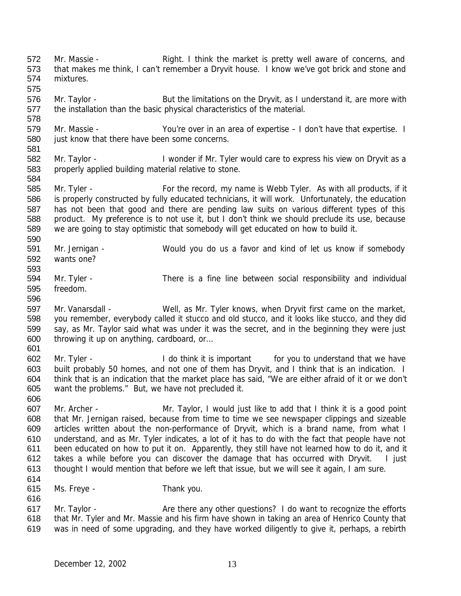572 Mr. Massie - Right. I think the market is pretty well aware of concerns, and that makes me think, I can't remember a Dryvit house. I know we've got brick and stone and mixtures. 

576 Mr. Taylor - But the limitations on the Dryvit, as I understand it, are more with the installation than the basic physical characteristics of the material.

 Mr. Massie - You're over in an area of expertise – I don't have that expertise. I just know that there have been some concerns. 

- 582 Mr. Taylor I wonder if Mr. Tyler would care to express his view on Dryvit as a properly applied building material relative to stone.
- 585 Mr. Tyler For the record, my name is Webb Tyler. As with all products, if it is properly constructed by fully educated technicians, it will work. Unfortunately, the education has not been that good and there are pending law suits on various different types of this product. My preference is to not use it, but I don't think we should preclude its use, because we are going to stay optimistic that somebody will get educated on how to build it.
- Mr. Jernigan - Would you do us a favor and kind of let us know if somebody wants one?
- Mr. Tyler There is a fine line between social responsibility and individual freedom.
- Mr. Vanarsdall Well, as Mr. Tyler knows, when Dryvit first came on the market, you remember, everybody called it stucco and old stucco, and it looks like stucco, and they did say, as Mr. Taylor said what was under it was the secret, and in the beginning they were just throwing it up on anything, cardboard, or…
- Mr. Tyler I do think it is important for you to understand that we have built probably 50 homes, and not one of them has Dryvit, and I think that is an indication. I think that is an indication that the market place has said, "We are either afraid of it or we don't want the problems." But, we have not precluded it.
- Mr. Archer Mr. Taylor, I would just like to add that I think it is a good point that Mr. Jernigan raised, because from time to time we see newspaper clippings and sizeable articles written about the non-performance of Dryvit, which is a brand name, from what I understand, and as Mr. Tyler indicates, a lot of it has to do with the fact that people have not been educated on how to put it on. Apparently, they still have not learned how to do it, and it takes a while before you can discover the damage that has occurred with Dryvit. I just thought I would mention that before we left that issue, but we will see it again, I am sure.
- 

- Ms. Freye Thank you.
- 617 Mr. Taylor Are there any other questions? I do want to recognize the efforts that Mr. Tyler and Mr. Massie and his firm have shown in taking an area of Henrico County that was in need of some upgrading, and they have worked diligently to give it, perhaps, a rebirth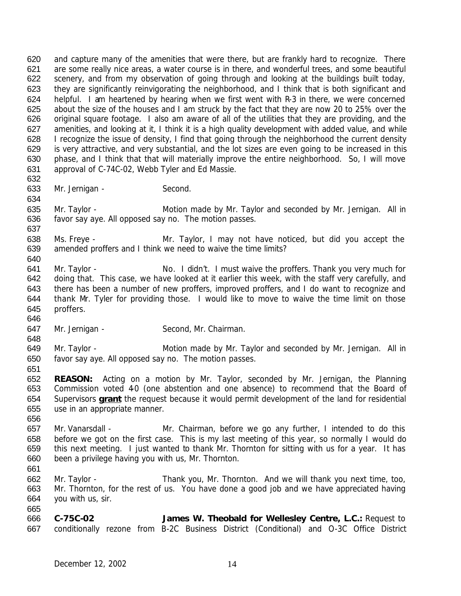and capture many of the amenities that were there, but are frankly hard to recognize. There are some really nice areas, a water course is in there, and wonderful trees, and some beautiful scenery, and from my observation of going through and looking at the buildings built today, they are significantly reinvigorating the neighborhood, and I think that is both significant and helpful. I am heartened by hearing when we first went with R-3 in there, we were concerned about the size of the houses and I am struck by the fact that they are now 20 to 25% over the original square footage. I also am aware of all of the utilities that they are providing, and the amenities, and looking at it, I think it is a high quality development with added value, and while 628 I recognize the issue of density, I find that going through the neighborhood the current density is very attractive, and very substantial, and the lot sizes are even going to be increased in this phase, and I think that that will materially improve the entire neighborhood. So, I will move approval of C-74C-02, Webb Tyler and Ed Massie. 

- 633 Mr. Jernigan Second.
- 

635 Mr. Taylor - Motion made by Mr. Taylor and seconded by Mr. Jernigan. All in favor say aye. All opposed say no. The motion passes. 

 Ms. Freye - Mr. Taylor, I may not have noticed, but did you accept the amended proffers and I think we need to waive the time limits?

- 641 Mr. Taylor No. I didn't. I must waive the proffers. Thank you very much for doing that. This case, we have looked at it earlier this week, with the staff very carefully, and there has been a number of new proffers, improved proffers, and I do want to recognize and thank Mr. Tyler for providing those. I would like to move to waive the time limit on those proffers.
- 647 Mr. Jernigan Second, Mr. Chairman.

 649 Mr. Taylor - Motion made by Mr. Taylor and seconded by Mr. Jernigan. All in favor say aye. All opposed say no. The motion passes.

 **REASON:** Acting on a motion by Mr. Taylor, seconded by Mr. Jernigan, the Planning 653 Commission voted 40 (one abstention and one absence) to recommend that the Board of Supervisors **grant** the request because it would permit development of the land for residential use in an appropriate manner. 

- Mr. Vanarsdall Mr. Chairman, before we go any further, I intended to do this before we got on the first case. This is my last meeting of this year, so normally I would do this next meeting. I just wanted to thank Mr. Thornton for sitting with us for a year. It has been a privilege having you with us, Mr. Thornton.
- 
- Mr. Taylor Thank you, Mr. Thornton. And we will thank you next time, too, Mr. Thornton, for the rest of us. You have done a good job and we have appreciated having you with us, sir.

 **C-75C-02 James W. Theobald for Wellesley Centre, L.C.:** Request to conditionally rezone from B-2C Business District (Conditional) and O-3C Office District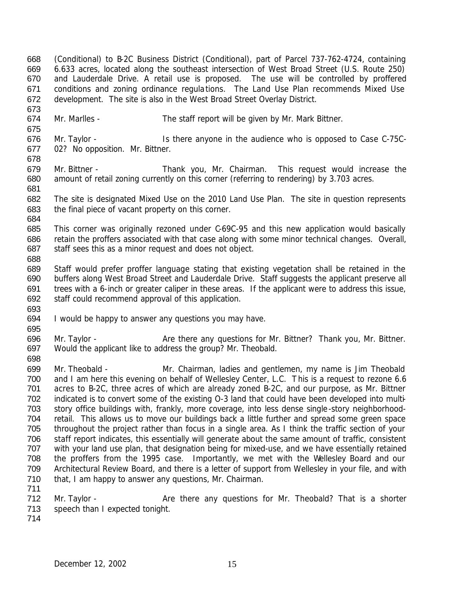(Conditional) to B-2C Business District (Conditional), part of Parcel 737-762-4724, containing 6.633 acres, located along the southeast intersection of West Broad Street (U.S. Route 250) and Lauderdale Drive. A retail use is proposed. The use will be controlled by proffered conditions and zoning ordinance regulations. The Land Use Plan recommends Mixed Use development. The site is also in the West Broad Street Overlay District. 

Mr. Marlles - The staff report will be given by Mr. Mark Bittner.

 Mr. Taylor - Is there anyone in the audience who is opposed to Case C-75C- 02? No opposition. Mr. Bittner. 

- Mr. Bittner Thank you, Mr. Chairman. This request would increase the amount of retail zoning currently on this corner (referring to rendering) by 3.703 acres.
- The site is designated Mixed Use on the 2010 Land Use Plan. The site in question represents the final piece of vacant property on this corner.
- This corner was originally rezoned under C-69C-95 and this new application would basically retain the proffers associated with that case along with some minor technical changes. Overall, 687 staff sees this as a minor request and does not object.
- Staff would prefer proffer language stating that existing vegetation shall be retained in the buffers along West Broad Street and Lauderdale Drive. Staff suggests the applicant preserve all trees with a 6-inch or greater caliper in these areas. If the applicant were to address this issue, staff could recommend approval of this application.
- I would be happy to answer any questions you may have.
- 696 Mr. Taylor Are there any questions for Mr. Bittner? Thank you, Mr. Bittner. Would the applicant like to address the group? Mr. Theobald.
- Mr. Theobald Mr. Chairman, ladies and gentlemen, my name is Jim Theobald and I am here this evening on behalf of Wellesley Center, L.C. This is a request to rezone 6.6 acres to B-2C, three acres of which are already zoned B-2C, and our purpose, as Mr. Bittner indicated is to convert some of the existing O-3 land that could have been developed into multi- story office buildings with, frankly, more coverage, into less dense single-story neighborhood- retail. This allows us to move our buildings back a little further and spread some green space throughout the project rather than focus in a single area. As I think the traffic section of your staff report indicates, this essentially will generate about the same amount of traffic, consistent with your land use plan, that designation being for mixed-use, and we have essentially retained the proffers from the 1995 case. Importantly, we met with the Wellesley Board and our Architectural Review Board, and there is a letter of support from Wellesley in your file, and with that, I am happy to answer any questions, Mr. Chairman.
- 712 Mr. Taylor Are there any questions for Mr. Theobald? That is a shorter speech than I expected tonight.
-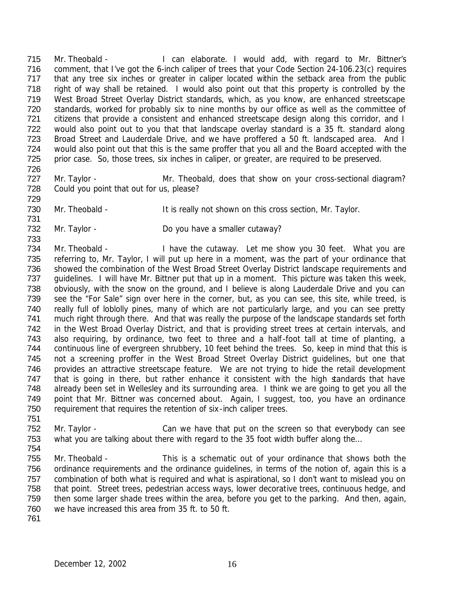715 Mr. Theobald - I can elaborate. I would add, with regard to Mr. Bittner's comment, that I've got the 6-inch caliper of trees that your Code Section 24-106.23(c) requires that any tree six inches or greater in caliper located within the setback area from the public right of way shall be retained. I would also point out that this property is controlled by the West Broad Street Overlay District standards, which, as you know, are enhanced streetscape standards, worked for probably six to nine months by our office as well as the committee of 721 citizens that provide a consistent and enhanced streetscape design along this corridor, and I would also point out to you that that landscape overlay standard is a 35 ft. standard along Broad Street and Lauderdale Drive, and we have proffered a 50 ft. landscaped area. And I would also point out that this is the same proffer that you all and the Board accepted with the prior case. So, those trees, six inches in caliper, or greater, are required to be preserved. 

- 727 Mr. Taylor Mr. Theobald, does that show on your cross-sectional diagram? Could you point that out for us, please?
- 730 Mr. Theobald It is really not shown on this cross section, Mr. Taylor.
- 732 Mr. Taylor Do you have a smaller cutaway?

 Mr. Theobald - I have the cutaway. Let me show you 30 feet. What you are referring to, Mr. Taylor, I will put up here in a moment, was the part of your ordinance that showed the combination of the West Broad Street Overlay District landscape requirements and guidelines. I will have Mr. Bittner put that up in a moment. This picture was taken this week, obviously, with the snow on the ground, and I believe is along Lauderdale Drive and you can see the "For Sale" sign over here in the corner, but, as you can see, this site, while treed, is really full of loblolly pines, many of which are not particularly large, and you can see pretty much right through there. And that was really the purpose of the landscape standards set forth in the West Broad Overlay District, and that is providing street trees at certain intervals, and also requiring, by ordinance, two feet to three and a half-foot tall at time of planting, a continuous line of evergreen shrubbery, 10 feet behind the trees. So, keep in mind that this is not a screening proffer in the West Broad Street Overlay District guidelines, but one that provides an attractive streetscape feature. We are not trying to hide the retail development that is going in there, but rather enhance it consistent with the high standards that have already been set in Wellesley and its surrounding area. I think we are going to get you all the point that Mr. Bittner was concerned about. Again, I suggest, too, you have an ordinance requirement that requires the retention of six-inch caliper trees. 

- Mr. Taylor Can we have that put on the screen so that everybody can see 753 what you are talking about there with regard to the 35 foot width buffer along the...
- Mr. Theobald This is a schematic out of your ordinance that shows both the ordinance requirements and the ordinance guidelines, in terms of the notion of, again this is a combination of both what is required and what is aspirational, so I don't want to mislead you on that point. Street trees, pedestrian access ways, lower decorative trees, continuous hedge, and then some larger shade trees within the area, before you get to the parking. And then, again, we have increased this area from 35 ft. to 50 ft.
-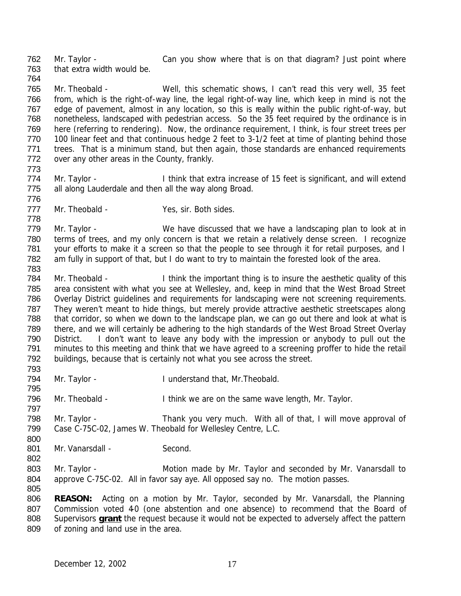762 Mr. Taylor - Can you show where that is on that diagram? Just point where that extra width would be. 

 Mr. Theobald - Well, this schematic shows, I can't read this very well, 35 feet from, which is the right-of-way line, the legal right-of-way line, which keep in mind is not the edge of pavement, almost in any location, so this is really within the public right-of-way, but nonetheless, landscaped with pedestrian access. So the 35 feet required by the ordinance is in here (referring to rendering). Now, the ordinance requirement, I think, is four street trees per 770 100 linear feet and that continuous hedge 2 feet to 3-1/2 feet at time of planting behind those trees. That is a minimum stand, but then again, those standards are enhanced requirements over any other areas in the County, frankly.

774 Mr. Taylor - I think that extra increase of 15 feet is significant, and will extend all along Lauderdale and then all the way along Broad. 

777 Mr. Theobald - Yes, sir. Both sides.

779 Mr. Taylor - We have discussed that we have a landscaping plan to look at in terms of trees, and my only concern is that we retain a relatively dense screen. I recognize your efforts to make it a screen so that the people to see through it for retail purposes, and I am fully in support of that, but I do want to try to maintain the forested look of the area. 

 Mr. Theobald - I think the important thing is to insure the aesthetic quality of this area consistent with what you see at Wellesley, and, keep in mind that the West Broad Street Overlay District guidelines and requirements for landscaping were not screening requirements. They weren't meant to hide things, but merely provide attractive aesthetic streetscapes along that corridor, so when we down to the landscape plan, we can go out there and look at what is there, and we will certainly be adhering to the high standards of the West Broad Street Overlay District. I don't want to leave any body with the impression or anybody to pull out the minutes to this meeting and think that we have agreed to a screening proffer to hide the retail buildings, because that is certainly not what you see across the street. 

Mr. Taylor - I understand that, Mr.Theobald.

796 Mr. Theobald - I think we are on the same wave length, Mr. Taylor.

798 Mr. Taylor - Thank you very much. With all of that, I will move approval of Case C-75C-02, James W. Theobald for Wellesley Centre, L.C.

801 Mr. Vanarsdall - Second.

803 Mr. Taylor - Motion made by Mr. Taylor and seconded by Mr. Vanarsdall to approve C-75C-02. All in favor say aye. All opposed say no. The motion passes. 

 **REASON:** Acting on a motion by Mr. Taylor, seconded by Mr. Vanarsdall, the Planning 807 Commission voted 40 (one abstention and one absence) to recommend that the Board of Supervisors **grant** the request because it would not be expected to adversely affect the pattern of zoning and land use in the area.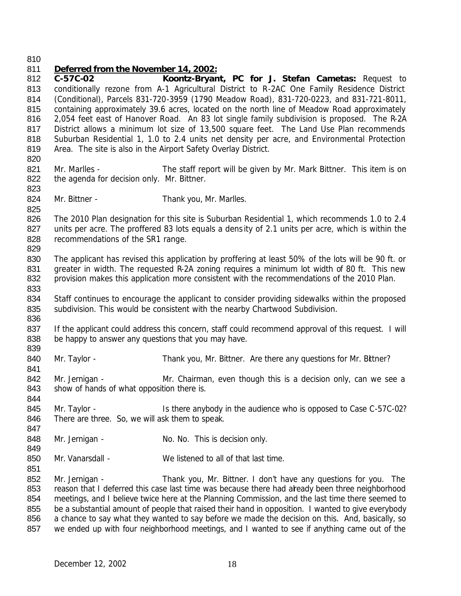#### *Deferred from the November 14, 2002:*

 **C-57C-02 Koontz-Bryant, PC for J. Stefan Cametas:** Request to conditionally rezone from A-1 Agricultural District to R-2AC One Family Residence District (Conditional), Parcels 831-720-3959 (1790 Meadow Road), 831-720-0223, and 831-721-8011, containing approximately 39.6 acres, located on the north line of Meadow Road approximately 2,054 feet east of Hanover Road. An 83 lot single family subdivision is proposed. The R-2A District allows a minimum lot size of 13,500 square feet. The Land Use Plan recommends Suburban Residential 1, 1.0 to 2.4 units net density per acre, and Environmental Protection Area. The site is also in the Airport Safety Overlay District. 821 Mr. Marlles - The staff report will be given by Mr. Mark Bittner. This item is on 822 the agenda for decision only. Mr. Bittner. 824 Mr. Bittner - Thank you, Mr. Marlles. The 2010 Plan designation for this site is Suburban Residential 1, which recommends 1.0 to 2.4 units per acre. The proffered 83 lots equals a dens ity of 2.1 units per acre, which is within the 828 recommendations of the SR1 range. The applicant has revised this application by proffering at least 50% of the lots will be 90 ft. or 831 greater in width. The requested R-2A zoning requires a minimum lot width of 80 ft. This new provision makes this application more consistent with the recommendations of the 2010 Plan. 834 Staff continues to encourage the applicant to consider providing sidewalks within the proposed subdivision. This would be consistent with the nearby Chartwood Subdivision. 837 If the applicant could address this concern, staff could recommend approval of this request. I will 838 be happy to answer any questions that you may have. 840 Mr. Taylor - Thank you, Mr. Bittner. Are there any questions for Mr. Bittner? 842 Mr. Jernigan - Mr. Chairman, even though this is a decision only, can we see a 843 show of hands of what opposition there is. 845 Mr. Taylor - Is there anybody in the audience who is opposed to Case C-57C-02? There are three. So, we will ask them to speak. 848 Mr. Jernigan - No. No. No. This is decision only. Mr. Vanarsdall - We listened to all of that last time. Mr. Jernigan - Thank you, Mr. Bittner. I don't have any questions for you. The 853 reason that I deferred this case last time was because there had already been three neighborhood meetings, and I believe twice here at the Planning Commission, and the last time there seemed to 855 be a substantial amount of people that raised their hand in opposition. I wanted to give everybody a chance to say what they wanted to say before we made the decision on this. And, basically, so we ended up with four neighborhood meetings, and I wanted to see if anything came out of the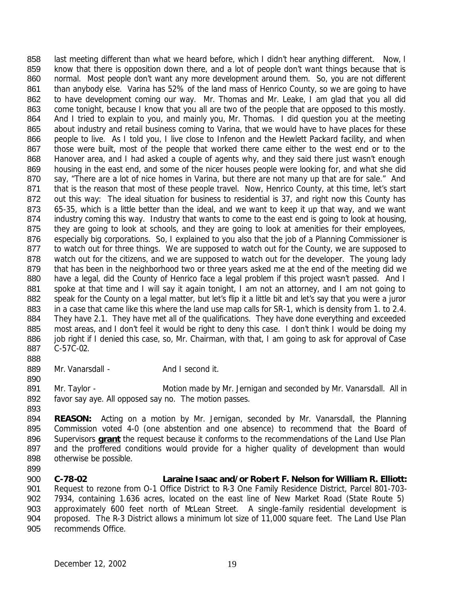858 last meeting different than what we heard before, which I didn't hear anything different. Now, I 859 know that there is opposition down there, and a lot of people don't want things because that is 860 normal. Most people don't want any more development around them. So, you are not different 861 than anybody else. Varina has 52% of the land mass of Henrico County, so we are going to have 862 to have development coming our way. Mr. Thomas and Mr. Leake, I am glad that you all did 863 come tonight, because I know that you all are two of the people that are opposed to this mostly. 864 And I tried to explain to you, and mainly you, Mr. Thomas. I did question you at the meeting 865 about industry and retail business coming to Varina, that we would have to have places for these 866 people to live. As I told you, I live close to Infenon and the Hewlett Packard facility, and when 867 those were built, most of the people that worked there came either to the west end or to the 868 Hanover area, and I had asked a couple of agents why, and they said there just wasn't enough 869 housing in the east end, and some of the nicer houses people were looking for, and what she did 870 say, "There are a lot of nice homes in Varina, but there are not many up that are for sale." And 871 that is the reason that most of these people travel. Now, Henrico County, at this time, let's start 872 out this way: The ideal situation for business to residential is 37, and right now this County has 873 65-35, which is a little better than the ideal, and we want to keep it up that way, and we want 874 industry coming this way. Industry that wants to come to the east end is going to look at housing, 875 they are going to look at schools, and they are going to look at amenities for their employees, 876 especially big corporations. So, I explained to you also that the job of a Planning Commissioner is 877 to watch out for three things. We are supposed to watch out for the County, we are supposed to 878 watch out for the citizens, and we are supposed to watch out for the developer. The young lady 879 that has been in the neighborhood two or three years asked me at the end of the meeting did we 880 have a legal, did the County of Henrico face a legal problem if this project wasn't passed. And I 881 spoke at that time and I will say it again tonight, I am not an attorney, and I am not going to 882 speak for the County on a legal matter, but let's flip it a little bit and let's say that you were a juror 883 in a case that came like this where the land use map calls for SR-1, which is density from 1. to 2.4. 884 They have 2.1. They have met all of the qualifications. They have done everything and exceeded 885 most areas, and I don't feel it would be right to deny this case. I don't think I would be doing my 886 job right if I denied this case, so, Mr. Chairman, with that, I am going to ask for approval of Case 887 C-57C-02.

- 889 Mr. Vanarsdall And I second it.
- 890

888

891 Mr. Taylor - Motion made by Mr. Jernigan and seconded by Mr. Vanarsdall. All in 892 favor say aye. All opposed say no. The motion passes. 893

 **REASON:** Acting on a motion by Mr. Jernigan, seconded by Mr. Vanarsdall, the Planning Commission voted 4-0 (one abstention and one absence) to recommend that the Board of Supervisors **grant** the request because it conforms to the recommendations of the Land Use Plan 897 and the proffered conditions would provide for a higher quality of development than would otherwise be possible.

899

 **C-78-02 Laraine Isaac and/or Robert F. Nelson for William R. Elliott:** Request to rezone from O-1 Office District to R-3 One Family Residence District, Parcel 801-703- 7934, containing 1.636 acres, located on the east line of New Market Road (State Route 5) 903 approximately 600 feet north of McLean Street. A single-family residential development is proposed. The R-3 District allows a minimum lot size of 11,000 square feet. The Land Use Plan recommends Office.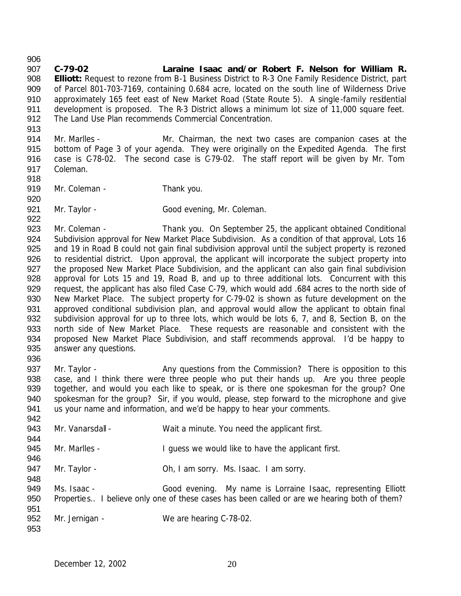**C-79-02 Laraine Isaac and/or Robert F. Nelson for William R. Elliott:** Request to rezone from B-1 Business District to R-3 One Family Residence District, part of Parcel 801-703-7169, containing 0.684 acre, located on the south line of Wilderness Drive 910 approximately 165 feet east of New Market Road (State Route 5). A single-family residential development is proposed. The R-3 District allows a minimum lot size of 11,000 square feet. The Land Use Plan recommends Commercial Concentration. 

- Mr. Marlles Mr. Chairman, the next two cases are companion cases at the bottom of Page 3 of your agenda. They were originally on the Expedited Agenda. The first case is C-78-02. The second case is C-79-02. The staff report will be given by Mr. Tom Coleman.
- 919 Mr. Coleman Thank you.
- 

921 Mr. Taylor - Good evening, Mr. Coleman.

923 Mr. Coleman - Thank you. On September 25, the applicant obtained Conditional Subdivision approval for New Market Place Subdivision. As a condition of that approval, Lots 16 and 19 in Road B could not gain final subdivision approval until the subject property is rezoned to residential district. Upon approval, the applicant will incorporate the subject property into 927 the proposed New Market Place Subdivision, and the applicant can also gain final subdivision approval for Lots 15 and 19, Road B, and up to three additional lots. Concurrent with this request, the applicant has also filed Case C-79, which would add .684 acres to the north side of 930 New Market Place. The subject property for C-79-02 is shown as future development on the 931 approved conditional subdivision plan, and approval would allow the applicant to obtain final subdivision approval for up to three lots, which would be lots 6, 7, and 8, Section B, on the north side of New Market Place. These requests are reasonable and consistent with the proposed New Market Place Subdivision, and staff recommends approval. I'd be happy to 935 answer any questions. 

937 Mr. Taylor - Any questions from the Commission? There is opposition to this case, and I think there were three people who put their hands up. Are you three people together, and would you each like to speak, or is there one spokesman for the group? One spokesman for the group? Sir, if you would, please, step forward to the microphone and give us your name and information, and we'd be happy to hear your comments. 

| ◡᠇᠘ |                  |                                                                                              |
|-----|------------------|----------------------------------------------------------------------------------------------|
| 943 | Mr. Vanarsdall - | Wait a minute. You need the applicant first.                                                 |
| 944 |                  |                                                                                              |
| 945 | Mr. Marlles -    | I guess we would like to have the applicant first.                                           |
| 946 |                  |                                                                                              |
| 947 | Mr. Taylor -     | Oh, I am sorry. Ms. Isaac. I am sorry.                                                       |
| 948 |                  |                                                                                              |
| 949 | Ms. Isaac -      | Good evening. My name is Lorraine Isaac, representing Elliott                                |
| 950 |                  | Properties I believe only one of these cases has been called or are we hearing both of them? |
| 951 |                  |                                                                                              |
| 952 | Mr. Jernigan -   | We are hearing C-78-02.                                                                      |

December 12, 2002 20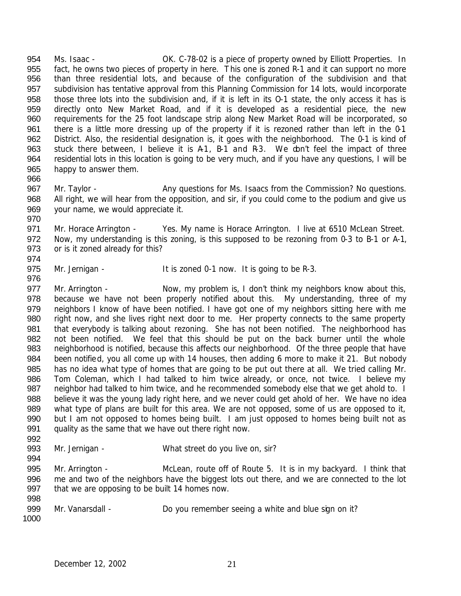Ms. Isaac - OK. C-78-02 is a piece of property owned by Elliott Properties. In fact, he owns two pieces of property in here. This one is zoned R-1 and it can support no more than three residential lots, and because of the configuration of the subdivision and that subdivision has tentative approval from this Planning Commission for 14 lots, would incorporate those three lots into the subdivision and, if it is left in its O-1 state, the only access it has is directly onto New Market Road, and if it is developed as a residential piece, the new requirements for the 25 foot landscape strip along New Market Road will be incorporated, so there is a little more dressing up of the property if it is rezoned rather than left in the 0-1 District. Also, the residential designation is, it goes with the neighborhood. The 0-1 is kind of 963 stuck there between, I believe it is A1, B-1 and R-3. We don't feel the impact of three residential lots in this location is going to be very much, and if you have any questions, I will be happy to answer them. 

967 Mr. Taylor - Any questions for Ms. Isaacs from the Commission? No questions. All right, we will hear from the opposition, and sir, if you could come to the podium and give us your name, we would appreciate it.

 Mr. Horace Arrington - Yes. My name is Horace Arrington. I live at 6510 McLean Street. Now, my understanding is this zoning, is this supposed to be rezoning from 0-3 to B-1 or A-1, or is it zoned already for this? 

975 Mr. Jernigan - It is zoned 0-1 now. It is going to be R-3.

977 Mr. Arrington - Now, my problem is, I don't think my neighbors know about this, because we have not been properly notified about this. My understanding, three of my 979 neighbors I know of have been notified. I have got one of my neighbors sitting here with me right now, and she lives right next door to me. Her property connects to the same property 981 that everybody is talking about rezoning. She has not been notified. The neighborhood has not been notified. We feel that this should be put on the back burner until the whole neighborhood is notified, because this affects our neighborhood. Of the three people that have been notified, you all come up with 14 houses, then adding 6 more to make it 21. But nobody has no idea what type of homes that are going to be put out there at all. We tried calling Mr. Tom Coleman, which I had talked to him twice already, or once, not twice. I believe my 987 neighbor had talked to him twice, and he recommended somebody else that we get ahold to. I believe it was the young lady right here, and we never could get ahold of her. We have no idea what type of plans are built for this area. We are not opposed, some of us are opposed to it, but I am not opposed to homes being built. I am just opposed to homes being built not as quality as the same that we have out there right now. 

Mr. Jernigan - What street do you live on, sir?

 Mr. Arrington - McLean, route off of Route 5. It is in my backyard. I think that me and two of the neighbors have the biggest lots out there, and we are connected to the lot that we are opposing to be built 14 homes now.

999 Mr. Vanarsdall - Do you remember seeing a white and blue sign on it? 

December 12, 2002 21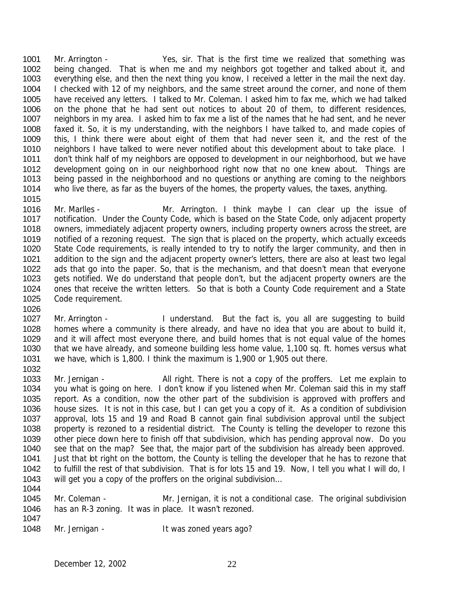Mr. Arrington - Yes, sir. That is the first time we realized that something was being changed. That is when me and my neighbors got together and talked about it, and everything else, and then the next thing you know, I received a letter in the mail the next day. 1004 I checked with 12 of my neighbors, and the same street around the corner, and none of them have received any letters. I talked to Mr. Coleman. I asked him to fax me, which we had talked on the phone that he had sent out notices to about 20 of them, to different residences, neighbors in my area. I asked him to fax me a list of the names that he had sent, and he never faxed it. So, it is my understanding, with the neighbors I have talked to, and made copies of this, I think there were about eight of them that had never seen it, and the rest of the 1010 neighbors I have talked to were never notified about this development about to take place. I don't think half of my neighbors are opposed to development in our neighborhood, but we have development going on in our neighborhood right now that no one knew about. Things are being passed in the neighborhood and no questions or anything are coming to the neighbors who live there, as far as the buyers of the homes, the property values, the taxes, anything.

 Mr. Marlles - Mr. Arrington. I think maybe I can clear up the issue of notification. Under the County Code, which is based on the State Code, only adjacent property 1018 owners, immediately adjacent property owners, including property owners across the street, are notified of a rezoning request. The sign that is placed on the property, which actually exceeds State Code requirements, is really intended to try to notify the larger community, and then in addition to the sign and the adjacent property owner's letters, there are also at least two legal ads that go into the paper. So, that is the mechanism, and that doesn't mean that everyone gets notified. We do understand that people don't, but the adjacent property owners are the ones that receive the written letters. So that is both a County Code requirement and a State Code requirement.

- 1027 Mr. Arrington I understand. But the fact is, you all are suggesting to build homes where a community is there already, and have no idea that you are about to build it, and it will affect most everyone there, and build homes that is not equal value of the homes that we have already, and someone building less home value, 1,100 sq. ft. homes versus what we have, which is 1,800. I think the maximum is 1,900 or 1,905 out there.
- 1033 Mr. Jernigan All right. There is not a copy of the proffers. Let me explain to you what is going on here. I don't know if you listened when Mr. Coleman said this in my staff report. As a condition, now the other part of the subdivision is approved with proffers and house sizes. It is not in this case, but I can get you a copy of it. As a condition of subdivision approval, lots 15 and 19 and Road B cannot gain final subdivision approval until the subject 1038 property is rezoned to a residential district. The County is telling the developer to rezone this other piece down here to finish off that subdivision, which has pending approval now. Do you see that on the map? See that, the major part of the subdivision has already been approved. Just that lot right on the bottom, the County is telling the developer that he has to rezone that to fulfill the rest of that subdivision. That is for lots 15 and 19. Now, I tell you what I will do, I 1043 will get you a copy of the proffers on the original subdivision...
- 1045 Mr. Coleman Mr. Jernigan, it is not a conditional case. The original subdivision has an R-3 zoning. It was in place. It wasn't rezoned.
- 1048 Mr. Jernigan It was zoned years ago?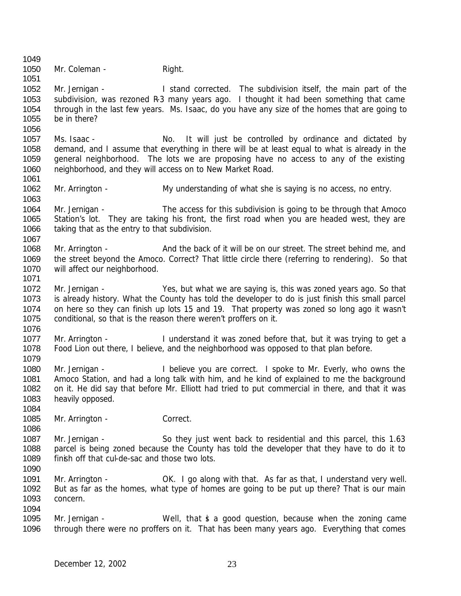1050 Mr. Coleman - Right. Mr. Jernigan - I stand corrected. The subdivision itself, the main part of the 1053 subdivision, was rezoned R-3 many years ago. I thought it had been something that came through in the last few years. Ms. Isaac, do you have any size of the homes that are going to be in there? Ms. Isaac - No. It will just be controlled by ordinance and dictated by demand, and I assume that everything in there will be at least equal to what is already in the general neighborhood. The lots we are proposing have no access to any of the existing neighborhood, and they will access on to New Market Road. Mr. Arrington - My understanding of what she is saying is no access, no entry. Mr. Jernigan - The access for this subdivision is going to be through that Amoco Station's lot. They are taking his front, the first road when you are headed west, they are 1066 taking that as the entry to that subdivision. 1068 Mr. Arrington - And the back of it will be on our street. The street behind me, and the street beyond the Amoco. Correct? That little circle there (referring to rendering). So that will affect our neighborhood. Mr. Jernigan - Yes, but what we are saying is, this was zoned years ago. So that is already history. What the County has told the developer to do is just finish this small parcel on here so they can finish up lots 15 and 19. That property was zoned so long ago it wasn't conditional, so that is the reason there weren't proffers on it. Mr. Arrington - I understand it was zoned before that, but it was trying to get a Food Lion out there, I believe, and the neighborhood was opposed to that plan before. Mr. Jernigan - I believe you are correct. I spoke to Mr. Everly, who owns the Amoco Station, and had a long talk with him, and he kind of explained to me the background on it. He did say that before Mr. Elliott had tried to put commercial in there, and that it was heavily opposed. 1085 Mr. Arrington - Correct. 1087 Mr. Jernigan - So they just went back to residential and this parcel, this 1.63 parcel is being zoned because the County has told the developer that they have to do it to 1089 finish off that cul-de-sac and those two lots. 1091 Mr. Arrington - OK. I go along with that. As far as that, I understand very well. But as far as the homes, what type of homes are going to be put up there? That is our main concern. Mr. Jernigan - Well, that is a good question, because when the zoning came through there were no proffers on it. That has been many years ago. Everything that comes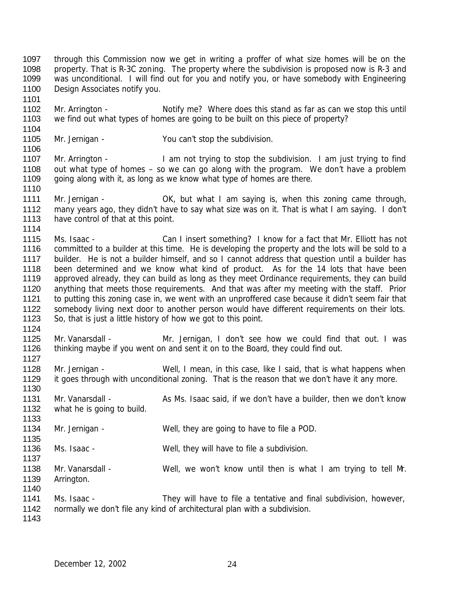through this Commission now we get in writing a proffer of what size homes will be on the 1098 property. That is R-3C zoning. The property where the subdivision is proposed now is R-3 and was unconditional. I will find out for you and notify you, or have somebody with Engineering 1100 Design Associates notify you.

 Mr. Arrington - Notify me? Where does this stand as far as can we stop this until we find out what types of homes are going to be built on this piece of property? 

Mr. Jernigan - You can't stop the subdivision.

1107 Mr. Arrington - I am not trying to stop the subdivision. I am just trying to find out what type of homes – so we can go along with the program. We don't have a problem 1109 going along with it, as long as we know what type of homes are there.

- 1111 Mr. Jernigan OK, but what I am saying is, when this zoning came through, many years ago, they didn't have to say what size was on it. That is what I am saying. I don't 1113 have control of that at this point.
- Ms. Isaac Can I insert something? I know for a fact that Mr. Elliott has not committed to a builder at this time. He is developing the property and the lots will be sold to a 1117 builder. He is not a builder himself, and so I cannot address that question until a builder has been determined and we know what kind of product. As for the 14 lots that have been approved already, they can build as long as they meet Ordinance requirements, they can build anything that meets those requirements. And that was after my meeting with the staff. Prior to putting this zoning case in, we went with an unproffered case because it didn't seem fair that somebody living next door to another person would have different requirements on their lots. So, that is just a little history of how we got to this point.
- 

- Mr. Vanarsdall Mr. Jernigan, I don't see how we could find that out. I was thinking maybe if you went on and sent it on to the Board, they could find out.
- 1128 Mr. Jernigan Well, I mean, in this case, like I said, that is what happens when 1129 it goes through with unconditional zoning. That is the reason that we don't have it any more.
- Mr. Vanarsdall As Ms. Isaac said, if we don't have a builder, then we don't know what he is going to build.
- 1134 Mr. Jernigan Well, they are going to have to file a POD.
- Ms. Isaac Well, they will have to file a subdivision.
- 1138 Mr. Vanarsdall Well, we won't know until then is what I am trying to tell M. Arrington.
- 1141 Ms. Isaac They will have to file a tentative and final subdivision, however, normally we don't file any kind of architectural plan with a subdivision.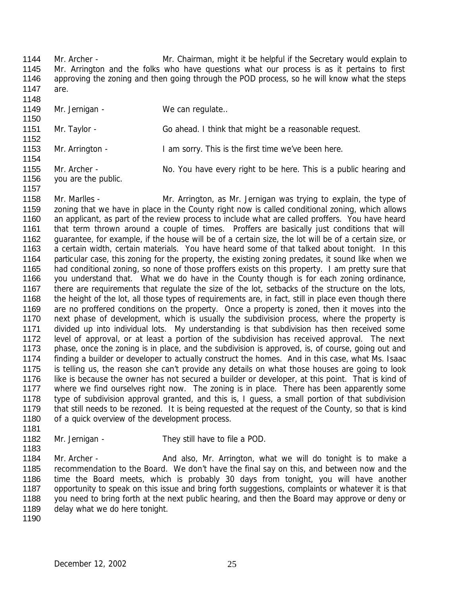1144 Mr. Archer - Mr. Chairman, might it be helpful if the Secretary would explain to 1145 Mr. Arrington and the folks who have questions what our process is as it pertains to first 1146 approving the zoning and then going through the POD process, so he will know what the steps 1147 are. 110

| 1148. |                     |                                                                   |
|-------|---------------------|-------------------------------------------------------------------|
| 1149  | Mr. Jernigan -      | We can regulate                                                   |
| 1150  |                     |                                                                   |
| 1151  | Mr. Taylor -        | Go ahead. I think that might be a reasonable request.             |
| 1152  |                     |                                                                   |
| 1153  | Mr. Arrington -     | I am sorry. This is the first time we've been here.               |
| 1154  |                     |                                                                   |
| 1155  | Mr. Archer -        | No. You have every right to be here. This is a public hearing and |
| 1156  | you are the public. |                                                                   |

- 1158 Mr. Marlles Mr. Arrington, as Mr. Jernigan was trying to explain, the type of 1159 zoning that we have in place in the County right now is called conditional zoning, which allows 1160 an applicant, as part of the review process to include what are called proffers. You have heard 1161 that term thrown around a couple of times. Proffers are basically just conditions that will 1162 guarantee, for example, if the house will be of a certain size, the lot will be of a certain size, or 1163 a certain width, certain materials. You have heard some of that talked about tonight. In this 1164 particular case, this zoning for the property, the existing zoning predates, it sound like when we 1165 had conditional zoning, so none of those proffers exists on this property. I am pretty sure that 1166 you understand that. What we do have in the County though is for each zoning ordinance, 1167 there are requirements that regulate the size of the lot, setbacks of the structure on the lots, 1168 the height of the lot, all those types of requirements are, in fact, still in place even though there 1169 are no proffered conditions on the property. Once a property is zoned, then it moves into the 1170 next phase of development, which is usually the subdivision process, where the property is 1171 divided up into individual lots. My understanding is that subdivision has then received some 1172 level of approval, or at least a portion of the subdivision has received approval. The next 1173 phase, once the zoning is in place, and the subdivision is approved, is, of course, going out and 1174 finding a builder or developer to actually construct the homes. And in this case, what Ms. Isaac 1175 is telling us, the reason she can't provide any details on what those houses are going to look 1176 like is because the owner has not secured a builder or developer, at this point. That is kind of 1177 where we find ourselves right now. The zoning is in place. There has been apparently some 1178 type of subdivision approval granted, and this is, I guess, a small portion of that subdivision 1179 that still needs to be rezoned. It is being requested at the request of the County, so that is kind 1180 of a quick overview of the development process.
- 1181

- 1182 Mr. Jernigan They still have to file a POD. 1183
- 1184 Mr. Archer And also, Mr. Arrington, what we will do tonight is to make a 1185 recommendation to the Board. We don't have the final say on this, and between now and the 1186 time the Board meets, which is probably 30 days from tonight, you will have another 1187 opportunity to speak on this issue and bring forth suggestions, complaints or whatever it is that 1188 you need to bring forth at the next public hearing, and then the Board may approve or deny or 1189 delay what we do here tonight.
- 1190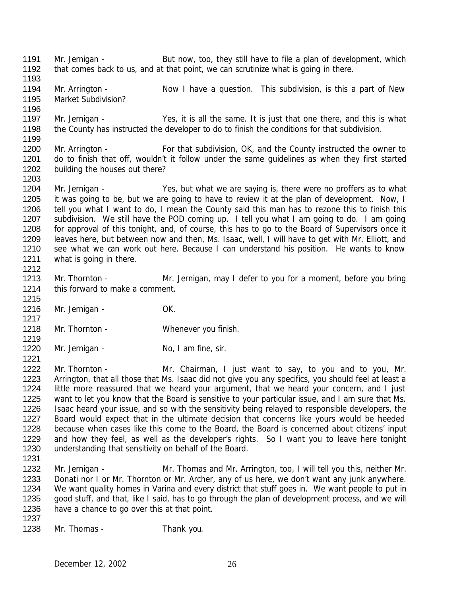- Mr. Jernigan But now, too, they still have to file a plan of development, which 1192 that comes back to us, and at that point, we can scrutinize what is going in there.
- 1194 Mr. Arrington Now I have a question. This subdivision, is this a part of New Market Subdivision?
- 1197 Mr. Jernigan Yes, it is all the same. It is just that one there, and this is what the County has instructed the developer to do to finish the conditions for that subdivision.
- 1200 Mr. Arrington For that subdivision, OK, and the County instructed the owner to do to finish that off, wouldn't it follow under the same guidelines as when they first started building the houses out there?
- Mr. Jernigan Yes, but what we are saying is, there were no proffers as to what it was going to be, but we are going to have to review it at the plan of development. Now, I tell you what I want to do, I mean the County said this man has to rezone this to finish this subdivision. We still have the POD coming up. I tell you what I am going to do. I am going 1208 for approval of this tonight, and, of course, this has to go to the Board of Supervisors once it leaves here, but between now and then, Ms. Isaac, well, I will have to get with Mr. Elliott, and see what we can work out here. Because I can understand his position. He wants to know what is going in there.
- Mr. Thornton Mr. Jernigan, may I defer to you for a moment, before you bring this forward to make a comment.
- 1216 Mr. Jernigan OK.
- 1218 Mr. Thornton Whenever you finish.
- 1220 Mr. Jernigan No, I am fine, sir.
- Mr. Thornton Mr. Chairman, I just want to say, to you and to you, Mr. Arrington, that all those that Ms. Isaac did not give you any specifics, you should feel at least a 1224 little more reassured that we heard your argument, that we heard your concern, and I just want to let you know that the Board is sensitive to your particular issue, and I am sure that Ms. Isaac heard your issue, and so with the sensitivity being relayed to responsible developers, the Board would expect that in the ultimate decision that concerns like yours would be heeded because when cases like this come to the Board, the Board is concerned about citizens' input and how they feel, as well as the developer's rights. So I want you to leave here tonight understanding that sensitivity on behalf of the Board.
- 1232 Mr. Jernigan Mr. Thomas and Mr. Arrington, too, I will tell you this, neither Mr. Donati nor I or Mr. Thornton or Mr. Archer, any of us here, we don't want any junk anywhere. We want quality homes in Varina and every district that stuff goes in. We want people to put in good stuff, and that, like I said, has to go through the plan of development process, and we will have a chance to go over this at that point.
- 

Mr. Thomas - Thank you.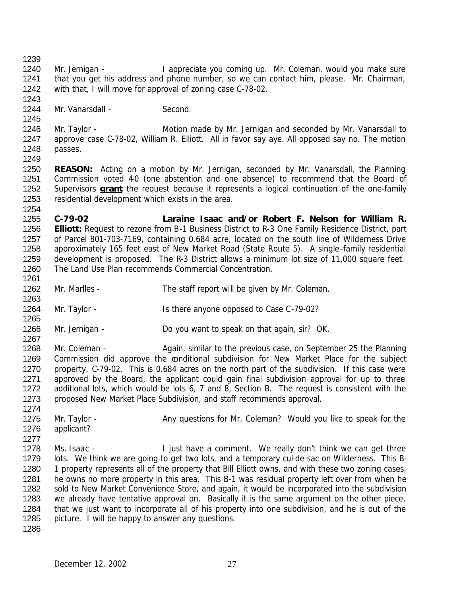1240 Mr. Jernigan - I appreciate you coming up. Mr. Coleman, would you make sure that you get his address and phone number, so we can contact him, please. Mr. Chairman, with that, I will move for approval of zoning case C-78-02.

1244 Mr. Vanarsdall - Second.

1246 Mr. Taylor - Motion made by Mr. Jernigan and seconded by Mr. Vanarsdall to approve case C-78-02, William R. Elliott. All in favor say aye. All opposed say no. The motion passes. 

 **REASON:** Acting on a motion by Mr. Jernigan, seconded by Mr. Vanarsdall, the Planning 1251 Commission voted 40 (one abstention and one absence) to recommend that the Board of Supervisors **grant** the request because it represents a logical continuation of the one-family residential development which exists in the area.

 **C-79-02 Laraine Isaac and/or Robert F. Nelson for William R. Elliott:** Request to rezone from B-1 Business District to R-3 One Family Residence District, part of Parcel 801-703-7169, containing 0.684 acre, located on the south line of Wilderness Drive approximately 165 feet east of New Market Road (State Route 5). A single-family residential development is proposed. The R-3 District allows a minimum lot size of 11,000 square feet. The Land Use Plan recommends Commercial Concentration. 

- Mr. Marlles The staff report will be given by Mr. Coleman.
- Mr. Taylor Is there anyone opposed to Case C-79-02?
- Mr. Jernigan Do you want to speak on that again, sir? OK.

 1268 Mr. Coleman - Again, similar to the previous case, on September 25 the Planning 1269 Commission did approve the conditional subdivision for New Market Place for the subject property, C-79-02. This is 0.684 acres on the north part of the subdivision. If this case were approved by the Board, the applicant could gain final subdivision approval for up to three additional lots, which would be lots 6, 7 and 8, Section B. The request is consistent with the proposed New Market Place Subdivision, and staff recommends approval.

- 1275 Mr. Taylor Any questions for Mr. Coleman? Would you like to speak for the applicant?
- 1278 Ms. Isaac I just have a comment. We really don't think we can get three lots. We think we are going to get two lots, and a temporary cul-de-sac on Wilderness. This B-1280 1 property represents all of the property that Bill Elliott owns, and with these two zoning cases, he owns no more property in this area. This B-1 was residual property left over from when he sold to New Market Convenience Store, and again, it would be incorporated into the subdivision 1283 we already have tentative approval on. Basically it is the same argument on the other piece, that we just want to incorporate all of his property into one subdivision, and he is out of the picture. I will be happy to answer any questions.
-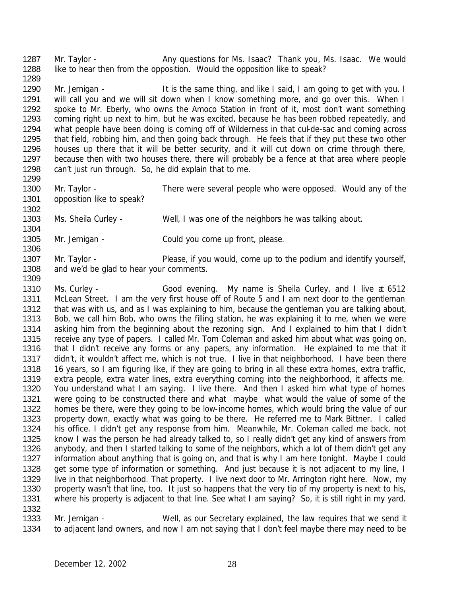1287 Mr. Taylor - Any questions for Ms. Isaac? Thank you, Ms. Isaac. We would 1288 like to hear then from the opposition. Would the opposition like to speak? 

1290 Mr. Jernigan - It is the same thing, and like I said, I am going to get with you. I will call you and we will sit down when I know something more, and go over this. When I spoke to Mr. Eberly, who owns the Amoco Station in front of it, most don't want something coming right up next to him, but he was excited, because he has been robbed repeatedly, and what people have been doing is coming off of Wilderness in that cul-de-sac and coming across that field, robbing him, and then going back through. He feels that if they put these two other houses up there that it will be better security, and it will cut down on crime through there, because then with two houses there, there will probably be a fence at that area where people can't just run through. So, he did explain that to me. 

- 1300 Mr. Taylor There were several people who were opposed. Would any of the 1301 opposition like to speak?
- Ms. Sheila Curley Well, I was one of the neighbors he was talking about.
- Mr. Jernigan Could you come up front, please.

- Mr. Taylor Please, if you would, come up to the podium and identify yourself, 1308 and we'd be glad to hear your comments.
- Ms. Curley Good evening. My name is Sheila Curley, and I live at 6512 McLean Street. I am the very first house off of Route 5 and I am next door to the gentleman 1312 that was with us, and as I was explaining to him, because the gentleman you are talking about, Bob, we call him Bob, who owns the filling station, he was explaining it to me, when we were asking him from the beginning about the rezoning sign. And I explained to him that I didn't receive any type of papers. I called Mr. Tom Coleman and asked him about what was going on, that I didn't receive any forms or any papers, any information. He explained to me that it didn't, it wouldn't affect me, which is not true. I live in that neighborhood. I have been there 16 years, so I am figuring like, if they are going to bring in all these extra homes, extra traffic, extra people, extra water lines, extra everything coming into the neighborhood, it affects me. You understand what I am saying. I live there. And then I asked him what type of homes were going to be constructed there and what maybe what would the value of some of the homes be there, were they going to be low-income homes, which would bring the value of our property down, exactly what was going to be there. He referred me to Mark Bittner. I called his office. I didn't get any response from him. Meanwhile, Mr. Coleman called me back, not know I was the person he had already talked to, so I really didn't get any kind of answers from anybody, and then I started talking to some of the neighbors, which a lot of them didn't get any information about anything that is going on, and that is why I am here tonight. Maybe I could get some type of information or something. And just because it is not adjacent to my line, I 1329 live in that neighborhood. That property. I live next door to Mr. Arrington right here. Now, my 1330 property wasn't that line, too. It just so happens that the very tip of my property is next to his, where his property is adjacent to that line. See what I am saying? So, it is still right in my yard.
- Mr. Jernigan Well, as our Secretary explained, the law requires that we send it to adjacent land owners, and now I am not saying that I don't feel maybe there may need to be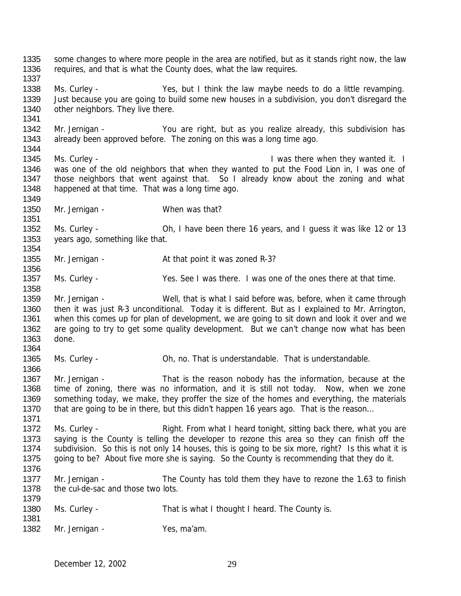1335 some changes to where more people in the area are notified, but as it stands right now, the law requires, and that is what the County does, what the law requires. Ms. Curley - Yes, but I think the law maybe needs to do a little revamping. Just because you are going to build some new houses in a subdivision, you don't disregard the 1340 other neighbors. They live there. Mr. Jernigan - You are right, but as you realize already, this subdivision has 1343 already been approved before. The zoning on this was a long time ago. 1345 Ms. Curley - **I was there when they wanted it.** I was one of the old neighbors that when they wanted to put the Food Lion in, I was one of 1347 those neighbors that went against that. So I already know about the zoning and what happened at that time. That was a long time ago. 1350 Mr. Jernigan - When was that? Ms. Curley - Oh, I have been there 16 years, and I guess it was like 12 or 13 years ago, something like that. 1355 Mr. Jernigan - At that point it was zoned R-3? 1357 Ms. Curley - Yes. See I was there. I was one of the ones there at that time. Mr. Jernigan - Well, that is what I said before was, before, when it came through 1360 then it was just R-3 unconditional. Today it is different. But as I explained to Mr. Arrington, when this comes up for plan of development, we are going to sit down and look it over and we 1362 are going to try to get some quality development. But we can't change now what has been done. Ms. Curley - Oh, no. That is understandable. That is understandable. Mr. Jernigan - That is the reason nobody has the information, because at the time of zoning, there was no information, and it is still not today. Now, when we zone something today, we make, they proffer the size of the homes and everything, the materials 1370 that are going to be in there, but this didn't happen 16 years ago. That is the reason... 1372 Ms. Curley - Right. From what I heard tonight, sitting back there, what you are saying is the County is telling the developer to rezone this area so they can finish off the subdivision. So this is not only 14 houses, this is going to be six more, right? Is this what it is going to be? About five more she is saying. So the County is recommending that they do it. 1377 Mr. Jernigan - The County has told them they have to rezone the 1.63 to finish 1378 the cul-de-sac and those two lots. Ms. Curley - That is what I thought I heard. The County is. 1382 Mr. Jernigan - Yes, ma'am.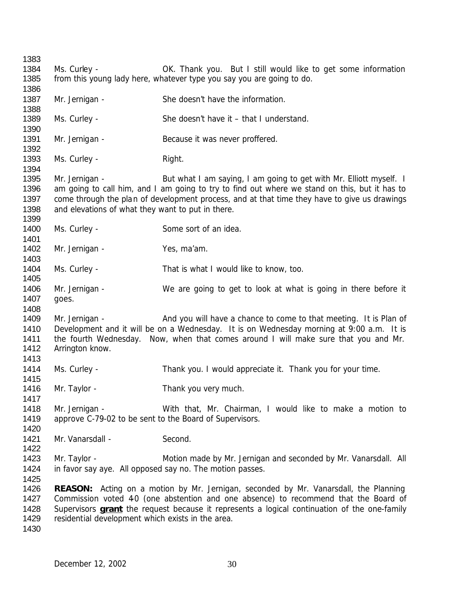Ms. Curley - OK. Thank you. But I still would like to get some information from this young lady here, whatever type you say you are going to do. 1387 Mr. Jernigan - She doesn't have the information. Ms. Curley - She doesn't have it – that I understand. 1391 Mr. Jernigan - Because it was never proffered. 1393 Ms. Curley - Right. Mr. Jernigan - But what I am saying, I am going to get with Mr. Elliott myself. I am going to call him, and I am going to try to find out where we stand on this, but it has to 1397 come through the plan of development process, and at that time they have to give us drawings 1398 and elevations of what they want to put in there. 1400 Ms. Curley - Some sort of an idea. 1402 Mr. Jernigan - Yes, ma'am. Ms. Curley - That is what I would like to know, too. Mr. Jernigan - We are going to get to look at what is going in there before it goes. Mr. Jernigan - And you will have a chance to come to that meeting. It is Plan of Development and it will be on a Wednesday. It is on Wednesday morning at 9:00 a.m. It is the fourth Wednesday. Now, when that comes around I will make sure that you and Mr. Arrington know. Ms. Curley - Thank you. I would appreciate it. Thank you for your time. 1416 Mr. Taylor - Thank you very much. Mr. Jernigan - With that, Mr. Chairman, I would like to make a motion to approve C-79-02 to be sent to the Board of Supervisors. 1421 Mr. Vanarsdall - Second. 1423 Mr. Taylor - **Motion made by Mr. Jernigan and seconded by Mr. Vanarsdall.** All in favor say aye. All opposed say no. The motion passes. **REASON:** Acting on a motion by Mr. Jernigan, seconded by Mr. Vanarsdall, the Planning 1427 Commission voted 40 (one abstention and one absence) to recommend that the Board of Supervisors **grant** the request because it represents a logical continuation of the one-family residential development which exists in the area.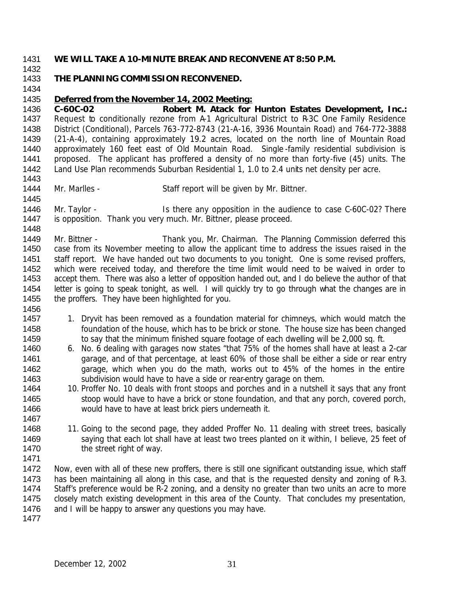#### **WE WILL TAKE A 10-MINUTE BREAK AND RECONVENE AT 8:50 P.M.**

# **THE PLANNING COMMISSION RECONVENED.**

## *Deferred from the November 14, 2002 Meeting:*

 **C-60C-02 Robert M. Atack for Hunton Estates Development, Inc.:** 1437 Request to conditionally rezone from A-1 Agricultural District to R-3C One Family Residence District (Conditional), Parcels 763-772-8743 (21-A-16, 3936 Mountain Road) and 764-772-3888 (21-A-4), containing approximately 19.2 acres, located on the north line of Mountain Road approximately 160 feet east of Old Mountain Road. Single -family residential subdivision is proposed. The applicant has proffered a density of no more than forty-five (45) units. The Land Use Plan recommends Suburban Residential 1, 1.0 to 2.4 units net density per acre. 

1444 Mr. Marlles - Staff report will be given by Mr. Bittner.

1446 Mr. Taylor - Is there any opposition in the audience to case C-60C-02? There 1447 is opposition. Thank you very much. Mr. Bittner, please proceed.

 Mr. Bittner - Thank you, Mr. Chairman. The Planning Commission deferred this case from its November meeting to allow the applicant time to address the issues raised in the staff report. We have handed out two documents to you tonight. One is some revised proffers, which were received today, and therefore the time limit would need to be waived in order to accept them. There was also a letter of opposition handed out, and I do believe the author of that letter is going to speak tonight, as well. I will quickly try to go through what the changes are in the proffers. They have been highlighted for you.

- 1457 1. Dryvit has been removed as a foundation material for chimneys, which would match the foundation of the house, which has to be brick or stone. The house size has been changed 1459 to say that the minimum finished square footage of each dwelling will be 2,000 sq. ft.
- 6. No. 6 dealing with garages now states "that 75% of the homes shall have at least a 2-car 1461 garage, and of that percentage, at least 60% of those shall be either a side or rear entry garage, which when you do the math, works out to 45% of the homes in the entire subdivision would have to have a side or rear-entry garage on them.
- 10. Proffer No. 10 deals with front stoops and porches and in a nutshell it says that any front 1465 stoop would have to have a brick or stone foundation, and that any porch, covered porch, would have to have at least brick piers underneath it.
- 1468 11. Going to the second page, they added Proffer No. 11 dealing with street trees, basically 1469 saying that each lot shall have at least two trees planted on it within, I believe, 25 feet of 1470 the street right of way.

 Now, even with all of these new proffers, there is still one significant outstanding issue, which staff has been maintaining all along in this case, and that is the requested density and zoning of R-3. Staff's preference would be R-2 zoning, and a density no greater than two units an acre to more closely match existing development in this area of the County. That concludes my presentation, 1476 and I will be happy to answer any questions you may have.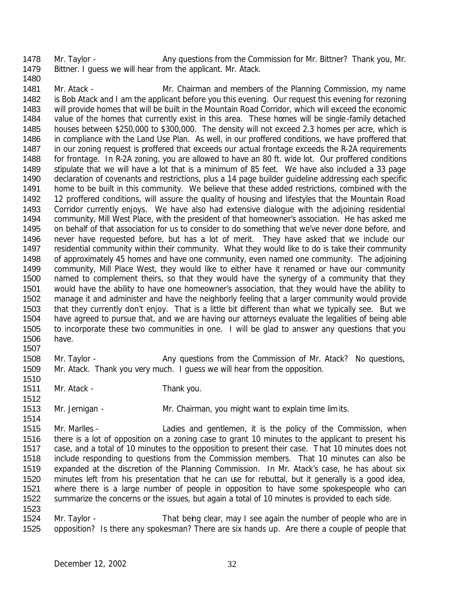1478 Mr. Taylor - Any questions from the Commission for Mr. Bittner? Thank you, Mr. Bittner. I guess we will hear from the applicant. Mr. Atack. 

 Mr. Atack - Mr. Chairman and members of the Planning Commission, my name is Bob Atack and I am the applicant before you this evening. Our request this evening for rezoning will provide homes that will be built in the Mountain Road Corridor, which will exceed the economic value of the homes that currently exist in this area. These homes will be single-family detached houses between \$250,000 to \$300,000. The density will not exceed 2.3 homes per acre, which is in compliance with the Land Use Plan. As well, in our proffered conditions, we have proffered that in our zoning request is proffered that exceeds our actual frontage exceeds the R-2A requirements for frontage. In R-2A zoning, you are allowed to have an 80 ft. wide lot. Our proffered conditions stipulate that we will have a lot that is a minimum of 85 feet. We have also included a 33 page declaration of covenants and restrictions, plus a 14 page builder guideline addressing each specific home to be built in this community. We believe that these added restrictions, combined with the 12 proffered conditions, will assure the quality of housing and lifestyles that the Mountain Road Corridor currently enjoys. We have also had extensive dialogue with the adjoining residential community, Mill West Place, with the president of that homeowner's association. He has asked me on behalf of that association for us to consider to do something that we've never done before, and never have requested before, but has a lot of merit. They have asked that we include our residential community within their community. What they would like to do is take their community of approximately 45 homes and have one community, even named one community. The adjoining community, Mill Place West, they would like to either have it renamed or have our community named to complement theirs, so that they would have the synergy of a community that they would have the ability to have one homeowner's association, that they would have the ability to manage it and administer and have the neighborly feeling that a larger community would provide that they currently don't enjoy. That is a little bit different than what we typically see. But we have agreed to pursue that, and we are having our attorneys evaluate the legalities of being able to incorporate these two communities in one. I will be glad to answer any questions that you have.

1508 Mr. Taylor - Any questions from the Commission of Mr. Atack? No questions, Mr. Atack. Thank you very much. I guess we will hear from the opposition.

- 1511 Mr. Atack Thank you.
- Mr. Jernigan Mr. Chairman, you might want to explain time limits.

 Mr. Marlles - Ladies and gentlemen, it is the policy of the Commission, when there is a lot of opposition on a zoning case to grant 10 minutes to the applicant to present his case, and a total of 10 minutes to the opposition to present their case. That 10 minutes does not include responding to questions from the Commission members. That 10 minutes can also be expanded at the discretion of the Planning Commission. In Mr. Atack's case, he has about six minutes left from his presentation that he can use for rebuttal, but it generally is a good idea, where there is a large number of people in opposition to have some spokespeople who can summarize the concerns or the issues, but again a total of 10 minutes is provided to each side. 

 Mr. Taylor - That being clear, may I see again the number of people who are in opposition? Is there any spokesman? There are six hands up. Are there a couple of people that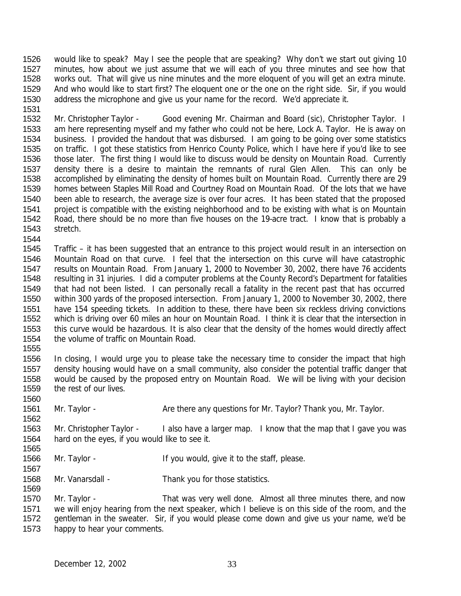would like to speak? May I see the people that are speaking? Why don't we start out giving 10 minutes, how about we just assume that we will each of you three minutes and see how that works out. That will give us nine minutes and the more eloquent of you will get an extra minute. And who would like to start first? The eloquent one or the one on the right side. Sir, if you would address the microphone and give us your name for the record. We'd appreciate it. 

1532 Mr. Christopher Taylor - Good evening Mr. Chairman and Board (sic), Christopher Taylor. I am here representing myself and my father who could not be here, Lock A. Taylor. He is away on business. I provided the handout that was disbursed. I am going to be going over some statistics on traffic. I got these statistics from Henrico County Police, which I have here if you'd like to see those later. The first thing I would like to discuss would be density on Mountain Road. Currently density there is a desire to maintain the remnants of rural Glen Allen. This can only be accomplished by eliminating the density of homes built on Mountain Road. Currently there are 29 homes between Staples Mill Road and Courtney Road on Mountain Road. Of the lots that we have been able to research, the average size is over four acres. It has been stated that the proposed project is compatible with the existing neighborhood and to be existing with what is on Mountain Road, there should be no more than five houses on the 19-acre tract. I know that is probably a stretch.

 Traffic – it has been suggested that an entrance to this project would result in an intersection on Mountain Road on that curve. I feel that the intersection on this curve will have catastrophic results on Mountain Road. From January 1, 2000 to November 30, 2002, there have 76 accidents resulting in 31 injuries. I did a computer problems at the County Record's Department for fatalities that had not been listed. I can personally recall a fatality in the recent past that has occurred within 300 yards of the proposed intersection. From January 1, 2000 to November 30, 2002, there have 154 speeding tickets. In addition to these, there have been six reckless driving convictions which is driving over 60 miles an hour on Mountain Road. I think it is clear that the intersection in this curve would be hazardous. It is also clear that the density of the homes would directly affect the volume of traffic on Mountain Road.

 In closing, I would urge you to please take the necessary time to consider the impact that high density housing would have on a small community, also consider the potential traffic danger that would be caused by the proposed entry on Mountain Road. We will be living with your decision the rest of our lives.

1561 Mr. Taylor - Are there any questions for Mr. Taylor? Thank you, Mr. Taylor. 

1563 Mr. Christopher Taylor - I also have a larger map. I know that the map that I gave you was hard on the eyes, if you would like to see it.

- 1566 Mr. Taylor If you would, give it to the staff, please.
- Mr. Vanarsdall Thank you for those statistics.

1570 Mr. Taylor - That was very well done. Almost all three minutes there, and now we will enjoy hearing from the next speaker, which I believe is on this side of the room, and the gentleman in the sweater. Sir, if you would please come down and give us your name, we'd be happy to hear your comments.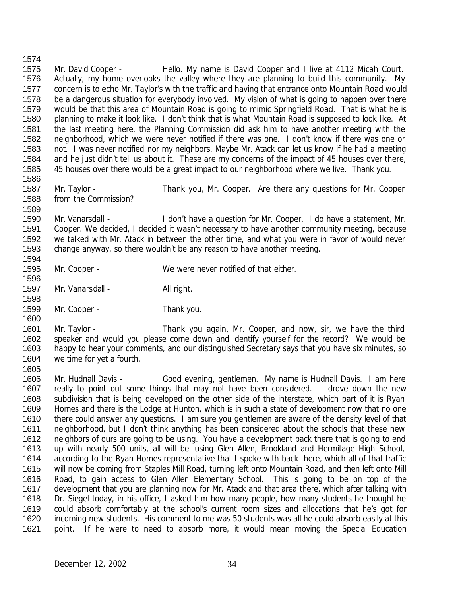Mr. David Cooper - Hello. My name is David Cooper and I live at 4112 Micah Court. Actually, my home overlooks the valley where they are planning to build this community. My concern is to echo Mr. Taylor's with the traffic and having that entrance onto Mountain Road would be a dangerous situation for everybody involved. My vision of what is going to happen over there would be that this area of Mountain Road is going to mimic Springfield Road. That is what he is planning to make it look like. I don't think that is what Mountain Road is supposed to look like. At the last meeting here, the Planning Commission did ask him to have another meeting with the neighborhood, which we were never notified if there was one. I don't know if there was one or not. I was never notified nor my neighbors. Maybe Mr. Atack can let us know if he had a meeting and he just didn't tell us about it. These are my concerns of the impact of 45 houses over there, 45 houses over there would be a great impact to our neighborhood where we live. Thank you.

from the Commission?

Mr. Taylor - Thank you, Mr. Cooper. Are there any questions for Mr. Cooper

 Mr. Vanarsdall - I don't have a question for Mr. Cooper. I do have a statement, Mr. Cooper. We decided, I decided it wasn't necessary to have another community meeting, because we talked with Mr. Atack in between the other time, and what you were in favor of would never change anyway, so there wouldn't be any reason to have another meeting.

 

Mr. Cooper - We were never notified of that either.

1597 Mr. Vanarsdall - All right.

1599 Mr. Cooper - Thank you.

 Mr. Taylor - Thank you again, Mr. Cooper, and now, sir, we have the third speaker and would you please come down and identify yourself for the record? We would be happy to hear your comments, and our distinguished Secretary says that you have six minutes, so we time for yet a fourth. 

 Mr. Hudnall Davis - Good evening, gentlemen. My name is Hudnall Davis. I am here really to point out some things that may not have been considered. I drove down the new subdivision that is being developed on the other side of the interstate, which part of it is Ryan Homes and there is the Lodge at Hunton, which is in such a state of development now that no one there could answer any questions. I am sure you gentlemen are aware of the density level of that neighborhood, but I don't think anything has been considered about the schools that these new neighbors of ours are going to be using. You have a development back there that is going to end up with nearly 500 units, all will be using Glen Allen, Brookland and Hermitage High School, according to the Ryan Homes representative that I spoke with back there, which all of that traffic will now be coming from Staples Mill Road, turning left onto Mountain Road, and then left onto Mill Road, to gain access to Glen Allen Elementary School. This is going to be on top of the development that you are planning now for Mr. Atack and that area there, which after talking with Dr. Siegel today, in his office, I asked him how many people, how many students he thought he could absorb comfortably at the school's current room sizes and allocations that he's got for incoming new students. His comment to me was 50 students was all he could absorb easily at this point. If he were to need to absorb more, it would mean moving the Special Education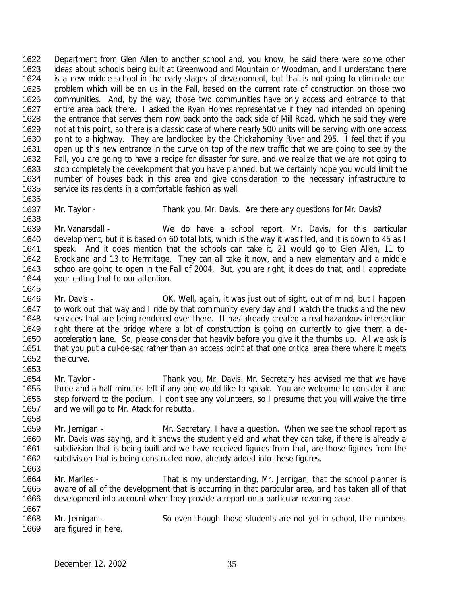Department from Glen Allen to another school and, you know, he said there were some other ideas about schools being built at Greenwood and Mountain or Woodman, and I understand there is a new middle school in the early stages of development, but that is not going to eliminate our problem which will be on us in the Fall, based on the current rate of construction on those two communities. And, by the way, those two communities have only access and entrance to that entire area back there. I asked the Ryan Homes representative if they had intended on opening the entrance that serves them now back onto the back side of Mill Road, which he said they were not at this point, so there is a classic case of where nearly 500 units will be serving with one access 1630 point to a highway. They are landlocked by the Chickahominy River and 295. I feel that if you open up this new entrance in the curve on top of the new traffic that we are going to see by the Fall, you are going to have a recipe for disaster for sure, and we realize that we are not going to stop completely the development that you have planned, but we certainly hope you would limit the number of houses back in this area and give consideration to the necessary infrastructure to service its residents in a comfortable fashion as well. 

1637 Mr. Taylor - Thank you, Mr. Davis. Are there any questions for Mr. Davis? 

 Mr. Vanarsdall - We do have a school report, Mr. Davis, for this particular development, but it is based on 60 total lots, which is the way it was filed, and it is down to 45 as I speak. And it does mention that the schools can take it, 21 would go to Glen Allen, 11 to Brookland and 13 to Hermitage. They can all take it now, and a new elementary and a middle school are going to open in the Fall of 2004. But, you are right, it does do that, and I appreciate your calling that to our attention.

 Mr. Davis - OK. Well, again, it was just out of sight, out of mind, but I happen 1647 to work out that way and I ride by that community every day and I watch the trucks and the new services that are being rendered over there. It has already created a real hazardous intersection right there at the bridge where a lot of construction is going on currently to give them a de- acceleration lane. So, please consider that heavily before you give it the thumbs up. All we ask is that you put a cul-de-sac rather than an access point at that one critical area there where it meets the curve.

- Mr. Taylor Thank you, Mr. Davis. Mr. Secretary has advised me that we have three and a half minutes left if any one would like to speak. You are welcome to consider it and step forward to the podium. I don't see any volunteers, so I presume that you will waive the time and we will go to Mr. Atack for rebuttal.
- 1659 Mr. Jernigan Mr. Secretary, I have a question. When we see the school report as Mr. Davis was saying, and it shows the student yield and what they can take, if there is already a subdivision that is being built and we have received figures from that, are those figures from the subdivision that is being constructed now, already added into these figures.
- Mr. Marlles That is my understanding, Mr. Jernigan, that the school planner is aware of all of the development that is occurring in that particular area, and has taken all of that development into account when they provide a report on a particular rezoning case.

1668 Mr. Jernigan - So even though those students are not yet in school, the numbers are figured in here.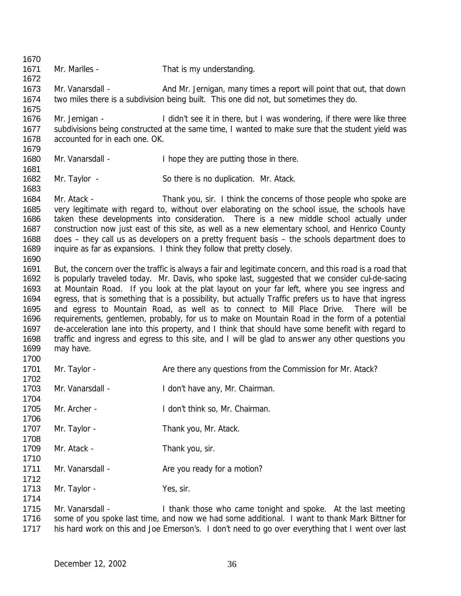Mr. Marlles - That is my understanding. Mr. Vanarsdall - And Mr. Jernigan, many times a report will point that out, that down two miles there is a subdivision being built. This one did not, but sometimes they do. 1676 Mr. Jernigan - I didn't see it in there, but I was wondering, if there were like three subdivisions being constructed at the same time, I wanted to make sure that the student yield was accounted for in each one. OK. 1680 Mr. Vanarsdall - I hope they are putting those in there. 1682 Mr. Taylor - So there is no duplication. Mr. Atack. Mr. Atack - Thank you, sir. I think the concerns of those people who spoke are very legitimate with regard to, without over elaborating on the school issue, the schools have taken these developments into consideration. There is a new middle school actually under construction now just east of this site, as well as a new elementary school, and Henrico County does – they call us as developers on a pretty frequent basis – the schools department does to inquire as far as expansions. I think they follow that pretty closely. 1691 But, the concern over the traffic is always a fair and legitimate concern, and this road is a road that is popularly traveled today. Mr. Davis, who spoke last, suggested that we consider cul-de-sacing at Mountain Road. If you look at the plat layout on your far left, where you see ingress and egress, that is something that is a possibility, but actually Traffic prefers us to have that ingress and egress to Mountain Road, as well as to connect to Mill Place Drive. There will be requirements, gentlemen, probably, for us to make on Mountain Road in the form of a potential de-acceleration lane into this property, and I think that should have some benefit with regard to traffic and ingress and egress to this site, and I will be glad to answer any other questions you may have. 1701 Mr. Taylor - Are there any questions from the Commission for Mr. Atack? 1703 Mr. Vanarsdall - I don't have any, Mr. Chairman. Mr. Archer - I don't think so, Mr. Chairman. 1707 Mr. Taylor - Thank you, Mr. Atack. 1709 Mr. Atack - Thank you, sir. 1711 Mr. Vanarsdall - Are you ready for a motion? 1713 Mr. Taylor - Yes, sir. 1715 Mr. Vanarsdall - I thank those who came tonight and spoke. At the last meeting 1716 some of you spoke last time, and now we had some additional. I want to thank Mark Bittner for his hard work on this and Joe Emerson's. I don't need to go over everything that I went over last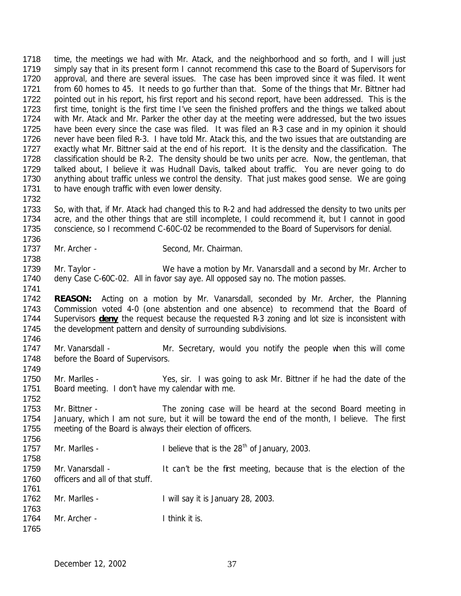time, the meetings we had with Mr. Atack, and the neighborhood and so forth, and I will just simply say that in its present form I cannot recommend this case to the Board of Supervisors for approval, and there are several issues. The case has been improved since it was filed. It went 1721 from 60 homes to 45. It needs to go further than that. Some of the things that Mr. Bittner had pointed out in his report, his first report and his second report, have been addressed. This is the 1723 first time, tonight is the first time I've seen the finished proffers and the things we talked about with Mr. Atack and Mr. Parker the other day at the meeting were addressed, but the two issues have been every since the case was filed. It was filed an R-3 case and in my opinion it should never have been filed R-3. I have told Mr. Atack this, and the two issues that are outstanding are 1727 exactly what Mr. Bittner said at the end of his report. It is the density and the classification. The classification should be R-2. The density should be two units per acre. Now, the gentleman, that talked about, I believe it was Hudnall Davis, talked about traffic. You are never going to do 1730 anything about traffic unless we control the density. That just makes good sense. We are going 1731 to have enough traffic with even lower density. 

- So, with that, if Mr. Atack had changed this to R-2 and had addressed the density to two units per acre, and the other things that are still incomplete, I could recommend it, but I cannot in good conscience, so I recommend C-60C-02 be recommended to the Board of Supervisors for denial.
- 1737 Mr. Archer Second, Mr. Chairman.

- 1739 Mr. Taylor We have a motion by Mr. Vanarsdall and a second by Mr. Archer to deny Case C-60C-02. All in favor say aye. All opposed say no. The motion passes.
- **REASON:** Acting on a motion by Mr. Vanarsdall, seconded by Mr. Archer, the Planning Commission voted 4-0 (one abstention and one absence) to recommend that the Board of Supervisors **deny** the request because the requested R-3 zoning and lot size is inconsistent with 1745 the development pattern and density of surrounding subdivisions.
- 1747 Mr. Vanarsdall Mr. Secretary, would you notify the people when this will come 1748 before the Board of Supervisors.
- Mr. Marlles Yes, sir. I was going to ask Mr. Bittner if he had the date of the Board meeting. I don't have my calendar with me.
- 1753 Mr. Bittner The zoning case will be heard at the second Board meeting in January, which I am not sure, but it will be toward the end of the month, I believe. The first meeting of the Board is always their election of officers.
- 1757 Mr. Marlles -  $\blacksquare$  I believe that is the 28<sup>th</sup> of January, 2003.
- 1759 Mr. Vanarsdall It can't be the first meeting, because that is the election of the officers and all of that stuff.
- Mr. Marlles I will say it is January 28, 2003.
- 1764 Mr. Archer - I think it is.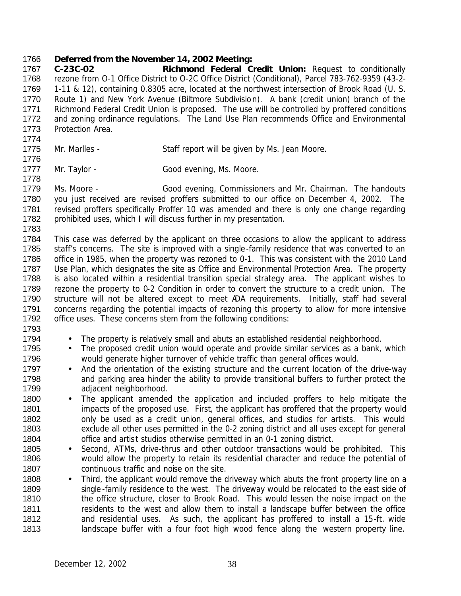#### *Deferred from the November 14, 2002 Meeting:*

 **C-23C-02 Richmond Federal Credit Union:** Request to conditionally rezone from O-1 Office District to O-2C Office District (Conditional), Parcel 783-762-9359 (43-2- 1-11 & 12), containing 0.8305 acre, located at the northwest intersection of Brook Road (U. S. Route 1) and New York Avenue (Biltmore Subdivision). A bank (credit union) branch of the Richmond Federal Credit Union is proposed. The use will be controlled by proffered conditions 1772 and zoning ordinance regulations. The Land Use Plan recommends Office and Environmental Protection Area.

- 1775 Mr. Marlles Staff report will be given by Ms. Jean Moore.
- 1777 Mr. Taylor Good evening, Ms. Moore.

 Ms. Moore - Good evening, Commissioners and Mr. Chairman. The handouts you just received are revised proffers submitted to our office on December 4, 2002. The 1781 revised proffers specifically Proffer 10 was amended and there is only one change regarding prohibited uses, which I will discuss further in my presentation.

 This case was deferred by the applicant on three occasions to allow the applicant to address staff's concerns. The site is improved with a single-family residence that was converted to an office in 1985, when the property was rezoned to 0-1. This was consistent with the 2010 Land 1787 Use Plan, which designates the site as Office and Environmental Protection Area. The property 1788 is also located within a residential transition special strategy area. The applicant wishes to rezone the property to 0-2 Condition in order to convert the structure to a credit union. The structure will not be altered except to meet ADA requirements. Initially, staff had several 1791 concerns regarding the potential impacts of rezoning this property to allow for more intensive office uses. These concerns stem from the following conditions:

- 
- The property is relatively small and abuts an established residential neighborhood.
- 1795 The proposed credit union would operate and provide similar services as a bank, which would generate higher turnover of vehicle traffic than general offices would.
- 1797 And the orientation of the existing structure and the current location of the drive-way 1798 and parking area hinder the ability to provide transitional buffers to further protect the adjacent neighborhood.
- 1800 The applicant amended the application and included proffers to help mitigate the 1801 impacts of the proposed use. First, the applicant has proffered that the property would only be used as a credit union, general offices, and studios for artists. This would exclude all other uses permitted in the 0-2 zoning district and all uses except for general office and artist studios otherwise permitted in an 0-1 zoning district.
- 1805 Second, ATMs, drive-thrus and other outdoor transactions would be prohibited. This would allow the property to retain its residential character and reduce the potential of continuous traffic and noise on the site.
- 1808 Third, the applicant would remove the driveway which abuts the front property line on a 1809 single -family residence to the west. The driveway would be relocated to the east side of 1810 the office structure, closer to Brook Road. This would lessen the noise impact on the 1811 residents to the west and allow them to install a landscape buffer between the office and residential uses. As such, the applicant has proffered to install a 15-ft. wide 1813 landscape buffer with a four foot high wood fence along the western property line.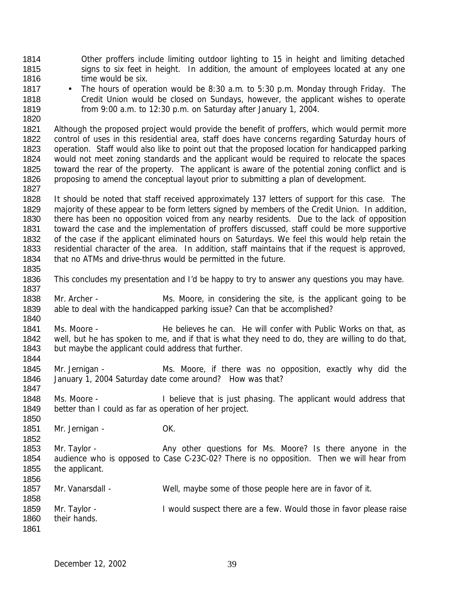Other proffers include limiting outdoor lighting to 15 in height and limiting detached 1815 signs to six feet in height. In addition, the amount of employees located at any one **time would be six.** 

 • The hours of operation would be 8:30 a.m. to 5:30 p.m. Monday through Friday. The Credit Union would be closed on Sundays, however, the applicant wishes to operate from 9:00 a.m. to 12:30 p.m. on Saturday after January 1, 2004.

 Although the proposed project would provide the benefit of proffers, which would permit more control of uses in this residential area, staff does have concerns regarding Saturday hours of operation. Staff would also like to point out that the proposed location for handicapped parking would not meet zoning standards and the applicant would be required to relocate the spaces toward the rear of the property. The applicant is aware of the potential zoning conflict and is proposing to amend the conceptual layout prior to submitting a plan of development.

 It should be noted that staff received approximately 137 letters of support for this case. The majority of these appear to be form letters signed by members of the Credit Union. In addition, there has been no opposition voiced from any nearby residents. Due to the lack of opposition toward the case and the implementation of proffers discussed, staff could be more supportive of the case if the applicant eliminated hours on Saturdays. We feel this would help retain the residential character of the area. In addition, staff maintains that if the request is approved, that no ATMs and drive-thrus would be permitted in the future.

- This concludes my presentation and I'd be happy to try to answer any questions you may have.
- 1838 Mr. Archer Ms. Moore, in considering the site, is the applicant going to be able to deal with the handicapped parking issue? Can that be accomplished?
- 1841 Ms. Moore He believes he can. He will confer with Public Works on that, as well, but he has spoken to me, and if that is what they need to do, they are willing to do that, but maybe the applicant could address that further.
- Mr. Jernigan Ms. Moore, if there was no opposition, exactly why did the January 1, 2004 Saturday date come around? How was that?
- Ms. Moore I believe that is just phasing. The applicant would address that better than I could as far as operation of her project.
- 1851 Mr. Jernigan OK.
- 1853 Mr. Taylor - Any other questions for Ms. Moore? Is there anyone in the audience who is opposed to Case C-23C-02? There is no opposition. Then we will hear from the applicant.
- Mr. Vanarsdall Well, maybe some of those people here are in favor of it.
- 1859 Mr. Taylor - I would suspect there are a few. Would those in favor please raise their hands.
	- December 12, 2002 39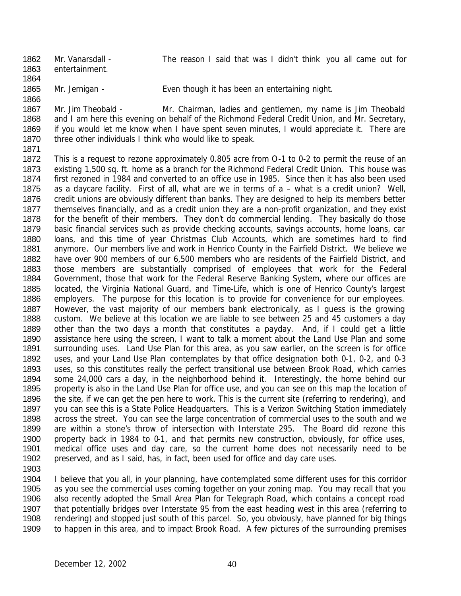1862 Mr. Vanarsdall - The reason I said that was I didn't think you all came out for entertainment. 

Mr. Jernigan - Even though it has been an entertaining night.

 Mr. Jim Theobald - Mr. Chairman, ladies and gentlemen, my name is Jim Theobald 1868 and I am here this evening on behalf of the Richmond Federal Credit Union, and Mr. Secretary, if you would let me know when I have spent seven minutes, I would appreciate it. There are 1870 three other individuals I think who would like to speak.

 This is a request to rezone approximately 0.805 acre from O-1 to 0-2 to permit the reuse of an existing 1,500 sq. ft. home as a branch for the Richmond Federal Credit Union. This house was first rezoned in 1984 and converted to an office use in 1985. Since then it has also been used as a daycare facility. First of all, what are we in terms of a – what is a credit union? Well, 1876 credit unions are obviously different than banks. They are designed to help its members better themselves financially, and as a credit union they are a non-profit organization, and they exist for the benefit of their members. They don't do commercial lending. They basically do those basic financial services such as provide checking accounts, savings accounts, home loans, car loans, and this time of year Christmas Club Accounts, which are sometimes hard to find anymore. Our members live and work in Henrico County in the Fairfield District. We believe we have over 900 members of our 6,500 members who are residents of the Fairfield District, and those members are substantially comprised of employees that work for the Federal Government, those that work for the Federal Reserve Banking System, where our offices are located, the Virginia National Guard, and Time-Life, which is one of Henrico County's largest employers. The purpose for this location is to provide for convenience for our employees. 1887 However, the vast majority of our members bank electronically, as I quess is the growing custom. We believe at this location we are liable to see between 25 and 45 customers a day other than the two days a month that constitutes a payday. And, if I could get a little assistance here using the screen, I want to talk a moment about the Land Use Plan and some surrounding uses. Land Use Plan for this area, as you saw earlier, on the screen is for office uses, and your Land Use Plan contemplates by that office designation both 0-1, 0-2, and 0-3 uses, so this constitutes really the perfect transitional use between Brook Road, which carries some 24,000 cars a day, in the neighborhood behind it. Interestingly, the home behind our property is also in the Land Use Plan for office use, and you can see on this map the location of the site, if we can get the pen here to work. This is the current site (referring to rendering), and 1897 you can see this is a State Police Headquarters. This is a Verizon Switching Station immediately across the street. You can see the large concentration of commercial uses to the south and we are within a stone's throw of intersection with Interstate 295. The Board did rezone this 1900 property back in 1984 to 0-1, and that permits new construction, obviously, for office uses, medical office uses and day care, so the current home does not necessarily need to be preserved, and as I said, has, in fact, been used for office and day care uses.

 I believe that you all, in your planning, have contemplated some different uses for this corridor as you see the commercial uses coming together on your zoning map. You may recall that you also recently adopted the Small Area Plan for Telegraph Road, which contains a concept road that potentially bridges over Interstate 95 from the east heading west in this area (referring to rendering) and stopped just south of this parcel. So, you obviously, have planned for big things to happen in this area, and to impact Brook Road. A few pictures of the surrounding premises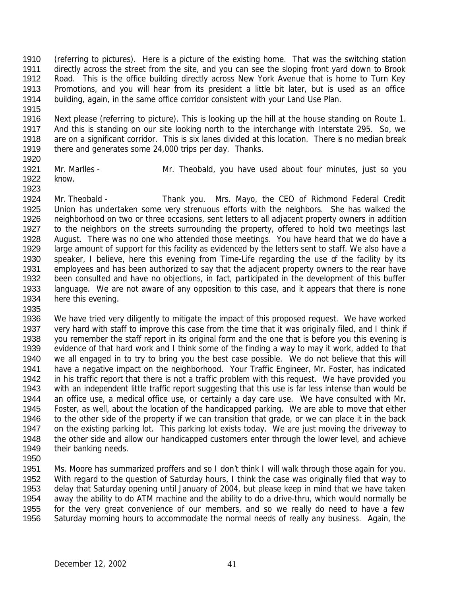(referring to pictures). Here is a picture of the existing home. That was the switching station 1911 directly across the street from the site, and you can see the sloping front yard down to Brook Road. This is the office building directly across New York Avenue that is home to Turn Key Promotions, and you will hear from its president a little bit later, but is used as an office building, again, in the same office corridor consistent with your Land Use Plan.

 Next please (referring to picture). This is looking up the hill at the house standing on Route 1. And this is standing on our site looking north to the interchange with Interstate 295. So, we 1918 are on a significant corridor. This is six lanes divided at this location. There is no median break there and generates some 24,000 trips per day. Thanks. 

- Mr. Marlles Mr. Theobald, you have used about four minutes, just so you know.
- Mr. Theobald Thank you. Mrs. Mayo, the CEO of Richmond Federal Credit Union has undertaken some very strenuous efforts with the neighbors. She has walked the neighborhood on two or three occasions, sent letters to all adjacent property owners in addition 1927 to the neighbors on the streets surrounding the property, offered to hold two meetings last August. There was no one who attended those meetings. You have heard that we do have a large amount of support for this facility as evidenced by the letters sent to staff. We also have a speaker, I believe, here this evening from Time-Life regarding the use of the facility by its employees and has been authorized to say that the adjacent property owners to the rear have been consulted and have no objections, in fact, participated in the development of this buffer language. We are not aware of any opposition to this case, and it appears that there is none here this evening.
- 

 We have tried very diligently to mitigate the impact of this proposed request. We have worked very hard with staff to improve this case from the time that it was originally filed, and I think if you remember the staff report in its original form and the one that is before you this evening is evidence of that hard work and I think some of the finding a way to may it work, added to that we all engaged in to try to bring you the best case possible. We do not believe that this will have a negative impact on the neighborhood. Your Traffic Engineer, Mr. Foster, has indicated in his traffic report that there is not a traffic problem with this request. We have provided you with an independent little traffic report suggesting that this use is far less intense than would be an office use, a medical office use, or certainly a day care use. We have consulted with Mr. Foster, as well, about the location of the handicapped parking. We are able to move that either to the other side of the property if we can transition that grade, or we can place it in the back 1947 on the existing parking lot. This parking lot exists today. We are just moving the driveway to 1948 the other side and allow our handicapped customers enter through the lower level, and achieve 1949 their banking needs.

 Ms. Moore has summarized proffers and so I don't think I will walk through those again for you. With regard to the question of Saturday hours, I think the case was originally filed that way to delay that Saturday opening until January of 2004, but please keep in mind that we have taken away the ability to do ATM machine and the ability to do a drive-thru, which would normally be for the very great convenience of our members, and so we really do need to have a few Saturday morning hours to accommodate the normal needs of really any business. Again, the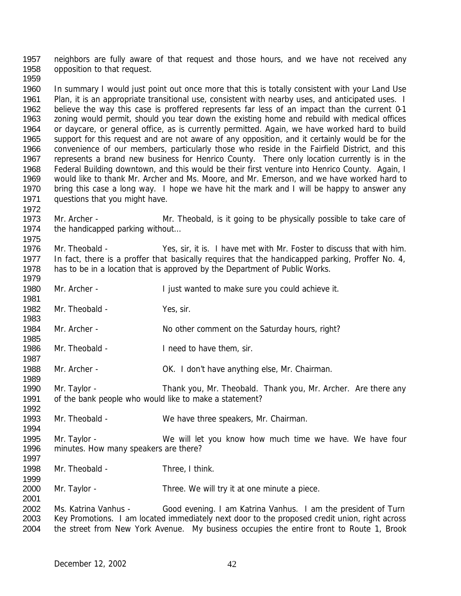neighbors are fully aware of that request and those hours, and we have not received any 1958 opposition to that request. 

 In summary I would just point out once more that this is totally consistent with your Land Use 1961 Plan, it is an appropriate transitional use, consistent with nearby uses, and anticipated uses. I believe the way this case is proffered represents far less of an impact than the current 0-1 zoning would permit, should you tear down the existing home and rebuild with medical offices or daycare, or general office, as is currently permitted. Again, we have worked hard to build support for this request and are not aware of any opposition, and it certainly would be for the convenience of our members, particularly those who reside in the Fairfield District, and this represents a brand new business for Henrico County. There only location currently is in the Federal Building downtown, and this would be their first venture into Henrico County. Again, I would like to thank Mr. Archer and Ms. Moore, and Mr. Emerson, and we have worked hard to 1970 bring this case a long way. I hope we have hit the mark and I will be happy to answer any questions that you might have.

 Mr. Archer - Mr. Theobald, is it going to be physically possible to take care of 1974 the handicapped parking without...

 Mr. Theobald - Yes, sir, it is. I have met with Mr. Foster to discuss that with him. 1977 In fact, there is a proffer that basically requires that the handicapped parking, Proffer No. 4, has to be in a location that is approved by the Department of Public Works. 

1980 Mr. Archer - I just wanted to make sure you could achieve it.

1982 Mr. Theobald - Yes, sir. 

1984 Mr. Archer - No other comment on the Saturday hours, right?

1986 Mr. Theobald - I need to have them, sir.

Mr. Archer - OK. I don't have anything else, Mr. Chairman.

1990 Mr. Taylor - Thank you, Mr. Theobald. Thank you, Mr. Archer. Are there any of the bank people who would like to make a statement?

Mr. Theobald - We have three speakers, Mr. Chairman.

 Mr. Taylor - We will let you know how much time we have. We have four minutes. How many speakers are there?

1998 Mr. Theobald - Three, I think.

2000 Mr. Taylor - Three. We will try it at one minute a piece.

2002 Ms. Katrina Vanhus - Good evening. I am Katrina Vanhus. I am the president of Turn Key Promotions. I am located immediately next door to the proposed credit union, right across the street from New York Avenue. My business occupies the entire front to Route 1, Brook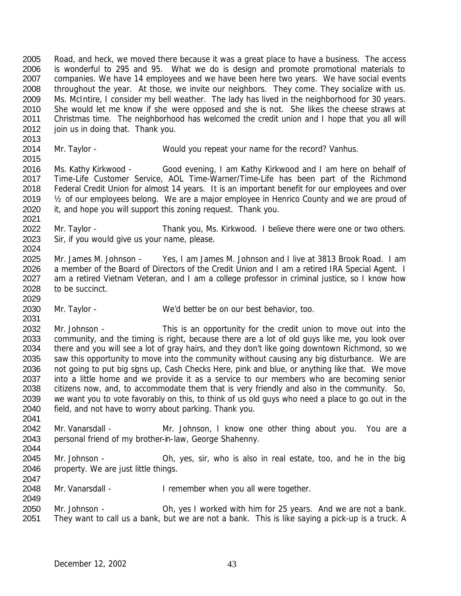Road, and heck, we moved there because it was a great place to have a business. The access is wonderful to 295 and 95. What we do is design and promote promotional materials to companies. We have 14 employees and we have been here two years. We have social events throughout the year. At those, we invite our neighbors. They come. They socialize with us. Ms. McIntire, I consider my bell weather. The lady has lived in the neighborhood for 30 years. She would let me know if she were opposed and she is not. She likes the cheese straws at Christmas time. The neighborhood has welcomed the credit union and I hope that you all will 2012 join us in doing that. Thank you.

Mr. Taylor - Would you repeat your name for the record? Vanhus.

 Ms. Kathy Kirkwood - Good evening, I am Kathy Kirkwood and I am here on behalf of Time-Life Customer Service, AOL Time-Warner/Time-Life has been part of the Richmond 2018 Federal Credit Union for almost 14 years. It is an important benefit for our employees and over ½ of our employees belong. We are a major employee in Henrico County and we are proud of it, and hope you will support this zoning request. Thank you. 

 Mr. Taylor - Thank you, Ms. Kirkwood. I believe there were one or two others. Sir, if you would give us your name, please. 

 Mr. James M. Johnson - Yes, I am James M. Johnson and I live at 3813 Brook Road. I am 2026 a member of the Board of Directors of the Credit Union and I am a retired IRA Special Agent. I am a retired Vietnam Veteran, and I am a college professor in criminal justice, so I know how to be succinct.

Mr. Taylor - We'd better be on our best behavior, too.

 Mr. Johnson - This is an opportunity for the credit union to move out into the community, and the timing is right, because there are a lot of old guys like me, you look over there and you will see a lot of gray hairs, and they don't like going downtown Richmond, so we saw this opportunity to move into the community without causing any big disturbance. We are 2036 not going to put big signs up, Cash Checks Here, pink and blue, or anything like that. We move into a little home and we provide it as a service to our members who are becoming senior citizens now, and, to accommodate them that is very friendly and also in the community. So, we want you to vote favorably on this, to think of us old guys who need a place to go out in the field, and not have to worry about parking. Thank you. 

 Mr. Vanarsdall - Mr. Johnson, I know one other thing about you. You are a personal friend of my brother-in-law, George Shahenny. 

 Mr. Johnson - Oh, yes, sir, who is also in real estate, too, and he in the big property. We are just little things.

2048 Mr. Vanarsdall - I remember when you all were together.

 Mr. Johnson - Oh, yes I worked with him for 25 years. And we are not a bank. They want to call us a bank, but we are not a bank. This is like saying a pick-up is a truck. A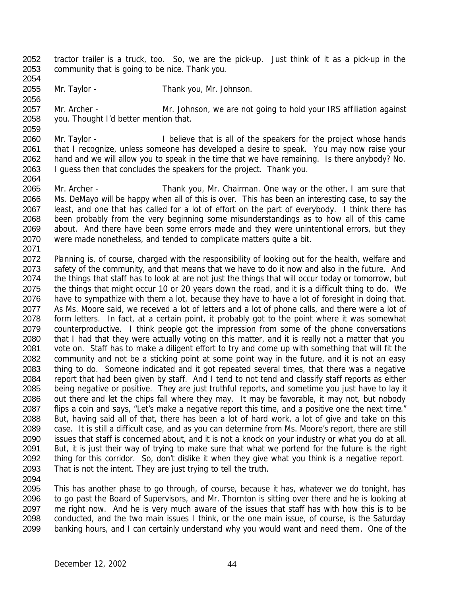- tractor trailer is a truck, too. So, we are the pick-up. Just think of it as a pick-up in the community that is going to be nice. Thank you.
- Mr. Taylor Thank you, Mr. Johnson.
- Mr. Archer Mr. Johnson, we are not going to hold your IRS affiliation against you. Thought I'd better mention that.
- Mr. Taylor I believe that is all of the speakers for the project whose hands that I recognize, unless someone has developed a desire to speak. You may now raise your hand and we will allow you to speak in the time that we have remaining. Is there anybody? No. I guess then that concludes the speakers for the project. Thank you.
- Mr. Archer Thank you, Mr. Chairman. One way or the other, I am sure that Ms. DeMayo will be happy when all of this is over. This has been an interesting case, to say the 2067 least, and one that has called for a lot of effort on the part of everybody. I think there has been probably from the very beginning some misunderstandings as to how all of this came about. And there have been some errors made and they were unintentional errors, but they were made nonetheless, and tended to complicate matters quite a bit.
- Planning is, of course, charged with the responsibility of looking out for the health, welfare and 2073 safety of the community, and that means that we have to do it now and also in the future. And the things that staff has to look at are not just the things that will occur today or tomorrow, but the things that might occur 10 or 20 years down the road, and it is a difficult thing to do. We 2076 have to sympathize with them a lot, because they have to have a lot of foresight in doing that. 2077 As Ms. Moore said, we received a lot of letters and a lot of phone calls, and there were a lot of form letters. In fact, at a certain point, it probably got to the point where it was somewhat 2079 counterproductive. I think people got the impression from some of the phone conversations 2080 that I had that they were actually voting on this matter, and it is really not a matter that you vote on. Staff has to make a diligent effort to try and come up with something that will fit the community and not be a sticking point at some point way in the future, and it is not an easy thing to do. Someone indicated and it got repeated several times, that there was a negative report that had been given by staff. And I tend to not tend and classify staff reports as either being negative or positive. They are just truthful reports, and sometime you just have to lay it out there and let the chips fall where they may. It may be favorable, it may not, but nobody flips a coin and says, "Let's make a negative report this time, and a positive one the next time." But, having said all of that, there has been a lot of hard work, a lot of give and take on this case. It is still a difficult case, and as you can determine from Ms. Moore's report, there are still issues that staff is concerned about, and it is not a knock on your industry or what you do at all. But, it is just their way of trying to make sure that what we portend for the future is the right thing for this corridor. So, don't dislike it when they give what you think is a negative report. That is not the intent. They are just trying to tell the truth.
- 

 This has another phase to go through, of course, because it has, whatever we do tonight, has to go past the Board of Supervisors, and Mr. Thornton is sitting over there and he is looking at me right now. And he is very much aware of the issues that staff has with how this is to be conducted, and the two main issues I think, or the one main issue, of course, is the Saturday banking hours, and I can certainly understand why you would want and need them. One of the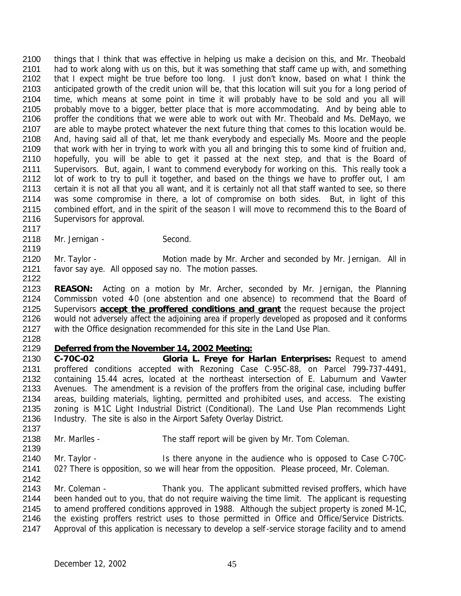things that I think that was effective in helping us make a decision on this, and Mr. Theobald had to work along with us on this, but it was something that staff came up with, and something that I expect might be true before too long. I just don't know, based on what I think the anticipated growth of the credit union will be, that this location will suit you for a long period of time, which means at some point in time it will probably have to be sold and you all will 2105 probably move to a bigger, better place that is more accommodating. And by being able to proffer the conditions that we were able to work out with Mr. Theobald and Ms. DeMayo, we 2107 are able to maybe protect whatever the next future thing that comes to this location would be. And, having said all of that, let me thank everybody and especially Ms. Moore and the people that work with her in trying to work with you all and bringing this to some kind of fruition and, hopefully, you will be able to get it passed at the next step, and that is the Board of Supervisors. But, again, I want to commend everybody for working on this. This really took a 2112 lot of work to try to pull it together, and based on the things we have to proffer out, I am certain it is not all that you all want, and it is certainly not all that staff wanted to see, so there was some compromise in there, a lot of compromise on both sides. But, in light of this 2115 combined effort, and in the spirit of the season I will move to recommend this to the Board of Supervisors for approval.

2118 Mr. Jernigan - Second. 

2120 Mr. Taylor - Motion made by Mr. Archer and seconded by Mr. Jernigan. All in favor say aye. All opposed say no. The motion passes.

 **REASON:** Acting on a motion by Mr. Archer, seconded by Mr. Jernigan, the Planning 2124 Commission voted 40 (one abstention and one absence) to recommend that the Board of Supervisors **accept the proffered conditions and grant** the request because the project would not adversely affect the adjoining area if properly developed as proposed and it conforms with the Office designation recommended for this site in the Land Use Plan.

## *Deferred from the November 14, 2002 Meeting:*

 **C-70C-02 Gloria L. Freye for Harlan Enterprises:** Request to amend proffered conditions accepted with Rezoning Case C-95C-88, on Parcel 799-737-4491, containing 15.44 acres, located at the northeast intersection of E. Laburnum and Vawter Avenues. The amendment is a revision of the proffers from the original case, including buffer areas, building materials, lighting, permitted and prohibited uses, and access. The existing zoning is M-1C Light Industrial District (Conditional). The Land Use Plan recommends Light Industry. The site is also in the Airport Safety Overlay District.

 Mr. Marlles - The staff report will be given by Mr. Tom Coleman. 

 Mr. Taylor - Is there anyone in the audience who is opposed to Case C-70C-02? There is opposition, so we will hear from the opposition. Please proceed, Mr. Coleman.

2143 Mr. Coleman - Thank you. The applicant submitted revised proffers, which have been handed out to you, that do not require waiving the time limit. The applicant is requesting to amend proffered conditions approved in 1988. Although the subject property is zoned M-1C, 2146 the existing proffers restrict uses to those permitted in Office and Office/Service Districts.

Approval of this application is necessary to develop a self-service storage facility and to amend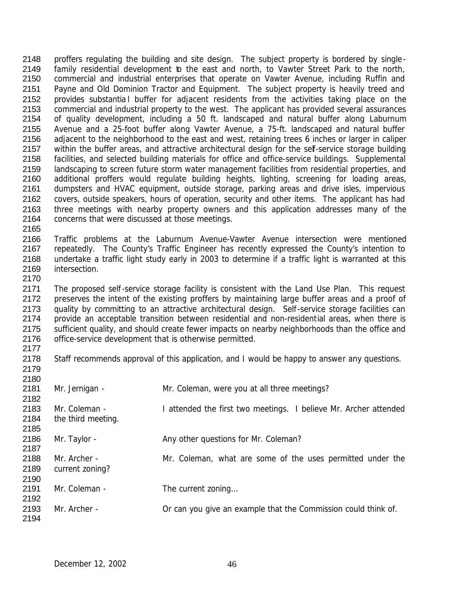2148 proffers regulating the building and site design. The subject property is bordered by single-2149 family residential development to the east and north, to Vawter Street Park to the north, commercial and industrial enterprises that operate on Vawter Avenue, including Ruffin and Payne and Old Dominion Tractor and Equipment. The subject property is heavily treed and 2152 provides substantia l buffer for adjacent residents from the activities taking place on the commercial and industrial property to the west. The applicant has provided several assurances of quality development, including a 50 ft. landscaped and natural buffer along Laburnum Avenue and a 25-foot buffer along Vawter Avenue, a 75-ft. landscaped and natural buffer 2156 adjacent to the neighborhood to the east and west, retaining trees 6 inches or larger in caliper 2157 within the buffer areas, and attractive architectural design for the self-service storage building facilities, and selected building materials for office and office-service buildings. Supplemental landscaping to screen future storm water management facilities from residential properties, and additional proffers would regulate building heights, lighting, screening for loading areas, dumpsters and HVAC equipment, outside storage, parking areas and drive isles, impervious covers, outside speakers, hours of operation, security and other items. The applicant has had three meetings with nearby property owners and this application addresses many of the concerns that were discussed at those meetings.

 Traffic problems at the Laburnum Avenue-Vawter Avenue intersection were mentioned repeatedly. The County's Traffic Engineer has recently expressed the County's intention to undertake a traffic light study early in 2003 to determine if a traffic light is warranted at this intersection. 

2171 The proposed self-service storage facility is consistent with the Land Use Plan. This request 2172 preserves the intent of the existing proffers by maintaining large buffer areas and a proof of 2173 quality by committing to an attractive architectural design. Self-service storage facilities can provide an acceptable transition between residential and non-residential areas, when there is 2175 sufficient quality, and should create fewer impacts on nearby neighborhoods than the office and 2176 office-service development that is otherwise permitted. 

 Staff recommends approval of this application, and I would be happy to answer any questions. 

| 2180 |                    |                                                                  |
|------|--------------------|------------------------------------------------------------------|
| 2181 | Mr. Jernigan -     | Mr. Coleman, were you at all three meetings?                     |
| 2182 |                    |                                                                  |
| 2183 | Mr. Coleman -      | I attended the first two meetings. I believe Mr. Archer attended |
| 2184 | the third meeting. |                                                                  |
| 2185 |                    |                                                                  |
| 2186 | Mr. Taylor -       | Any other questions for Mr. Coleman?                             |
| 2187 |                    |                                                                  |
| 2188 | Mr. Archer -       | Mr. Coleman, what are some of the uses permitted under the       |
| 2189 | current zoning?    |                                                                  |
| 2190 |                    |                                                                  |
| 2191 | Mr. Coleman -      | The current zoning                                               |
| 2192 |                    |                                                                  |
| 2193 | Mr. Archer -       | Or can you give an example that the Commission could think of.   |
| 2194 |                    |                                                                  |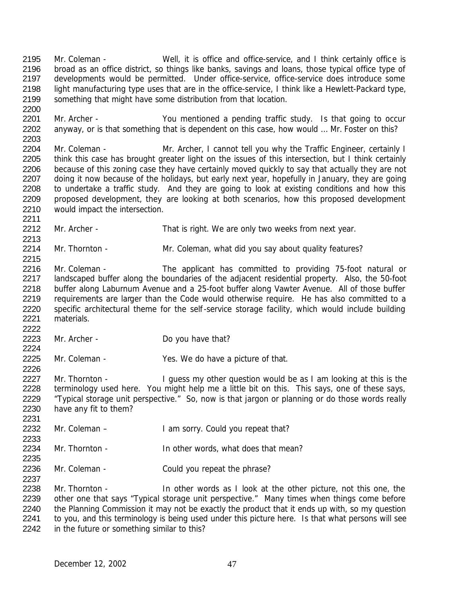Mr. Coleman - Well, it is office and office-service, and I think certainly office is broad as an office district, so things like banks, savings and loans, those typical office type of developments would be permitted. Under office-service, office-service does introduce some light manufacturing type uses that are in the office-service, I think like a Hewlett-Packard type, something that might have some distribution from that location. Mr. Archer - You mentioned a pending traffic study. Is that going to occur anyway, or is that something that is dependent on this case, how would … Mr. Foster on this?

2204 Mr. Coleman - Mr. Archer, I cannot tell you why the Traffic Engineer, certainly I 2205 think this case has brought greater light on the issues of this intersection, but I think certainly 2206 because of this zoning case they have certainly moved quickly to say that actually they are not 2207 doing it now because of the holidays, but early next year, hopefully in January, they are going to undertake a traffic study. And they are going to look at existing conditions and how this proposed development, they are looking at both scenarios, how this proposed development would impact the intersection.

2212 Mr. Archer - That is right. We are only two weeks from next year.

2214 Mr. Thornton - Mr. Coleman, what did you say about quality features?

2216 Mr. Coleman - The applicant has committed to providing 75-foot natural or 2217 landscaped buffer along the boundaries of the adjacent residential property. Also, the 50-foot buffer along Laburnum Avenue and a 25-foot buffer along Vawter Avenue. All of those buffer 2219 requirements are larger than the Code would otherwise require. He has also committed to a specific architectural theme for the self-service storage facility, which would include building materials.

Mr. Archer - Do you have that?

Mr. Coleman - Yes. We do have a picture of that.

2227 Mr. Thornton - I guess my other question would be as I am looking at this is the terminology used here. You might help me a little bit on this. This says, one of these says, "Typical storage unit perspective." So, now is that jargon or planning or do those words really have any fit to them? 

Mr. Coleman – I am sorry. Could you repeat that?

Mr. Thornton - In other words, what does that mean?

Mr. Coleman - Could you repeat the phrase?

2238 Mr. Thornton - In other words as I look at the other picture, not this one, the other one that says "Typical storage unit perspective." Many times when things come before 2240 the Planning Commission it may not be exactly the product that it ends up with, so my question 2241 to you, and this terminology is being used under this picture here. Is that what persons will see in the future or something similar to this?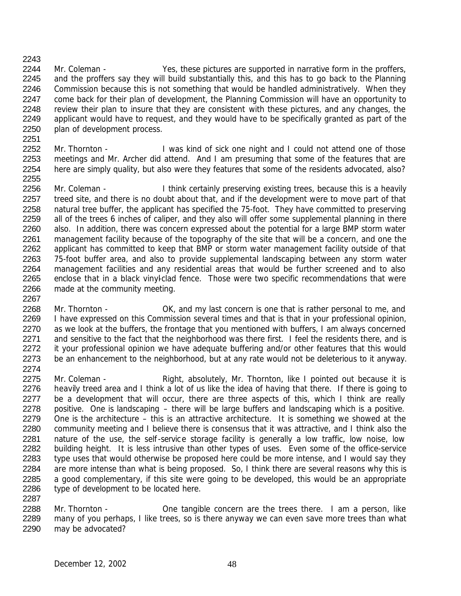2243

- 2244 Mr. Coleman Yes, these pictures are supported in narrative form in the proffers, 2245 and the proffers say they will build substantially this, and this has to go back to the Planning 2246 Commission because this is not something that would be handled administratively. When they 2247 come back for their plan of development, the Planning Commission will have an opportunity to 2248 review their plan to insure that they are consistent with these pictures, and any changes, the 2249 applicant would have to request, and they would have to be specifically granted as part of the 2250 plan of development process.
- 2252 Mr. Thornton I was kind of sick one night and I could not attend one of those 2253 meetings and Mr. Archer did attend. And I am presuming that some of the features that are 2254 here are simply quality, but also were they features that some of the residents advocated, also? 2255
- 2256 Mr. Coleman I think certainly preserving existing trees, because this is a heavily 2257 treed site, and there is no doubt about that, and if the development were to move part of that 2258 natural tree buffer, the applicant has specified the 75-foot. They have committed to preserving 2259 all of the trees 6 inches of caliper, and they also will offer some supplemental planning in there 2260 also. In addition, there was concern expressed about the potential for a large BMP storm water 2261 management facility because of the topography of the site that will be a concern, and one the 2262 applicant has committed to keep that BMP or storm water management facility outside of that 2263 75-foot buffer area, and also to provide supplemental landscaping between any storm water 2264 management facilities and any residential areas that would be further screened and to also 2265 enclose that in a black vinyl-clad fence. Those were two specific recommendations that were 2266 made at the community meeting.
- 2267 2268 Mr. Thornton - OK, and my last concern is one that is rather personal to me, and 2269 I have expressed on this Commission several times and that is that in your professional opinion, 2270 as we look at the buffers, the frontage that you mentioned with buffers, I am always concerned 2271 and sensitive to the fact that the neighborhood was there first. I feel the residents there, and is 2272 it your professional opinion we have adequate buffering and/or other features that this would 2273 be an enhancement to the neighborhood, but at any rate would not be deleterious to it anyway. 2274
- 2275 Mr. Coleman Right, absolutely, Mr. Thornton, like I pointed out because it is 2276 heavily treed area and I think a lot of us like the idea of having that there. If there is going to 2277 be a development that will occur, there are three aspects of this, which I think are really 2278 positive. One is landscaping – there will be large buffers and landscaping which is a positive. 2279 One is the architecture – this is an attractive architecture. It is something we showed at the 2280 community meeting and I believe there is consensus that it was attractive, and I think also the 2281 nature of the use, the self-service storage facility is generally a low traffic, low noise, low<br>2282 building height. It is less intrusive than other types of uses. Even some of the office-service building height. It is less intrusive than other types of uses. Even some of the office-service 2283 type uses that would otherwise be proposed here could be more intense, and I would say they 2284 are more intense than what is being proposed. So, I think there are several reasons why this is 2285 a good complementary, if this site were going to be developed, this would be an appropriate 2286 type of development to be located here. 2287
- 2288 Mr. Thornton One tangible concern are the trees there. I am a person, like 2289 many of you perhaps, I like trees, so is there anyway we can even save more trees than what 2290 may be advocated?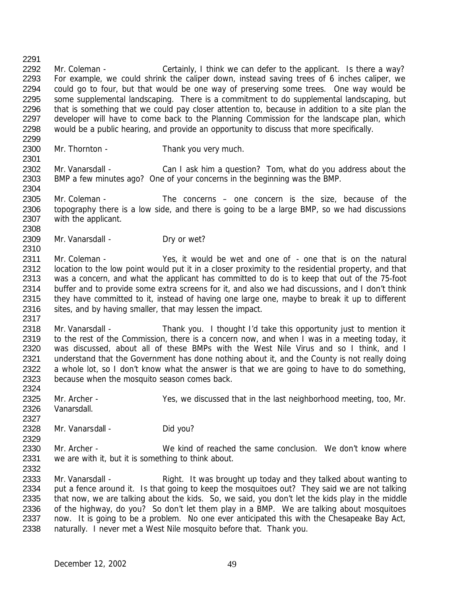2292 Mr. Coleman - Certainly, I think we can defer to the applicant. Is there a way? For example, we could shrink the caliper down, instead saving trees of 6 inches caliper, we could go to four, but that would be one way of preserving some trees. One way would be some supplemental landscaping. There is a commitment to do supplemental landscaping, but that is something that we could pay closer attention to, because in addition to a site plan the 2297 developer will have to come back to the Planning Commission for the landscape plan, which would be a public hearing, and provide an opportunity to discuss that more specifically. 

Mr. Thornton - Thank you very much.

2302 Mr. Vanarsdall - Can I ask him a question? Tom, what do you address about the BMP a few minutes ago? One of your concerns in the beginning was the BMP.

2305 Mr. Coleman - The concerns – one concern is the size, because of the topography there is a low side, and there is going to be a large BMP, so we had discussions with the applicant.

2309 Mr. Vanarsdall - Dry or wet?

 Mr. Coleman - Yes, it would be wet and one of - one that is on the natural 2312 location to the low point would put it in a closer proximity to the residential property, and that was a concern, and what the applicant has committed to do is to keep that out of the 75-foot 2314 buffer and to provide some extra screens for it, and also we had discussions, and I don't think 2315 they have committed to it, instead of having one large one, maybe to break it up to different 2316 sites, and by having smaller, that may lessen the impact.

 Mr. Vanarsdall - Thank you. I thought I'd take this opportunity just to mention it 2319 to the rest of the Commission, there is a concern now, and when I was in a meeting today, it was discussed, about all of these BMPs with the West Nile Virus and so I think, and I understand that the Government has done nothing about it, and the County is not really doing 2322 a whole lot, so I don't know what the answer is that we are going to have to do something, because when the mosquito season comes back.

 Mr. Archer - Yes, we discussed that in the last neighborhood meeting, too, Mr. Vanarsdall. 

2328 Mr. Vanarsdall - Did you?

 Mr. Archer - We kind of reached the same conclusion. We don't know where we are with it, but it is something to think about.

2333 Mr. Vanarsdall - Right. It was brought up today and they talked about wanting to 2334 put a fence around it. Is that going to keep the mosquitoes out? They said we are not talking that now, we are talking about the kids. So, we said, you don't let the kids play in the middle of the highway, do you? So don't let them play in a BMP. We are talking about mosquitoes now. It is going to be a problem. No one ever anticipated this with the Chesapeake Bay Act, naturally. I never met a West Nile mosquito before that. Thank you.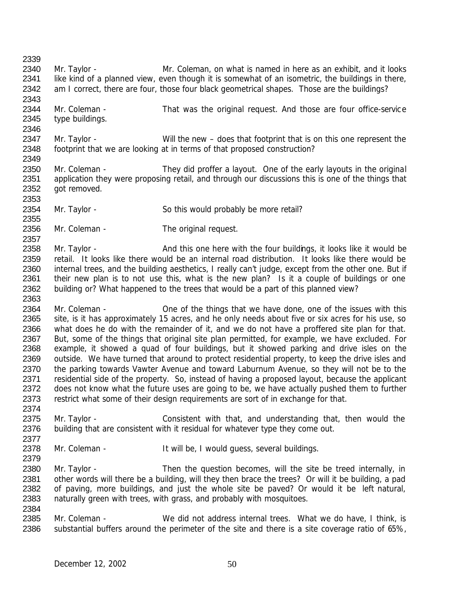| 2339 |                 |                                                                                                      |
|------|-----------------|------------------------------------------------------------------------------------------------------|
| 2340 | Mr. Taylor -    | Mr. Coleman, on what is named in here as an exhibit, and it looks                                    |
| 2341 |                 | like kind of a planned view, even though it is somewhat of an isometric, the buildings in there,     |
| 2342 |                 | am I correct, there are four, those four black geometrical shapes. Those are the buildings?          |
| 2343 |                 |                                                                                                      |
| 2344 | Mr. Coleman -   | That was the original request. And those are four office-service                                     |
| 2345 | type buildings. |                                                                                                      |
| 2346 |                 |                                                                                                      |
| 2347 | Mr. Taylor -    | Will the new – does that footprint that is on this one represent the                                 |
| 2348 |                 | footprint that we are looking at in terms of that proposed construction?                             |
| 2349 |                 |                                                                                                      |
| 2350 | Mr. Coleman -   | They did proffer a layout. One of the early layouts in the original                                  |
| 2351 |                 | application they were proposing retail, and through our discussions this is one of the things that   |
|      |                 |                                                                                                      |
| 2352 | got removed.    |                                                                                                      |
| 2353 |                 |                                                                                                      |
| 2354 | Mr. Taylor -    | So this would probably be more retail?                                                               |
| 2355 |                 |                                                                                                      |
| 2356 | Mr. Coleman -   | The original request.                                                                                |
| 2357 |                 |                                                                                                      |
| 2358 | Mr. Taylor -    | And this one here with the four buildings, it looks like it would be                                 |
| 2359 |                 | retail. It looks like there would be an internal road distribution. It looks like there would be     |
| 2360 |                 | internal trees, and the building aesthetics, I really can't judge, except from the other one. But if |
| 2361 |                 | their new plan is to not use this, what is the new plan? Is it a couple of buildings or one          |
| 2362 |                 | building or? What happened to the trees that would be a part of this planned view?                   |
| 2363 |                 |                                                                                                      |
| 2364 | Mr. Coleman -   | One of the things that we have done, one of the issues with this                                     |
| 2365 |                 | site, is it has approximately 15 acres, and he only needs about five or six acres for his use, so    |
| 2366 |                 | what does he do with the remainder of it, and we do not have a proffered site plan for that.         |
| 2367 |                 | But, some of the things that original site plan permitted, for example, we have excluded. For        |
| 2368 |                 | example, it showed a quad of four buildings, but it showed parking and drive isles on the            |
| 2369 |                 | outside. We have turned that around to protect residential property, to keep the drive isles and     |
| 2370 |                 | the parking towards Vawter Avenue and toward Laburnum Avenue, so they will not be to the             |
| 2371 |                 | residential side of the property. So, instead of having a proposed layout, because the applicant     |
| 2372 |                 | does not know what the future uses are going to be, we have actually pushed them to further          |
| 2373 |                 | restrict what some of their design requirements are sort of in exchange for that.                    |
| 2374 |                 |                                                                                                      |
| 2375 | Mr. Taylor -    | Consistent with that, and understanding that, then would the                                         |
| 2376 |                 | building that are consistent with it residual for whatever type they come out.                       |
| 2377 |                 |                                                                                                      |
| 2378 | Mr. Coleman -   | It will be, I would quess, several buildings.                                                        |
| 2379 |                 |                                                                                                      |
| 2380 | Mr. Taylor -    | Then the question becomes, will the site be treed internally, in                                     |
| 2381 |                 | other words will there be a building, will they then brace the trees? Or will it be building, a pad  |
| 2382 |                 | of paving, more buildings, and just the whole site be paved? Or would it be left natural,            |
| 2383 |                 | naturally green with trees, with grass, and probably with mosquitoes.                                |
| 2384 |                 |                                                                                                      |
| 2385 | Mr. Coleman -   | We did not address internal trees. What we do have, I think, is                                      |
| 2386 |                 | substantial buffers around the perimeter of the site and there is a site coverage ratio of 65%,      |
|      |                 |                                                                                                      |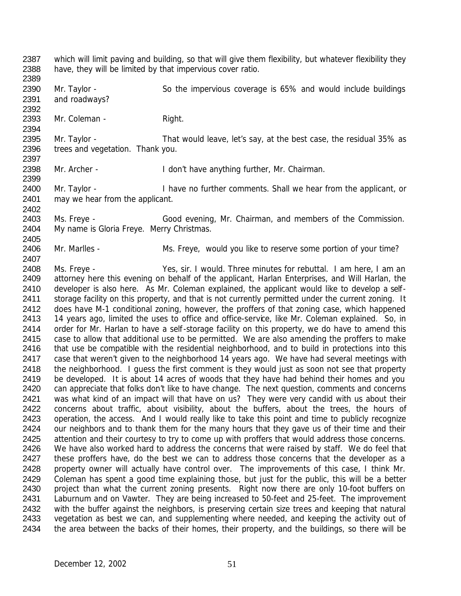2387 which will limit paving and building, so that will give them flexibility, but whatever flexibility they 2388 have, they will be limited by that impervious cover ratio. 2389

2390 Mr. Taylor - So the impervious coverage is 65% and would include buildings 2391 and roadways?

2393 Mr. Coleman - Right.

2392

2394

2402

2407

2395 Mr. Taylor - That would leave, let's say, at the best case, the residual 35% as 2396 trees and vegetation. Thank you. 2397

2398 Mr. Archer - I don't have anything further, Mr. Chairman. 2399

2400 Mr. Taylor - I have no further comments. Shall we hear from the applicant, or 2401 may we hear from the applicant.

2403 Ms. Freye - Good evening, Mr. Chairman, and members of the Commission. 2404 My name is Gloria Freye. Merry Christmas. 2405

2406 Mr. Marlles - Ms. Freye, would you like to reserve some portion of your time?

2408 Ms. Freye - Yes, sir. I would. Three minutes for rebuttal. I am here, I am an 2409 attorney here this evening on behalf of the applicant, Harlan Enterprises, and Will Harlan, the 2410 developer is also here. As Mr. Coleman explained, the applicant would like to develop a self-2411 storage facility on this property, and that is not currently permitted under the current zoning. It 2412 does have M-1 conditional zoning, however, the proffers of that zoning case, which happened 2413 14 years ago, limited the uses to office and office-service, like Mr. Coleman explained. So, in 2414 order for Mr. Harlan to have a self-storage facility on this property, we do have to amend this 2415 case to allow that additional use to be permitted. We are also amending the proffers to make 2416 that use be compatible with the residential neighborhood, and to build in protections into this 2417 case that weren't given to the neighborhood 14 years ago. We have had several meetings with 2418 the neighborhood. I guess the first comment is they would just as soon not see that property 2419 be developed. It is about 14 acres of woods that they have had behind their homes and you 2420 can appreciate that folks don't like to have change. The next question, comments and concerns 2421 was what kind of an impact will that have on us? They were very candid with us about their 2422 concerns about traffic, about visibility, about the buffers, about the trees, the hours of 2423 operation, the access. And I would really like to take this point and time to publicly recognize 2424 our neighbors and to thank them for the many hours that they gave us of their time and their 2425 attention and their courtesy to try to come up with proffers that would address those concerns. 2426 We have also worked hard to address the concerns that were raised by staff. We do feel that 2427 these proffers have, do the best we can to address those concerns that the developer as a 2428 property owner will actually have control over. The improvements of this case, I think Mr. 2429 Coleman has spent a good time explaining those, but just for the public, this will be a better 2430 project than what the current zoning presents. Right now there are only 10-foot buffers on 2431 Laburnum and on Vawter. They are being increased to 50-feet and 25-feet. The improvement 2432 with the buffer against the neighbors, is preserving certain size trees and keeping that natural 2433 vegetation as best we can, and supplementing where needed, and keeping the activity out of 2434 the area between the backs of their homes, their property, and the buildings, so there will be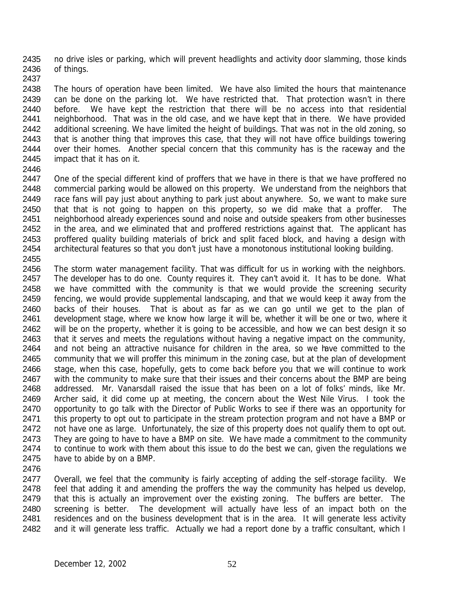2435 no drive isles or parking, which will prevent headlights and activity door slamming, those kinds 2436 of things. 2437

 The hours of operation have been limited. We have also limited the hours that maintenance 2439 can be done on the parking lot. We have restricted that. That protection wasn't in there before. We have kept the restriction that there will be no access into that residential neighborhood. That was in the old case, and we have kept that in there. We have provided 2442 additional screening. We have limited the height of buildings. That was not in the old zoning, so that is another thing that improves this case, that they will not have office buildings towering 2444 over their homes. Another special concern that this community has is the raceway and the impact that it has on it.

2446

2447 One of the special different kind of proffers that we have in there is that we have proffered no commercial parking would be allowed on this property. We understand from the neighbors that race fans will pay just about anything to park just about anywhere. So, we want to make sure that that is not going to happen on this property, so we did make that a proffer. The neighborhood already experiences sound and noise and outside speakers from other businesses 2452 in the area, and we eliminated that and proffered restrictions against that. The applicant has proffered quality building materials of brick and split faced block, and having a design with architectural features so that you don't just have a monotonous institutional looking building. 2455

- 2456 The storm water management facility. That was difficult for us in working with the neighbors. 2457 The developer has to do one. County requires it. They can't avoid it. It has to be done. What 2458 we have committed with the community is that we would provide the screening security 2459 fencing, we would provide supplemental landscaping, and that we would keep it away from the 2460 backs of their houses. That is about as far as we can go until we get to the plan of 2461 development stage, where we know how large it will be, whether it will be one or two, where it 2462 will be on the property, whether it is going to be accessible, and how we can best design it so 2463 that it serves and meets the regulations without having a negative impact on the community, 2464 and not being an attractive nuisance for children in the area, so we have committed to the 2465 community that we will proffer this minimum in the zoning case, but at the plan of development 2466 stage, when this case, hopefully, gets to come back before you that we will continue to work 2467 with the community to make sure that their issues and their concerns about the BMP are being 2468 addressed. Mr. Vanarsdall raised the issue that has been on a lot of folks' minds, like Mr. 2469 Archer said, it did come up at meeting, the concern about the West Nile Virus. I took the 2470 opportunity to go talk with the Director of Public Works to see if there was an opportunity for 2471 this property to opt out to participate in the stream protection program and not have a BMP or 2472 not have one as large. Unfortunately, the size of this property does not qualify them to opt out. 2473 They are going to have to have a BMP on site. We have made a commitment to the community 2474 to continue to work with them about this issue to do the best we can, given the regulations we 2475 have to abide by on a BMP.
- 2476

2477 Overall, we feel that the community is fairly accepting of adding the self-storage facility. We 2478 feel that adding it and amending the proffers the way the community has helped us develop, 2479 that this is actually an improvement over the existing zoning. The buffers are better. The 2480 screening is better. The development will actually have less of an impact both on the 2481 residences and on the business development that is in the area. It will generate less activity 2482 and it will generate less traffic. Actually we had a report done by a traffic consultant, which I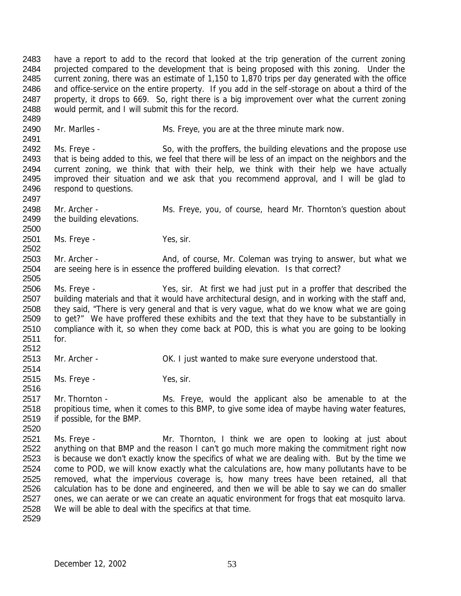have a report to add to the record that looked at the trip generation of the current zoning 2484 projected compared to the development that is being proposed with this zoning. Under the current zoning, there was an estimate of 1,150 to 1,870 trips per day generated with the office and office-service on the entire property. If you add in the self-storage on about a third of the property, it drops to 669. So, right there is a big improvement over what the current zoning would permit, and I will submit this for the record. 

Mr. Marlles - Ms. Freye, you are at the three minute mark now.

2492 Ms. Freye - So, with the proffers, the building elevations and the propose use that is being added to this, we feel that there will be less of an impact on the neighbors and the current zoning, we think that with their help, we think with their help we have actually improved their situation and we ask that you recommend approval, and I will be glad to respond to questions.

 Mr. Archer - Ms. Freye, you, of course, heard Mr. Thornton's question about 2499 the building elevations.

 Ms. Freye - Yes, sir. 

2503 Mr. Archer - And, of course, Mr. Coleman was trying to answer, but what we are seeing here is in essence the proffered building elevation. Is that correct?

 Ms. Freye - Yes, sir. At first we had just put in a proffer that described the building materials and that it would have architectural design, and in working with the staff and, they said, "There is very general and that is very vague, what do we know what we are going to get?" We have proffered these exhibits and the text that they have to be substantially in compliance with it, so when they come back at POD, this is what you are going to be looking for.

Mr. Archer - OK. I just wanted to make sure everyone understood that.

Ms. Freye - Yes, sir.

 Mr. Thornton - Ms. Freye, would the applicant also be amenable to at the propitious time, when it comes to this BMP, to give some idea of maybe having water features, if possible, for the BMP. 

 Ms. Freye - Mr. Thornton, I think we are open to looking at just about 2522 anything on that BMP and the reason I can't go much more making the commitment right now 2523 is because we don't exactly know the specifics of what we are dealing with. But by the time we come to POD, we will know exactly what the calculations are, how many pollutants have to be removed, what the impervious coverage is, how many trees have been retained, all that calculation has to be done and engineered, and then we will be able to say we can do smaller 2527 ones, we can aerate or we can create an aquatic environment for frogs that eat mosquito larva. We will be able to deal with the specifics at that time.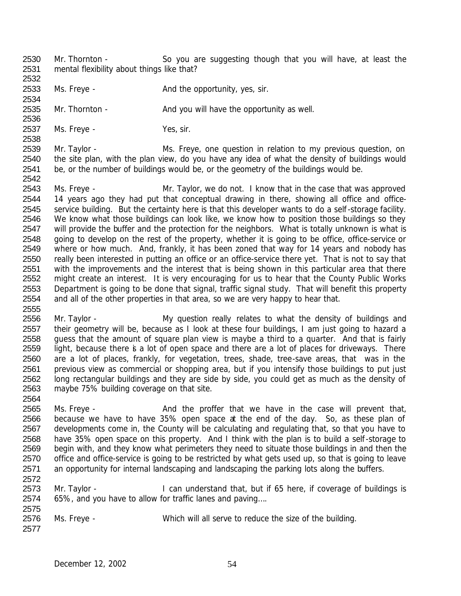- Mr. Thornton So you are suggesting though that you will have, at least the mental flexibility about things like that?
- 2533 Ms. Freye And the opportunity, yes, sir.

2535 Mr. Thornton - And you will have the opportunity as well.

2537 Ms. Freye - Yes, sir.

2539 Mr. Taylor - Ms. Freye, one question in relation to my previous question, on the site plan, with the plan view, do you have any idea of what the density of buildings would be, or the number of buildings would be, or the geometry of the buildings would be. 

 Ms. Freye - Mr. Taylor, we do not. I know that in the case that was approved 2544 14 years ago they had put that conceptual drawing in there, showing all office and office- service building. But the certainty here is that this developer wants to do a self-storage facility. We know what those buildings can look like, we know how to position those buildings so they 2547 will provide the buffer and the protection for the neighbors. What is totally unknown is what is going to develop on the rest of the property, whether it is going to be office, office-service or where or how much. And, frankly, it has been zoned that way for 14 years and nobody has really been interested in putting an office or an office-service there yet. That is not to say that with the improvements and the interest that is being shown in this particular area that there might create an interest. It is very encouraging for us to hear that the County Public Works Department is going to be done that signal, traffic signal study. That will benefit this property and all of the other properties in that area, so we are very happy to hear that. 

2556 Mr. Taylor - My question really relates to what the density of buildings and their geometry will be, because as I look at these four buildings, I am just going to hazard a guess that the amount of square plan view is maybe a third to a quarter. And that is fairly light, because there is a lot of open space and there are a lot of places for driveways. There are a lot of places, frankly, for vegetation, trees, shade, tree-save areas, that was in the previous view as commercial or shopping area, but if you intensify those buildings to put just long rectangular buildings and they are side by side, you could get as much as the density of maybe 75% building coverage on that site.

2565 Ms. Freye - And the proffer that we have in the case will prevent that, because we have to have 35% open space at the end of the day. So, as these plan of developments come in, the County will be calculating and regulating that, so that you have to have 35% open space on this property. And I think with the plan is to build a self-storage to begin with, and they know what perimeters they need to situate those buildings in and then the office and office-service is going to be restricted by what gets used up, so that is going to leave 2571 an opportunity for internal landscaping and landscaping the parking lots along the buffers. 

2573 Mr. Taylor - I can understand that, but if 65 here, if coverage of buildings is 65%, and you have to allow for traffic lanes and paving…. 

 Ms. Freye - Which will all serve to reduce the size of the building.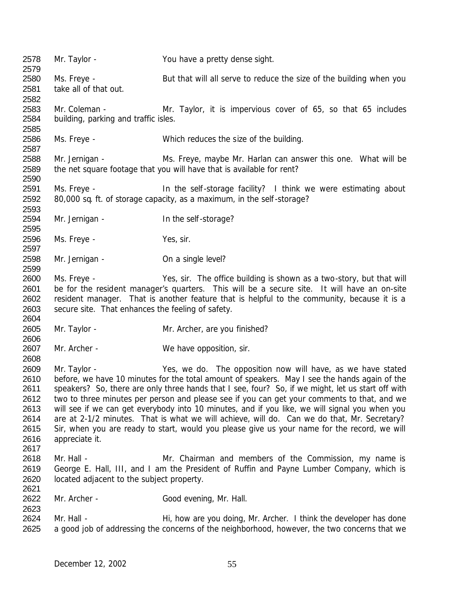Mr. Taylor - You have a pretty dense sight. 2580 Ms. Freye - But that will all serve to reduce the size of the building when you take all of that out. Mr. Coleman - Mr. Taylor, it is impervious cover of 65, so that 65 includes building, parking and traffic isles. Ms. Freye - Which reduces the size of the building. Mr. Jernigan - Ms. Freye, maybe Mr. Harlan can answer this one. What will be the net square footage that you will have that is available for rent? 2591 Ms. Freye - In the self-storage facility? I think we were estimating about 80,000 sq. ft. of storage capacity, as a maximum, in the self-storage? Mr. Jernigan - In the self-storage? Ms. Freye - Yes, sir. Mr. Jernigan - On a single level? Ms. Freye - Yes, sir. The office building is shown as a two-story, but that will be for the resident manager's quarters. This will be a secure site. It will have an on-site resident manager. That is another feature that is helpful to the community, because it is a secure site. That enhances the feeling of safety. Mr. Taylor - Mr. Archer, are you finished? 2607 Mr. Archer - We have opposition, sir. Mr. Taylor - Yes, we do. The opposition now will have, as we have stated before, we have 10 minutes for the total amount of speakers. May I see the hands again of the speakers? So, there are only three hands that I see, four? So, if we might, let us start off with two to three minutes per person and please see if you can get your comments to that, and we will see if we can get everybody into 10 minutes, and if you like, we will signal you when you are at 2-1/2 minutes. That is what we will achieve, will do. Can we do that, Mr. Secretary? Sir, when you are ready to start, would you please give us your name for the record, we will appreciate it. Mr. Hall - Mr. Chairman and members of the Commission, my name is George E. Hall, III, and I am the President of Ruffin and Payne Lumber Company, which is located adjacent to the subject property. Mr. Archer - Good evening, Mr. Hall. 2624 Mr. Hall - Hi, how are you doing, Mr. Archer. I think the developer has done 2625 a good job of addressing the concerns of the neighborhood, however, the two concerns that we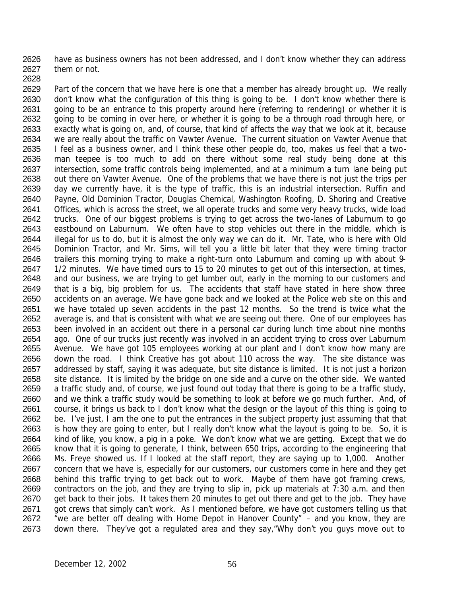have as business owners has not been addressed, and I don't know whether they can address them or not. 

 Part of the concern that we have here is one that a member has already brought up. We really 2630 don't know what the configuration of this thing is going to be. I don't know whether there is 2631 going to be an entrance to this property around here (referring to rendering) or whether it is 2632 going to be coming in over here, or whether it is going to be a through road through here, or exactly what is going on, and, of course, that kind of affects the way that we look at it, because we are really about the traffic on Vawter Avenue. The current situation on Vawter Avenue that I feel as a business owner, and I think these other people do, too, makes us feel that a two- man teepee is too much to add on there without some real study being done at this intersection, some traffic controls being implemented, and at a minimum a turn lane being put out there on Vawter Avenue. One of the problems that we have there is not just the trips per day we currently have, it is the type of traffic, this is an industrial intersection. Ruffin and Payne, Old Dominion Tractor, Douglas Chemical, Washington Roofing, D. Shoring and Creative Offices, which is across the street, we all operate trucks and some very heavy trucks, wide load trucks. One of our biggest problems is trying to get across the two-lanes of Laburnum to go eastbound on Laburnum. We often have to stop vehicles out there in the middle, which is illegal for us to do, but it is almost the only way we can do it. Mr. Tate, who is here with Old Dominion Tractor, and Mr. Sims, will tell you a little bit later that they were timing tractor trailers this morning trying to make a right-turn onto Laburnum and coming up with about 9- 2647 1/2 minutes. We have timed ours to 15 to 20 minutes to get out of this intersection, at times, and our business, we are trying to get lumber out, early in the morning to our customers and that is a big, big problem for us. The accidents that staff have stated in here show three accidents on an average. We have gone back and we looked at the Police web site on this and we have totaled up seven accidents in the past 12 months. So the trend is twice what the average is, and that is consistent with what we are seeing out there. One of our employees has been involved in an accident out there in a personal car during lunch time about nine months ago. One of our trucks just recently was involved in an accident trying to cross over Laburnum Avenue. We have got 105 employees working at our plant and I don't know how many are down the road. I think Creative has got about 110 across the way. The site distance was addressed by staff, saying it was adequate, but site distance is limited. It is not just a horizon 2658 site distance. It is limited by the bridge on one side and a curve on the other side. We wanted a traffic study and, of course, we just found out today that there is going to be a traffic study, and we think a traffic study would be something to look at before we go much further. And, of course, it brings us back to I don't know what the design or the layout of this thing is going to be. I've just, I am the one to put the entrances in the subject property just assuming that that is how they are going to enter, but I really don't know what the layout is going to be. So, it is kind of like, you know, a pig in a poke. We don't know what we are getting. Except that we do know that it is going to generate, I think, between 650 trips, according to the engineering that Ms. Freye showed us. If I looked at the staff report, they are saying up to 1,000. Another 2667 concern that we have is, especially for our customers, our customers come in here and they get behind this traffic trying to get back out to work. Maybe of them have got framing crews, 2669 contractors on the job, and they are trying to slip in, pick up materials at  $7:30$  a.m. and then 2670 get back to their jobs. It takes them 20 minutes to get out there and get to the job. They have 2671 got crews that simply can't work. As I mentioned before, we have got customers telling us that "we are better off dealing with Home Depot in Hanover County" – and you know, they are down there. They've got a regulated area and they say,"Why don't you guys move out to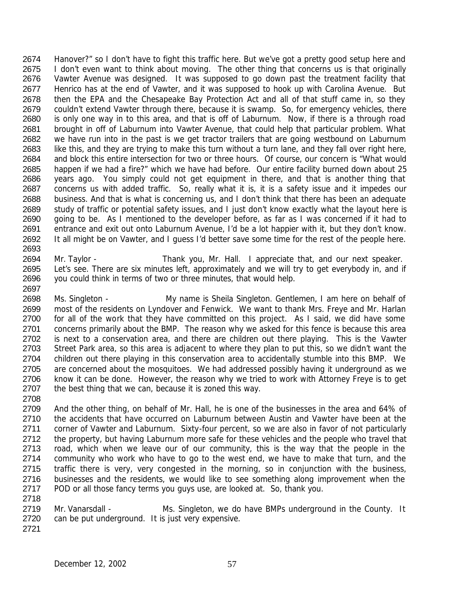2674 Hanover?" so I don't have to fight this traffic here. But we've got a pretty good setup here and 2675 I don't even want to think about moving. The other thing that concerns us is that originally Vawter Avenue was designed. It was supposed to go down past the treatment facility that 2677 Henrico has at the end of Vawter, and it was supposed to hook up with Carolina Avenue. But then the EPA and the Chesapeake Bay Protection Act and all of that stuff came in, so they couldn't extend Vawter through there, because it is swamp. So, for emergency vehicles, there is only one way in to this area, and that is off of Laburnum. Now, if there is a through road brought in off of Laburnum into Vawter Avenue, that could help that particular problem. What we have run into in the past is we get tractor trailers that are going westbound on Laburnum 2683 like this, and they are trying to make this turn without a turn lane, and they fall over right here, and block this entire intersection for two or three hours. Of course, our concern is "What would happen if we had a fire?" which we have had before. Our entire facility burned down about 25 years ago. You simply could not get equipment in there, and that is another thing that concerns us with added traffic. So, really what it is, it is a safety issue and it impedes our business. And that is what is concerning us, and I don't think that there has been an adequate study of traffic or potential safety issues, and I just don't know exactly what the layout here is going to be. As I mentioned to the developer before, as far as I was concerned if it had to entrance and exit out onto Laburnum Avenue, I'd be a lot happier with it, but they don't know. 2692 It all might be on Vawter, and I guess I'd better save some time for the rest of the people here. 

- Mr. Taylor Thank you, Mr. Hall. I appreciate that, and our next speaker. Let's see. There are six minutes left, approximately and we will try to get everybody in, and if you could think in terms of two or three minutes, that would help.
- Ms. Singleton My name is Sheila Singleton. Gentlemen, I am here on behalf of most of the residents on Lyndover and Fenwick. We want to thank Mrs. Freye and Mr. Harlan 2700 for all of the work that they have committed on this project. As I said, we did have some 2701 concerns primarily about the BMP. The reason why we asked for this fence is because this area is next to a conservation area, and there are children out there playing. This is the Vawter Street Park area, so this area is adjacent to where they plan to put this, so we didn't want the 2704 children out there playing in this conservation area to accidentally stumble into this BMP. We 2705 are concerned about the mosquitoes. We had addressed possibly having it underground as we 2706 know it can be done. However, the reason why we tried to work with Attorney Freye is to get the best thing that we can, because it is zoned this way.
- And the other thing, on behalf of Mr. Hall, he is one of the businesses in the area and 64% of the accidents that have occurred on Laburnum between Austin and Vawter have been at the 2711 corner of Vawter and Laburnum. Sixty-four percent, so we are also in favor of not particularly 2712 the property, but having Laburnum more safe for these vehicles and the people who travel that road, which when we leave our of our community, this is the way that the people in the community who work who have to go to the west end, we have to make that turn, and the traffic there is very, very congested in the morning, so in conjunction with the business, businesses and the residents, we would like to see something along improvement when the POD or all those fancy terms you guys use, are looked at. So, thank you.
- 2719 Mr. Vanarsdall Ms. Singleton, we do have BMPs underground in the County. It can be put underground. It is just very expensive.
-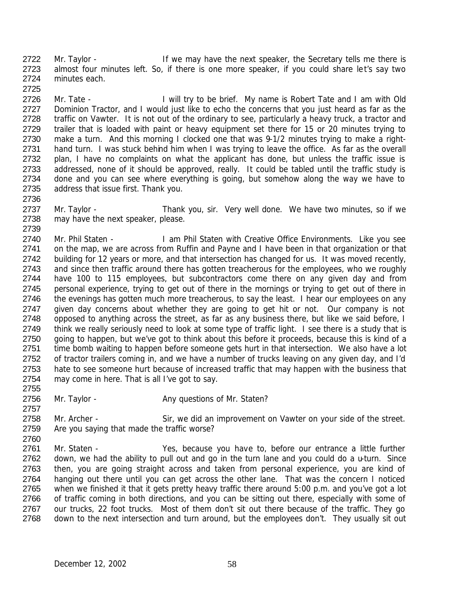2722 Mr. Taylor - If we may have the next speaker, the Secretary tells me there is 2723 almost four minutes left. So, if there is one more speaker, if you could share let's say two 2724 minutes each. 2725

2726 Mr. Tate - I will try to be brief. My name is Robert Tate and I am with Old 2727 Dominion Tractor, and I would just like to echo the concerns that you just heard as far as the 2728 traffic on Vawter. It is not out of the ordinary to see, particularly a heavy truck, a tractor and 2729 trailer that is loaded with paint or heavy equipment set there for 15 or 20 minutes trying to 2730 make a turn. And this morning I clocked one that was 9-1/2 minutes trying to make a right-2731 hand turn. I was stuck behind him when I was trying to leave the office. As far as the overall 2732 plan, I have no complaints on what the applicant has done, but unless the traffic issue is 2733 addressed, none of it should be approved, really. It could be tabled until the traffic study is 2734 done and you can see where everything is going, but somehow along the way we have to 2735 address that issue first. Thank you.

2737 Mr. Taylor - Thank you, sir. Very well done. We have two minutes, so if we 2738 may have the next speaker, please.

2740 Mr. Phil Staten - I am Phil Staten with Creative Office Environments. Like you see 2741 on the map, we are across from Ruffin and Payne and I have been in that organization or that 2742 building for 12 years or more, and that intersection has changed for us. It was moved recently, 2743 and since then traffic around there has gotten treacherous for the employees, who we roughly 2744 have 100 to 115 employees, but subcontractors come there on any given day and from 2745 personal experience, trying to get out of there in the mornings or trying to get out of there in 2746 the evenings has gotten much more treacherous, to say the least. I hear our employees on any 2747 given day concerns about whether they are going to get hit or not. Our company is not 2748 opposed to anything across the street, as far as any business there, but like we said before, I 2749 think we really seriously need to look at some type of traffic light. I see there is a study that is 2750 going to happen, but we've got to think about this before it proceeds, because this is kind of a 2751 time bomb waiting to happen before someone gets hurt in that intersection. We also have a lot 2752 of tractor trailers coming in, and we have a number of trucks leaving on any given day, and I'd 2753 hate to see someone hurt because of increased traffic that may happen with the business that 2754 may come in here. That is all I've got to say.

2756 Mr. Taylor - Any questions of Mr. Staten? 2757

2758 Mr. Archer - Sir, we did an improvement on Vawter on your side of the street. 2759 Are you saying that made the traffic worse? 2760

 Mr. Staten - Yes, because you have to, before our entrance a little further 2762 down, we had the ability to pull out and go in the turn lane and you could do a u-turn. Since then, you are going straight across and taken from personal experience, you are kind of 2764 hanging out there until you can get across the other lane. That was the concern I noticed when we finished it that it gets pretty heavy traffic there around 5:00 p.m. and you've got a lot 2766 of traffic coming in both directions, and you can be sitting out there, especially with some of our trucks, 22 foot trucks. Most of them don't sit out there because of the traffic. They go down to the next intersection and turn around, but the employees don't. They usually sit out

2736

2739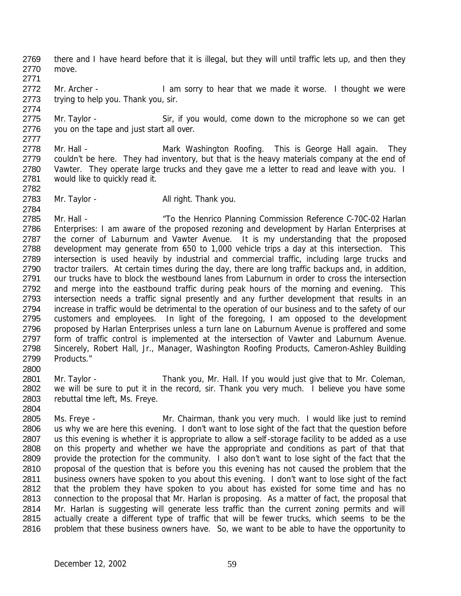2769 there and I have heard before that it is illegal, but they will until traffic lets up, and then they 2770 move. 2771

2772 Mr. Archer - I am sorry to hear that we made it worse. I thought we were 2773 trying to help you. Thank you, sir. 2774

2775 Mr. Taylor - Sir, if you would, come down to the microphone so we can get 2776 you on the tape and just start all over. 2777

- 2778 Mr. Hall Mark Washington Roofing. This is George Hall again. They 2779 couldn't be here. They had inventory, but that is the heavy materials company at the end of 2780 Vawter. They operate large trucks and they gave me a letter to read and leave with you. I 2781 would like to quickly read it.
- 2783 Mr. Taylor All right. Thank you.

2782

2784

2804

2785 Mr. Hall - "To the Henrico Planning Commission Reference C-70C-02 Harlan 2786 Enterprises: I am aware of the proposed rezoning and development by Harlan Enterprises at 2787 the corner of Laburnum and Vawter Avenue. It is my understanding that the proposed 2788 development may generate from 650 to 1,000 vehicle trips a day at this intersection. This 2789 intersection is used heavily by industrial and commercial traffic, including large trucks and 2790 tractor trailers. At certain times during the day, there are long traffic backups and, in addition, 2791 our trucks have to block the westbound lanes from Laburnum in order to cross the intersection 2792 and merge into the eastbound traffic during peak hours of the morning and evening. This 2793 intersection needs a traffic signal presently and any further development that results in an 2794 increase in traffic would be detrimental to the operation of our business and to the safety of our 2795 customers and employees. In light of the foregoing, I am opposed to the development 2796 proposed by Harlan Enterprises unless a turn lane on Laburnum Avenue is proffered and some 2797 form of traffic control is implemented at the intersection of Vawter and Laburnum Avenue. 2798 Sincerely, Robert Hall, Jr., Manager, Washington Roofing Products, Cameron-Ashley Building 2799 Products." 2800

2801 Mr. Taylor - Thank you, Mr. Hall. If you would just give that to Mr. Coleman, 2802 we will be sure to put it in the record, sir. Thank you very much. I believe you have some 2803 rebuttal time left, Ms. Freye.

 Ms. Freye - Mr. Chairman, thank you very much. I would like just to remind us why we are here this evening. I don't want to lose sight of the fact that the question before 2807 us this evening is whether it is appropriate to allow a self-storage facility to be added as a use on this property and whether we have the appropriate and conditions as part of that that provide the protection for the community. I also don't want to lose sight of the fact that the 2810 proposal of the question that is before you this evening has not caused the problem that the 2811 business owners have spoken to you about this evening. I don't want to lose sight of the fact that the problem they have spoken to you about has existed for some time and has no connection to the proposal that Mr. Harlan is proposing. As a matter of fact, the proposal that Mr. Harlan is suggesting will generate less traffic than the current zoning permits and will actually create a different type of traffic that will be fewer trucks, which seems to be the 2816 problem that these business owners have. So, we want to be able to have the opportunity to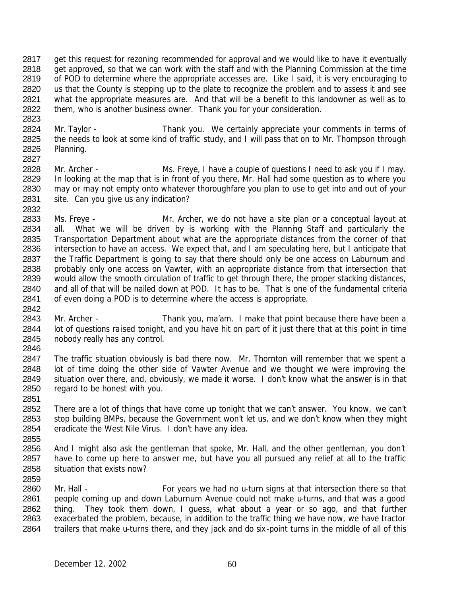get this request for rezoning recommended for approval and we would like to have it eventually 2818 get approved, so that we can work with the staff and with the Planning Commission at the time 2819 of POD to determine where the appropriate accesses are. Like I said, it is very encouraging to 2820 us that the County is stepping up to the plate to recognize the problem and to assess it and see what the appropriate measures are. And that will be a benefit to this landowner as well as to them, who is another business owner. Thank you for your consideration. 

- 2824 Mr. Taylor Thank you. We certainly appreciate your comments in terms of 2825 the needs to look at some kind of traffic study, and I will pass that on to Mr. Thompson through Planning.
- Mr. Archer Ms. Freye, I have a couple of questions I need to ask you if I may. 2829 In looking at the map that is in front of you there, Mr. Hall had some question as to where you may or may not empty onto whatever thoroughfare you plan to use to get into and out of your site. Can you give us any indication?
- Ms. Freye Mr. Archer, we do not have a site plan or a conceptual layout at all. What we will be driven by is working with the Planning Staff and particularly the Transportation Department about what are the appropriate distances from the corner of that intersection to have an access. We expect that, and I am speculating here, but I anticipate that 2837 the Traffic Department is going to say that there should only be one access on Laburnum and probably only one access on Vawter, with an appropriate distance from that intersection that would allow the smooth circulation of traffic to get through there, the proper stacking distances, and all of that will be nailed down at POD. It has to be. That is one of the fundamental criteria of even doing a POD is to determine where the access is appropriate.
- 2843 Mr. Archer Thank you, ma'am. I make that point because there have been a 2844 lot of questions raised tonight, and you have hit on part of it just there that at this point in time nobody really has any control.
- 2847 The traffic situation obviously is bad there now. Mr. Thornton will remember that we spent a lot of time doing the other side of Vawter Avenue and we thought we were improving the situation over there, and, obviously, we made it worse. I don't know what the answer is in that regard to be honest with you.
- There are a lot of things that have come up tonight that we can't answer. You know, we can't stop building BMPs, because the Government won't let us, and we don't know when they might eradicate the West Nile Virus. I don't have any idea.
- And I might also ask the gentleman that spoke, Mr. Hall, and the other gentleman, you don't have to come up here to answer me, but have you all pursued any relief at all to the traffic situation that exists now?
- 

2860 Mr. Hall - For years we had no u-turn signs at that intersection there so that people coming up and down Laburnum Avenue could not make u-turns, and that was a good thing. They took them down, I guess, what about a year or so ago, and that further exacerbated the problem, because, in addition to the traffic thing we have now, we have tractor trailers that make u-turns there, and they jack and do six-point turns in the middle of all of this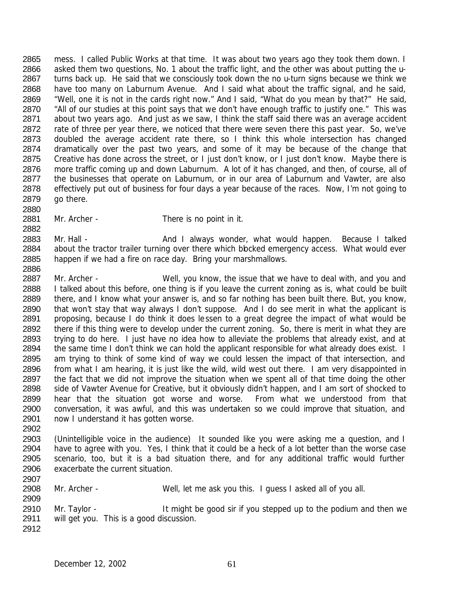mess. I called Public Works at that time. It was about two years ago they took them down. I asked them two questions, No. 1 about the traffic light, and the other was about putting the u- turns back up. He said that we consciously took down the no u-turn signs because we think we have too many on Laburnum Avenue. And I said what about the traffic signal, and he said, "Well, one it is not in the cards right now." And I said, "What do you mean by that?" He said, 2870 "All of our studies at this point says that we don't have enough traffic to justify one." This was about two years ago. And just as we saw, I think the staff said there was an average accident 2872 rate of three per year there, we noticed that there were seven there this past year. So, we've doubled the average accident rate there, so I think this whole intersection has changed dramatically over the past two years, and some of it may be because of the change that Creative has done across the street, or I just don't know, or I just don't know. Maybe there is more traffic coming up and down Laburnum. A lot of it has changed, and then, of course, all of 2877 the businesses that operate on Laburnum, or in our area of Laburnum and Vawter, are also effectively put out of business for four days a year because of the races. Now, I'm not going to go there. 

Mr. Archer - There is no point in it.

2883 Mr. Hall - And I always wonder, what would happen. Because I talked 2884 about the tractor trailer turning over there which blocked emergency access. What would ever happen if we had a fire on race day. Bring your marshmallows. 

2887 Mr. Archer - Well, you know, the issue that we have to deal with, and you and I talked about this before, one thing is if you leave the current zoning as is, what could be built there, and I know what your answer is, and so far nothing has been built there. But, you know, that won't stay that way always I don't suppose. And I do see merit in what the applicant is proposing, because I do think it does lessen to a great degree the impact of what would be there if this thing were to develop under the current zoning. So, there is merit in what they are trying to do here. I just have no idea how to alleviate the problems that already exist, and at 2894 the same time I don't think we can hold the applicant responsible for what already does exist. I am trying to think of some kind of way we could lessen the impact of that intersection, and from what I am hearing, it is just like the wild, wild west out there. I am very disappointed in the fact that we did not improve the situation when we spent all of that time doing the other 2898 side of Vawter Avenue for Creative, but it obviously didn't happen, and I am sort of shocked to hear that the situation got worse and worse. From what we understood from that conversation, it was awful, and this was undertaken so we could improve that situation, and now I understand it has gotten worse.

- (Unintelligible voice in the audience) It sounded like you were asking me a question, and I have to agree with you. Yes, I think that it could be a heck of a lot better than the worse case scenario, too, but it is a bad situation there, and for any additional traffic would further exacerbate the current situation.
- 

Mr. Archer - Well, let me ask you this. I guess I asked all of you all.

2910 Mr. Taylor - It might be good sir if you stepped up to the podium and then we will get you. This is a good discussion.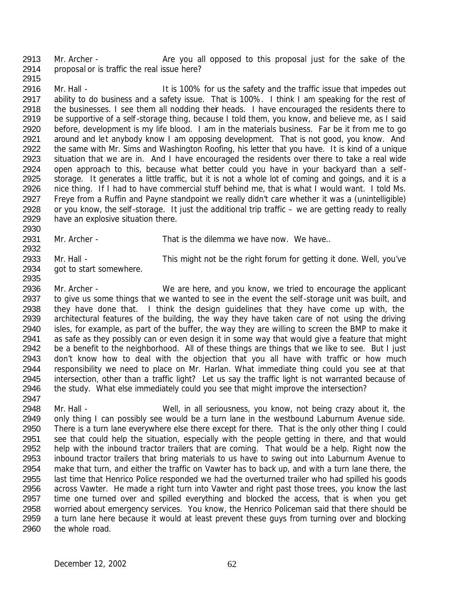2913 Mr. Archer - Are you all opposed to this proposal just for the sake of the proposal or is traffic the real issue here? 

2916 Mr. Hall - It is 100% for us the safety and the traffic issue that impedes out 2917 ability to do business and a safety issue. That is 100%. I think I am speaking for the rest of the businesses. I see them all nodding their heads. I have encouraged the residents there to 2919 be supportive of a self-storage thing, because I told them, you know, and believe me, as I said before, development is my life blood. I am in the materials business. Far be it from me to go around and let anybody know I am opposing development. That is not good, you know. And the same with Mr. Sims and Washington Roofing, his letter that you have. It is kind of a unique situation that we are in. And I have encouraged the residents over there to take a real wide open approach to this, because what better could you have in your backyard than a self- storage. It generates a little traffic, but it is not a whole lot of coming and goings, and it is a nice thing. If I had to have commercial stuff behind me, that is what I would want. I told Ms. Freye from a Ruffin and Payne standpoint we really didn't care whether it was a (unintelligible) or you know, the self-storage. It just the additional trip traffic – we are getting ready to really have an explosive situation there. 

Mr. Archer - That is the dilemma we have now. We have..

 Mr. Hall - This might not be the right forum for getting it done. Well, you've got to start somewhere.

2936 Mr. Archer - We are here, and you know, we tried to encourage the applicant 2937 to give us some things that we wanted to see in the event the self-storage unit was built, and they have done that. I think the design guidelines that they have come up with, the architectural features of the building, the way they have taken care of not using the driving isles, for example, as part of the buffer, the way they are willing to screen the BMP to make it as safe as they possibly can or even design it in some way that would give a feature that might be a benefit to the neighborhood. All of these things are things that we like to see. But I just don't know how to deal with the objection that you all have with traffic or how much responsibility we need to place on Mr. Harlan. What immediate thing could you see at that intersection, other than a traffic light? Let us say the traffic light is not warranted because of 2946 the study. What else immediately could you see that might improve the intersection? 

2948 Mr. Hall - Well, in all seriousness, you know, not being crazy about it, the only thing I can possibly see would be a turn lane in the westbound Laburnum Avenue side. 2950 There is a turn lane everywhere else there except for there. That is the only other thing I could see that could help the situation, especially with the people getting in there, and that would help with the inbound tractor trailers that are coming. That would be a help. Right now the inbound tractor trailers that bring materials to us have to swing out into Laburnum Avenue to make that turn, and either the traffic on Vawter has to back up, and with a turn lane there, the last time that Henrico Police responded we had the overturned trailer who had spilled his goods across Vawter. He made a right turn into Vawter and right past those trees, you know the last 2957 time one turned over and spilled everything and blocked the access, that is when you get worried about emergency services. You know, the Henrico Policeman said that there should be 2959 a turn lane here because it would at least prevent these guys from turning over and blocking the whole road.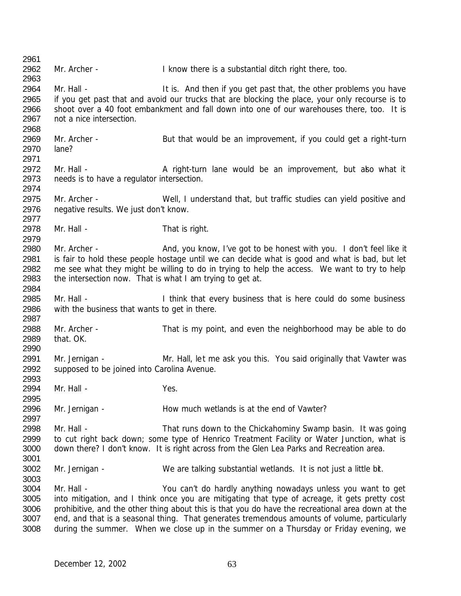2962 Mr. Archer - I know there is a substantial ditch right there, too. 2964 Mr. Hall - It is. And then if you get past that, the other problems you have 2965 if you get past that and avoid our trucks that are blocking the place, your only recourse is to shoot over a 40 foot embankment and fall down into one of our warehouses there, too. It is not a nice intersection. 2969 Mr. Archer - But that would be an improvement, if you could get a right-turn lane? 2972 Mr. Hall - A right-turn lane would be an improvement, but also what it needs is to have a regulator intersection. Mr. Archer - Well, I understand that, but traffic studies can yield positive and negative results. We just don't know. 2978 Mr. Hall - That is right. Mr. Archer - And, you know, I've got to be honest with you. I don't feel like it is fair to hold these people hostage until we can decide what is good and what is bad, but let me see what they might be willing to do in trying to help the access. We want to try to help the intersection now. That is what I am trying to get at. 2985 Mr. Hall - I think that every business that is here could do some business with the business that wants to get in there. Mr. Archer - That is my point, and even the neighborhood may be able to do that. OK. Mr. Jernigan - Mr. Hall, let me ask you this. You said originally that Vawter was supposed to be joined into Carolina Avenue. Mr. Hall - Yes. Mr. Jernigan - How much wetlands is at the end of Vawter? 2998 Mr. Hall - That runs down to the Chickahominy Swamp basin. It was going 2999 to cut right back down; some type of Henrico Treatment Facility or Water Junction, what is down there? I don't know. It is right across from the Glen Lea Parks and Recreation area. Mr. Jernigan - We are talking substantial wetlands. It is not just a little bit. Mr. Hall - You can't do hardly anything nowadays unless you want to get into mitigation, and I think once you are mitigating that type of acreage, it gets pretty cost prohibitive, and the other thing about this is that you do have the recreational area down at the end, and that is a seasonal thing. That generates tremendous amounts of volume, particularly during the summer. When we close up in the summer on a Thursday or Friday evening, we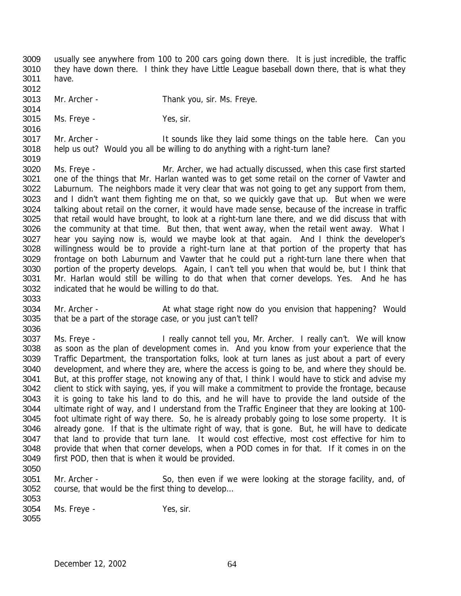usually see anywhere from 100 to 200 cars going down there. It is just incredible, the traffic they have down there. I think they have Little League baseball down there, that is what they have.

- Mr. Archer Thank you, sir. Ms. Freye.
- Ms. Freye Yes, sir.

 Mr. Archer - It sounds like they laid some things on the table here. Can you help us out? Would you all be willing to do anything with a right-turn lane?

 Ms. Freye - Mr. Archer, we had actually discussed, when this case first started one of the things that Mr. Harlan wanted was to get some retail on the corner of Vawter and Laburnum. The neighbors made it very clear that was not going to get any support from them, and I didn't want them fighting me on that, so we quickly gave that up. But when we were talking about retail on the corner, it would have made sense, because of the increase in traffic that retail would have brought, to look at a right-turn lane there, and we did discuss that with the community at that time. But then, that went away, when the retail went away. What I hear you saying now is, would we maybe look at that again. And I think the developer's willingness would be to provide a right-turn lane at that portion of the property that has frontage on both Laburnum and Vawter that he could put a right-turn lane there when that portion of the property develops. Again, I can't tell you when that would be, but I think that Mr. Harlan would still be willing to do that when that corner develops. Yes. And he has indicated that he would be willing to do that.

3034 Mr. Archer - At what stage right now do you envision that happening? Would that be a part of the storage case, or you just can't tell? 

- Ms. Freye I really cannot tell you, Mr. Archer. I really can't. We will know as soon as the plan of development comes in. And you know from your experience that the Traffic Department, the transportation folks, look at turn lanes as just about a part of every development, and where they are, where the access is going to be, and where they should be. But, at this proffer stage, not knowing any of that, I think I would have to stick and advise my client to stick with saying, yes, if you will make a commitment to provide the frontage, because it is going to take his land to do this, and he will have to provide the land outside of the ultimate right of way, and I understand from the Traffic Engineer that they are looking at 100- foot ultimate right of way there. So, he is already probably going to lose some property. It is already gone. If that is the ultimate right of way, that is gone. But, he will have to dedicate that land to provide that turn lane. It would cost effective, most cost effective for him to provide that when that corner develops, when a POD comes in for that. If it comes in on the first POD, then that is when it would be provided.
- 

 Mr. Archer - So, then even if we were looking at the storage facility, and, of course, that would be the first thing to develop… 

Ms. Freye - Yes, sir.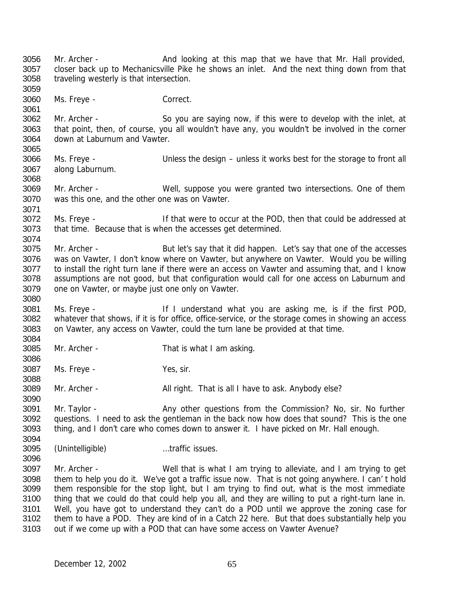3056 Mr. Archer - And looking at this map that we have that Mr. Hall provided, closer back up to Mechanicsville Pike he shows an inlet. And the next thing down from that traveling westerly is that intersection. Ms. Freye - Correct. Mr. Archer - So you are saying now, if this were to develop with the inlet, at that point, then, of course, you all wouldn't have any, you wouldn't be involved in the corner down at Laburnum and Vawter. Ms. Freye - Unless the design – unless it works best for the storage to front all along Laburnum. Mr. Archer - Well, suppose you were granted two intersections. One of them was this one, and the other one was on Vawter. Ms. Freye - If that were to occur at the POD, then that could be addressed at that time. Because that is when the accesses get determined. 3075 Mr. Archer - But let's say that it did happen. Let's say that one of the accesses was on Vawter, I don't know where on Vawter, but anywhere on Vawter. Would you be willing 3077 to install the right turn lane if there were an access on Vawter and assuming that, and I know assumptions are not good, but that configuration would call for one access on Laburnum and one on Vawter, or maybe just one only on Vawter. Ms. Freye - If I understand what you are asking me, is if the first POD, whatever that shows, if it is for office, office-service, or the storage comes in showing an access on Vawter, any access on Vawter, could the turn lane be provided at that time. Mr. Archer - That is what I am asking. Ms. Freye - Yes, sir. 3089 Mr. Archer - All right. That is all I have to ask. Anybody else? 3091 Mr. Taylor - Any other questions from the Commission? No, sir. No further questions. I need to ask the gentleman in the back now how does that sound? This is the one thing, and I don't care who comes down to answer it. I have picked on Mr. Hall enough. (Unintelligible) …traffic issues. Mr. Archer - Well that is what I am trying to alleviate, and I am trying to get them to help you do it. We've got a traffic issue now. That is not going anywhere. I can' t hold them responsible for the stop light, but I am trying to find out, what is the most immediate thing that we could do that could help you all, and they are willing to put a right-turn lane in. Well, you have got to understand they can't do a POD until we approve the zoning case for them to have a POD. They are kind of in a Catch 22 here. But that does substantially help you out if we come up with a POD that can have some access on Vawter Avenue?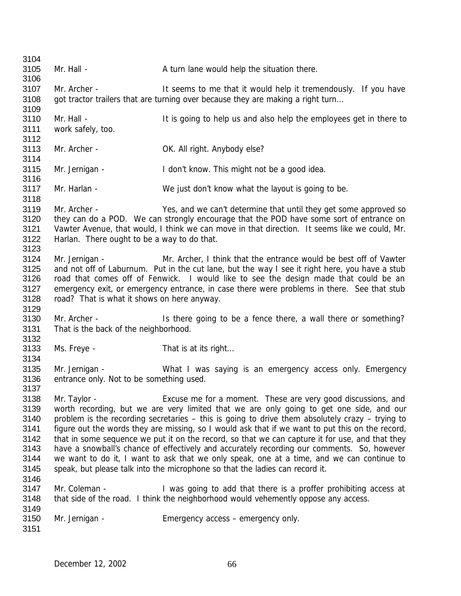| 3104         |                                             |                                                                                                  |
|--------------|---------------------------------------------|--------------------------------------------------------------------------------------------------|
| 3105         | Mr. Hall -                                  | A turn lane would help the situation there.                                                      |
| 3106         |                                             |                                                                                                  |
| 3107         | Mr. Archer -                                | It seems to me that it would help it tremendously. If you have                                   |
| 3108         |                                             | got tractor trailers that are turning over because they are making a right turn                  |
| 3109         |                                             |                                                                                                  |
| 3110         | Mr. Hall -                                  | It is going to help us and also help the employees get in there to                               |
| 3111         | work safely, too.                           |                                                                                                  |
| 3112         |                                             |                                                                                                  |
| 3113         | Mr. Archer -                                | OK. All right. Anybody else?                                                                     |
| 3114         |                                             |                                                                                                  |
| 3115         | Mr. Jernigan -                              | I don't know. This might not be a good idea.                                                     |
| 3116         |                                             |                                                                                                  |
| 3117         | Mr. Harlan -                                | We just don't know what the layout is going to be.                                               |
| 3118         |                                             |                                                                                                  |
| 3119         | Mr. Archer -                                | Yes, and we can't determine that until they get some approved so                                 |
| 3120         |                                             | they can do a POD. We can strongly encourage that the POD have some sort of entrance on          |
| 3121         |                                             | Vawter Avenue, that would, I think we can move in that direction. It seems like we could, Mr.    |
| 3122         | Harlan. There ought to be a way to do that. |                                                                                                  |
| 3123         |                                             |                                                                                                  |
| 3124         | Mr. Jernigan -                              | Mr. Archer, I think that the entrance would be best off of Vawter                                |
| 3125         |                                             | and not off of Laburnum. Put in the cut lane, but the way I see it right here, you have a stub   |
| 3126         |                                             | road that comes off of Fenwick. I would like to see the design made that could be an             |
| 3127         |                                             | emergency exit, or emergency entrance, in case there were problems in there. See that stub       |
| 3128         | road? That is what it shows on here anyway. |                                                                                                  |
| 3129         |                                             |                                                                                                  |
| 3130         | Mr. Archer -                                | Is there going to be a fence there, a wall there or something?                                   |
| 3131         |                                             |                                                                                                  |
| 3132         | That is the back of the neighborhood.       |                                                                                                  |
| 3133         | Ms. Freye -                                 | That is at its right                                                                             |
| 3134         |                                             |                                                                                                  |
|              |                                             |                                                                                                  |
| 3135         | Mr. Jernigan -                              | What I was saying is an emergency access only. Emergency                                         |
| 3136         | entrance only. Not to be something used.    |                                                                                                  |
| 3137<br>3138 |                                             |                                                                                                  |
|              | Mr. Taylor -                                | Excuse me for a moment. These are very good discussions, and                                     |
| 3139         |                                             | worth recording, but we are very limited that we are only going to get one side, and our         |
| 3140         |                                             | problem is the recording secretaries - this is going to drive them absolutely crazy - trying to  |
| 3141         |                                             | figure out the words they are missing, so I would ask that if we want to put this on the record, |
| 3142         |                                             | that in some sequence we put it on the record, so that we can capture it for use, and that they  |
| 3143         |                                             | have a snowball's chance of effectively and accurately recording our comments. So, however       |
| 3144         |                                             | we want to do it, I want to ask that we only speak, one at a time, and we can continue to        |
| 3145         |                                             | speak, but please talk into the microphone so that the ladies can record it.                     |
| 3146         |                                             |                                                                                                  |
| 3147         | Mr. Coleman -                               | I was going to add that there is a proffer prohibiting access at                                 |
| 3148         |                                             | that side of the road. I think the neighborhood would vehemently oppose any access.              |
| 3149         |                                             |                                                                                                  |
| 3150         | Mr. Jernigan -                              | Emergency access – emergency only.                                                               |
| 3151         |                                             |                                                                                                  |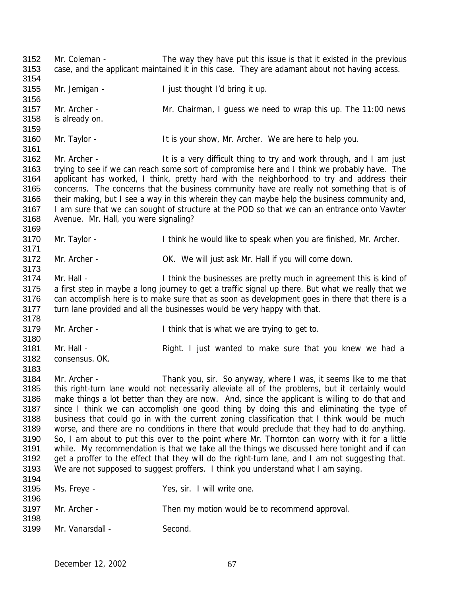Mr. Coleman - The way they have put this issue is that it existed in the previous case, and the applicant maintained it in this case. They are adamant about not having access. Mr. Jernigan - I just thought I'd bring it up. Mr. Archer - Mr. Chairman, I guess we need to wrap this up. The 11:00 news is already on. Mr. Taylor - It is your show, Mr. Archer. We are here to help you. 3162 Mr. Archer - It is a very difficult thing to try and work through, and I am just trying to see if we can reach some sort of compromise here and I think we probably have. The applicant has worked, I think, pretty hard with the neighborhood to try and address their concerns. The concerns that the business community have are really not something that is of 3166 their making, but I see a way in this wherein they can maybe help the business community and, I am sure that we can sought of structure at the POD so that we can an entrance onto Vawter Avenue. Mr. Hall, you were signaling? Mr. Taylor - I think he would like to speak when you are finished, Mr. Archer. Mr. Archer - OK. We will just ask Mr. Hall if you will come down. 3174 Mr. Hall - Inne is think the businesses are pretty much in agreement this is kind of a first step in maybe a long journey to get a traffic signal up there. But what we really that we can accomplish here is to make sure that as soon as development goes in there that there is a turn lane provided and all the businesses would be very happy with that. Mr. Archer - I think that is what we are trying to get to. 3181 Mr. Hall - Right. I just wanted to make sure that you knew we had a consensus. OK. Mr. Archer - Thank you, sir. So anyway, where I was, it seems like to me that this right-turn lane would not necessarily alleviate all of the problems, but it certainly would make things a lot better than they are now. And, since the applicant is willing to do that and since I think we can accomplish one good thing by doing this and eliminating the type of business that could go in with the current zoning classification that I think would be much worse, and there are no conditions in there that would preclude that they had to do anything. So, I am about to put this over to the point where Mr. Thornton can worry with it for a little while. My recommendation is that we take all the things we discussed here tonight and if can get a proffer to the effect that they will do the right-turn lane, and I am not suggesting that. We are not supposed to suggest proffers. I think you understand what I am saying. Ms. Freye - Yes, sir. I will write one. Mr. Archer - Then my motion would be to recommend approval. Mr. Vanarsdall - Second.